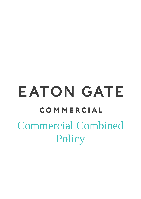# **EATON GATE** COMMERCIAL Commercial Combined **Policy**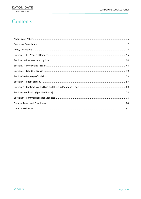# **Contents**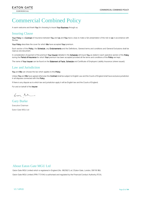# Commercial Combined Policy

A warm welcome and thank You for choosing to insure Your Business through us.

### Insuring Clause

Your Policy is a Contract of insurance between You and Us and You have a duty to make a fair presentation of the risk to Us in accordance with the law.

Your Policy describes the cover for which We have accepted Your premium.

Each section of this Policy, the Schedule, any Endorsements and the Definitions, General terms and conditions and General Exclusions shall be read as one document.

In consideration of payment of the premium Your Insurer detailed in the Schedule will insure You as stated in each operative section of the Policy during the Period of Insurance for which Your premium has been accepted provided all the terms and conditions of the Policy are kept.

The name of Your Insurer can be found on the Statement of Facts, Schedule and Certificate of Employers Liability Insurance (where issued).

### Law and Jurisdiction

You and We can choose the law which applies to this Policy.

Unless You and We have agreed otherwise this Contract shall be subject to English Law and the Courts of England shall have exclusive jurisdiction in all disputes connected with this **Policy**.

If there is any dispute as to which law and jurisdiction apply it will be English law and the Courts of England.

For and on behalf of the **Insurer**.

tour Br

Gary Burke Executive Chairman Eaton Gate MGU Ltd

### About Eaton Gate MGU Ltd

Eaton Gate MGU Limited which is registered in England (No. 9825821) at 2 Eaton Gate, London, SW1W 9BJ. Eaton Gate MGU Limited (FRN 773194) is authorised and regulated by the Financial Conduct Authority (FCA).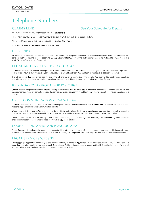# Telephone Numbers

### CLAIMS LINE See Your Schedule for Details

This number can be used by You to report a claim to Your Insurer.

Please notify Your Insurer as soon as You know of a problem which may be likely to become a claim.

Please see Making a Claim in the Claims Conditions Section of this Policy.

#### Calls may be recorded for quality and training purposes

### HELPLINES

All helplines are subject to fair and reasonable use. The level of fair usage will depend on individual circumstances. However, if Our advisors consider that Your helpline usage is becoming excessive they will tell You. If following that warning usage is not reduced to a more reasonable level, We can refuse to accept further calls.

### LEGAL AND TAX ADVICE - 0330 30 31 470

If You have a legal or tax problem relating to Your Business, We recommend You call Our confidential legal and tax advice helpline. Legal advice is available 24 hours a day, 365 days a year, and tax advice is available between 9am and 5pm on weekdays (except bank holidays).

The advice covers **Business**-related legal matters within UK and EU law or tax matters within the UK. Your query will be dealt with by a qualified specialist experienced in handling legal and tax-related matters. Use of this service does not constitute reporting of a claim.

### REDUNDANCY APPROVAL - 0117 917 1698

We can arrange for specialist advice if You are planning redundancies. This will assist You to implement a fair selection process and ensure that the redundancy notices are correctly served. This service is available between 9am and 5pm on weekdays (except bank holidays), subject to a charge.

### CRISIS COMMUNICATION - 0344 571 7964

If You are concerned about an event that may result in negative publicity which could affect Your Business, You can access professional public relations support from our Crisis Communication experts.

Where possible, initial advice for You to act upon will be provided over the phone, but if your circumstances require professional work to be carried out in advance of any actual adverse publicity, such services are available on a consultancy basis and subject to You paying a fee.

Where an event has led to actual publicity online, in print or broadcast, that could Damage Your Business, You are Insured against the costs of crisis communication services under insured event 9 when You use this helpline.

### COUNSELLING ASSISTANCE 0333 000 2082

For an **Employee** (including family members permanently living with them) needing confidential help and advice, our qualified counsellors are available to provide telephone support on any matter that is causing Your Employee upset or anxiety from personal problems to bereavement.

### LEGAL SERVICES WEBSITE

With Your Policy You get free access to Our legal services website, which allows You to create many online documents and guides which can help Your Business with everything from employment Contracts and Settlement agreements to leases and health & safety statements. For a small additional charge, You can have complex documents checked by a solicitor.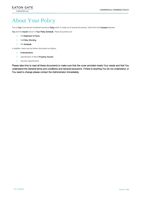# <span id="page-4-0"></span>About Your Policy

This is Your Commercial Combined Insurance Policy which is made up of several documents, which form the Contract between:

You and the Insurer shown in Your Policy Schedule. These documents are:

- ❖ theStatement of Facts.
- ❖ thePolicy Wording.
- ❖ the Schedule.

In addition, there may be further documents as follows:

- ❖ Endorsements.
- ❖ specification of Items/Property Insured.
- ❖ security requirements.

Please take time to read all these documents to make sure that the cover provided meets Your needs and that You understand the General terms and conditions and General exclusions. If there is anything You do not understand, or You need to change please contact the Administrator immediately.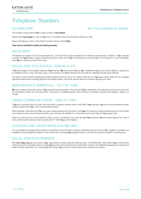# Telephone Numbers

### CLAIMS LINE See Your Schedule for Details

This number can be used by You to report a claim to Your Insurer.

Please notify Your Insurer as soon as You know of a problem which may be likely to become a claim.

Please see Making a Claim in the Claims Condition Section of this Policy.

#### Calls may be recorded for quality and training purposes.

### HELPLINES

All helplines are subject to fair and reasonable use. The level of fair usage will depend on individual circumstances. However, if Our advisors consider that Your helpline usage is becoming excessive they will tell You. If following that warning usage is not reduced to a more reasonable level, We can refuse to accept further calls.

### LEGAL AND TAX ADVICE - 0330 30 31 470

If You have a legal or tax problem relating to Your business, We recommend You call Our confidential legal and tax advice helpline. Legal advice is available 24 hours a day, 365 days a year, and tax advice is available between 9am and 5pm on weekdays (except bank holidays).

The advice covers business-related legal matters within UK and EU law or tax matters within the UK. Your query will be dealt with by a qualified specialist experienced in handling legal and tax-related matters. Use of this service does not constitute reporting of a claim.

### REDUNDANCY APPROVAL - 0117 917 1698

We can arrange for specialist advice if You are planning redundancies. This will assist You to implement a fair selection process and ensure that the redundancy notices are correctly served. This service is available between 9am and 5pm on weekdays (except bank holidays), subject to a charge.

### CRISIS COMMUNICATION - 0344 571 7964

If You are concerned about an event that may result in negative publicity which could affect Your business, You can access professional public relations support from Our Crisis Communication experts.

Where possible, initial advice for You to act upon will be provided over the phone, but if Your circumstances require professional work to be carried out in advance of any actual adverse publicity, such services are available on a consultancy basis and subject to You paying a fee.

Where an event has led to actual publicity online, in print or broadcast, that could damage Your business, You are insured against the costs of crisis communication services under insured event11 when You use this helpline.

### COUNSELLING ASSISTANCE 0333 000 2082

For an employee (including family members permanently living with them) needing confidential help and advice, **Our** qualified counsellors are available to provide telephone support on any matter that is causing Your employee upset or anxiety from personal problems to bereavement.

### LEGAL SERVICES WEBSITE

With Your Policy You get free access to Our legal services website using the following code, X1232K545CA3, which allows You to create many online documents and guides which can help Your business with everything from employment contracts and settlement agreements to leases and health & safety statements. For a small additional charge, You can have complex documents checked by a solicitor.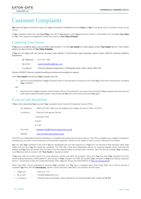# <span id="page-6-0"></span>Customer Complaints

We hope that You are extremely happy with Your Commercial Combined Insurance Policy but We do recognise that on occasions things can go wrong.

If Your complaint is about the way Your Policy was sold to You please contact Your insurance advisor or intermediary who arranged Your Policy for You. Their address and telephone number are shown on Your Policy Schedule.

### Contacting Your Insurer

If You have a complaint about cover provided under Sections 1 to 8 by Your Insurer or a claim please contact Your Insurer directly. Their contact details can also be found on Your Policy Schedule.

If You are not happy with the service provided under Section 9 (Commercial Legal Expenses) please contact ARAG'S Customer Relations Department;

- By Telephone: 0117 917 1561
- By e-mail: [customerrelations@arag.co.uk](mailto:customerrelations@arag.co.uk)
- In writing to: Customer Relations Department, 9 Whiteladies Road, Clifton, Bristol, BS8 1NN

Details of ARAG'S internal complaint-handling procedures are available on request.

Once Your Insurer has received Your complaint they will:

❖ Send an acknowledgment of Your complaint within 5 working days of receiving it and notify You of the name of the person managing Your complaint;

and

❖ Respond in full to Your complaint within 8 weeks. If this is not possible for any reason they will write to You to explain why they have not been able to settle the matter quickly. They will also let You know when they will contact You again.

### If you are still dissatisfied

If You remain dissatisfied You may refer Your complaint to the Financial Ombudsman Service (FOS);

- By Telephone 0800 023 4567 (calls from UK landlines and mobiles are free) or 0300 123 9123
- In writing to Financial Ombudsman Service

Exchange Tower

London

E14 SR

- By e-mail [complaint.info@financial-ombudsman.org.uk](mailto:complaint.info@financial-ombudsman.org.uk)
- Website [www.financial-ombudsman.org.uk](http://www.financial-ombudsman.org.uk/)

The FOS is an independent body that arbitrates on complaints about general insurance products. The FOS is available to any 'eligible complainant' including any consumer, micro-enterprise, small business, guarantor, charity or trust, details of which can be confirmed on its website.

You can refer Your complaint to the FOS if You are dissatisfied with any final response or if You have not received a final response within eight weeks from the time You first raised the complaint. The FOS offer a free and independent service for resolving disputes about most financial matters and You have six months from the date of the final response letter to contact them. However, the FOS will only consider Your complaint once You have tried to resolve it with Your Insurer or insurance broker.

If You were sold this product online or by other electronic means and within the European Union (EU) You may refer Your complaint to the EU Online dispute Resolution (ODR) platform. Upon receipt of Your complaint the ODR will escalate Your complaint to Your local dispute resolution service – this process is free and conducted entirely online. You can access the ODR platform o[n http://ec.europa.eu/odr.](http://ec.europa.eu/odr)

Eaton Gate MGU Ltd are dedicated to resolving Your complaint so if You have a complaint about Eaton Gate MGU Ltd or wish to discuss a complaint You have with the Administrator, please contact the Eaton Gate MGU Ltd customer services team:

- Telephone 0333 234 1741
- By e-mail complaints@egmgu.co.uk
- In writing to Customer Service Manager, Eaton Gate MGU Ltd, 20 St Dunstan's Hill, London, EC3R 8HL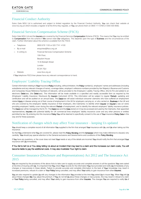### Financial Conduct Authority

Eaton Gate MGU Ltd is authorised and subject to limited regulation by the Financial Conduct Authority. You can check their website at [www.fca.org.uk](http://www.fca.org.uk/) which includes a register of all the firms they regulate, or You can phone them on 0800 111 6768 or 0300 500 8082.

### Financial Services Compensation Scheme (FSCS)

Eaton Gate MGU Ltd and the Insurers are covered by the Financial Services Compensation Scheme (FSCS). This means that You may be entitled to Compensation from the scheme if We cannot meet Our obligations. This depends upon the type of Business and the circumstances of the claim. Further information about the scheme is available from the FSCS:

- Telephone 0800 678 1100 or 020 7741 4100
- By e-mail [enquiries@fscs.org.uk](mailto:enquiries@fscs.org.uk)
- In writing to Financial Services Compensation Scheme

10th Floor, Beaufort House 15 St Botolph Street London EC3A 7QU - Website [www.fscs.org.uk](http://www.fscs.org.uk/)

If You telephone FSCS then please have any relevant correspondence to hand.

### Employers' Liability Tracing Office

Certain information relating to Your Insurance Policy including, without limitation, the Policy number(s), employers' names and addresses (including subsidiaries and any relevant changes of name), coverage dates, employer's reference numbers provided by Her Majesty's Revenue and Customs and Companies House Reference Numbers (if relevant), will be provided to the Employers' Liability Tracing Office, (the ELTO) and added to an electronic Database, (the Database). This information will be made available in a specified and readily accessible form as required by the (Employers' Liability Insurance: Disclosure By Insurers Instrument 2010). This information will be subject to regular Periodic updating and certification and will be audited on an annual basis. The Database will assist individual consumer claimants who have suffered an employment related Injury or disease arising out of their course of employment in the UK for employers carrying on, or who carried on, Business in the UK and who are covered by the employers' liability insurance of their employers, (the Claimants): to identify which Insurer (or Insurers) was (or were) providing employers' liability cover during the relevant Periods of employment; and to identify the relevant employers' liability insurance policies. The Database will be managed by the ELTO. The Database and the Data stored on it may be accessed and used by the Claimants, their appointed representatives, Insurers with potential liability for UK commercial lines employers' liability insurance cover and any other persons or entities permitted by law. By entering into this insurance Policy You will be deemed to specifically consent to the use of Your insurance Policy Data in this way and for these purposes.

### Notification of changes which may affect Your insurance – keeping Us updated

You should keep a complete record of all information You supplied to the firm that arranged Your insurance with Us, and Us when taking out this insurance.

So that You understand what You are covered for, please read this Policy Wording and the Schedule (which may make reference to clauses) very carefully. You should pay special attention to the General exclusions and General terms and conditions of this Policy Wording.

If You have any questions, or the cover does not meet Your needs or any of the details are incorrect You should notify the firm that arranged Your insurance with Us immediately.

#### If You fail to tell Us or You delay telling Us about an Incident that may lead to a claim and this increases our claim costs, You will become liable to pay the additional costs. It may also invalidate Your right to claim.

### Consumer Insurance (Disclosure and Representations) Act 2012 and The Insurance Act 2015

You are required by the provisions of the above Acts to take care to supply accurate and complete answers to all the questions You were asked at the time of insuring with Us. It is important that You check Your records for the information You have provided and notify Us immediately of any changes or inaccuracies in these details. Failure to provide accurate and complete information to the best of Your knowledge may result in increased premiums, refusal of a claim or Your Policy being cancelled, and may affect Your ability to gain insurance from other Insurers.

You are also required to update Us with any changes to the information You provided at the time You asked Us to insure You. When You tell Us about these changes We may adjust the premium. If You do not tell Us about these changes or inaccuracies, this may result in refusal of a claim or Your Policy being cancelled, and may affect Your ability to gain insurance from other Insurers. The changes You are required to notify Us of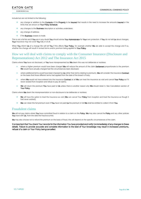include but are not limited to the following:

- ◆ any change or addition to the Contents of the Property to be Insured that results in the need to increase the amounts Insured or the limits that are shown on Your Policy Schedule;
- \* any changes to the **Business** description or activities undertaken;
- ❖ any change of address;
- ❖ if the Business ceases to trade.

This is not a full list and if You are in any doubt You should advise Your Administrator for Your own protection. If You do not tell Us about changes, Your insurance may not cover You fully or at all.

When You inform Us of a change We will tell You if this affects Your Policy, for example whether We are able to accept the change and if so, whether the change will result in revised terms and/or premium being applied to Your Policy.

### How we will deal with claims to comply with the Consumer Insurance (Disclosure and Representations) Act 2012 and The Insurance Act 2015

Claims where You have not disclosed, or You have misrepresented but We deem this was not deliberate or reckless:

- ◆ where a higher premium would have been charged We will reduce the amount of the claim Settlement proportionate to the premium We would have actually charged had the circumstances been disclosed;
- ❖ where additional terms would have been imposed by Us (other than terms relating to premium), We will consider the insurance Contract on the basis that those different terms had applied from the date of the breach of duty;
- ◆ where We would not have entered into the insurance Contract at all We can treat the insurance as void and cancel Your Policy as if it never existed from inception and refuse to pay all claims;
- ❖ We will return the premium You have paid to Us unless there is another reason why We should retain it. See Cancellation section of Your Policy.

Claims where We deem the misrepresentation or non-disclosure to be deliberate or reckless:

- We will have the option to treat the insurance as void (We can cancel Your Policy from inception and treat the insurance as though it had never existed);
- We can retain the full premium even if You have not paid Us the premium in full We shall be entitled to collect it from You.

### Fraudulent claims

We will not pay claims where You have committed fraud in relation to a claim on this Policy. We may also cancel the Policy and any other policies You have with Us, from the date the fraud occurred.

We may also choose not to refund the premium on the basis of fraud, this will depend on the specific circumstances of the claim.

It is important that You check Your records for the information You have provided and notify Us immediately of any changes to these details. Failure to provide accurate and complete information to the best of Your knowledge may result in increased premiums, refusal of a claim or Your Policy being cancelled.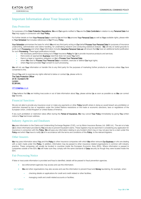### Important Information about Your Insurance with Us

### Data Protection

For purposes of the Data Protection Regulations, We and Our agents notified to You are the Data Controllers in relation to any Personal Data that You may supply in connection with Your Policy.

For further details on how Your Personal Data is used by Us and how We process Your Personal Data as well as Your available rights, please refer to Your Schedule that includes references to Our Privacy Policy.

Your Schedule summarises the basis for which We and any third party acting on Our behalf Process Your Personal Data for purposes of insurance underwriting, administration and claims handling, for undertaking research and conducting statistical analysis. We will rely on lawful grounds to justify such Processing and where Your information includes Sensitive Personal Data we will ensure that We have an additional lawful justification for such Processing. These legal justifications include:

- the necessary performance arising out of Your insurance Policy for Us to provide insurance products and services;
- there exists an appropriate **Business** need that does not cause You harm;
- there is a legal or regulatory obligation on Us to Process Your Personal Data;
- where We need to Process Your Personal Data to establish, exercise or defend Our legal rights;
- where You have provided Your consent to such processing.

We will not use Your information or transfer this to any third party for the purposes of marketing further products or services unless You have consented to this.

Should You wish to exercise any rights referred to below or contact Us, please write to: The Data Protection Officer 20 St. Dunstan's Hill London EC3R 8HL

#### [DPO@egmgu.co.uk](mailto:DPO@egmgu.co.uk)

If You believe that We are holding inaccurate or out of date information about You, please advise Us as soon as possible so as We can correct Our records.

#### Financial Sanctions

We are not able to provide any insurance cover or make any payments or other Policy benefit where in doing so would breach any prohibition or restriction imposed by law or regulation under the United Nations resolutions or the trade or economic sanctions, laws or regulations of the European Union, United Kingdom or United States of America.

If any such prohibition or restriction takes effect during the Period of Insurance, We may cancel Your Policy immediately by giving You written notice to Your last known address.

#### Industry Agencies and Databases

We pass information to the Claims and Underwriting Exchange Register (CUE), run by Motor Insurance Bureau Ltd. (MIB Ltd.) The aim is to help Us to check information provided by You and also to prevent fraudulent claims. These registers may be searched in considering any application for insurance in connection with this Policy. We will pass any information relating to any Incident which may or may not give rise to a claim under this Policy and which You have to notify Us of in accordance with the terms and conditions of this Policy, to the relevant registers.

#### Other Insurers

We may pass information about You and this Policy to other insurance companies with which We either reinsure Our Business or who are dealing with a claim made under this Policy. In addition, information may be passed to other insurance related organisations in common with industry practice. These companies will usually be located in countries inside the European Economic Area (EEA). Where information is passed to companies outside of the EEA, We will make sure they comply with the same standards of Data security as though they were located inside the EEA.

#### Fair Processing Notice

If false or inaccurate information is provided and fraud is identified, details will be passed to fraud prevention agencies.

- ❖ law enforcement agencies may access and use this information.
- ◆ We and other organisations may also access and use this information to prevent fraud and Money laundering, for example, when:
	- checking details on applications for credit and credit related or other facilities;
	- managing credit and credit related accounts or facilities;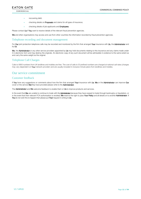- recovering debt;
- checking details on **Proposals** and claims for all types of insurance;
- checking details of job applicants and Employees.

Please contact Us if You want to receive details of the relevant fraud prevention agencies.

We and other organisations may access and use from other countries the information recorded by fraud prevention agencies.

#### Telephone recording and document management

For Our joint protection telephone calls may be recorded and monitored by the firm that arranged Your insurance with Us, the Administrator and by Us.

We, the Administrator or any other service providers appointed by Us may hold documents relating to this insurance and any claims made under it in electronic form and may destroy the originals. An electronic copy of any such document will be admissible in evidence to the same extent as and carry the same weight as the original.

#### Telephone Call Charges

Calls to 0800 numbers from UK landlines and mobiles are free. The cost of calls to 03 prefixed numbers are charged at national call rates (charges may vary dependent on Your network provider) and are usually included in inclusive minute plans from landlines and mobiles.

### Our service commitment

#### Customer feedback

If You have any suggestions or comments about how the firm that arranged Your insurance with Us, We or the Administrator can improve Our cover or the service We/they have provided please write to the Administrator.

The Administrator and We welcome feedback to enable them or Us to improve products and services.

In the event that We are unable to continue to trade with the Administrator because they have ceased to trade through bankruptcy or liquidation, or in the event that their relevant FCA authorisation is revoked, We reserve the right to pass Your Policy and all details on to another Administrator. If You do not wish this to happen then please put Your request in writing to Us.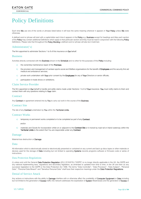# <span id="page-11-0"></span>Policy Definitions

Each time We use one of the words or phrases listed below it will have the same meaning wherever it appears in Your Policy unless We state otherwise.

A defined word or phrase will start with a capital letter each time it appears in the Policy e.g. Business except for headings and titles each section of the Policy may contain additional Definitions which apply to that particular section and they must be read in conjunction with the following Policy Definitions. Please note that throughout this Policy Wording a defined word or phrase will also be in bold text.

### Administrator('s)

The firm appointed to administer Sections 1 to 8 of this insurance on Our behalf.

#### Business

Activities directly connected with the Business shown in the Schedule and no other for the purposes of this Policy including:

- a) the ownership maintenance repair of the Premises;
- b) the provision and management of canteen sports social and Welfare organisations for the benefit of **Employees** and fire security first aid medical and ambulance services;
- $\circ$  private work undertaken with Your prior consent by the **Employees** for any of Your Directors or senior officials;
- d) participation in trade shows or exhibitions.

#### Claim Service Provider

The firm appointed on Our behalf to handle and settle claims made under Sections 1 to 8 of Your insurance. You must notify claims to them and contact them with any questions relating to Your claim.

#### **Contract**

Any Contract or agreement entered into by You to carry out work in the course of the Business.

#### Contract Site

The site of any Contract undertaken by You within the Territorial Limits.

#### Contract Works

a) temporary or permanent works completed or to be completed as part of any **Contract**;

and/or

b) materials and Goods for incorporation whilst on or adjacent to the **Contract Site** or in transit by road rail or inland waterway within the Territorial Limits to the extent that You are responsible under any Contract.

#### Damage

Material loss destruction or **Damage** 

#### Data

All information which is electronically stored or electronically presented or contained on any current and back up discs tapes or other materials or devices used for the storage of Data including but not limited to operating Systems records programs software or firmware code or series of instructions.

#### Data Protection Regulations

(i) unless and until the General Data Protection Regulation ((EU) 2016/679) ("GDPR") is no longer directly applicable in the UK, the GDPR and any national implementing laws, regulations and secondary legislation, as amended or updated from time to time, in the UK and then (ii) any successor legislation to the GDPR or the Data Protection Act 1998. The terms "Data Controller", "Data Processor", "Data Subject", "Personal Data", "Personal Data Breach" and "Sensitive Personal Data" shall have their respective meanings under the Data Protection Regulations.

#### Denial of Service Attack

Any actions or instructions with the ability to Damage interfere with or otherwise affect the availability of Computer Equipment or Data including but not limited to the generation of Excess traffic into network addresses the exploitation of System Weaknesses and the generation of Excess or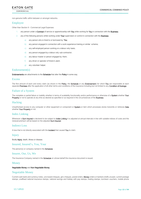non-genuine traffic within between or amongst networks.

#### Employee

Other than Section 9 - Commercial Legal Expenses:

- 1. any person under a Contract of service or apprenticeship with You while working for You in connection with the Business;
- 2. any of the following persons whilst working under Your supervision or control in connection with the Business;
	- a) any person who is hired to or borrowed by You;
	- b) any person engaged in connection with a work experience training or similar scheme;
	- c) any self-employed person working on a labour only basis;
	- d) any person engaged by a labour only sub-contractor;
	- e) any labour master or person engaged by them;
	- f) any driver or operator of hired-in plant;
	- g) any volunteer helper.

#### Endorsement(s)

Endorsements are attachments to the Schedule that alter the Policy in some way.

#### **Excess**

The first amount of each and every claim (as shown in the Policy, the Schedule or any Endorsement) for which You are responsible at each separate Premises after the application of all other terms and conditions of the insurance including but not limited to any Condition of Average.

#### Failure of a System

The complete or partial failure or inability whether in terms of availability functionality and/or performance or otherwise of a System whether Your Property or not to operate at any time as desired as specified or as required in the circumstances of the Business.

#### Hacking

Unauthorised access to any computer or other equipment or component or System or item which processes stores transmits or retrieves Data whether Your Property or not.

#### Index Linking

Whenever a Sum Insured is declared to be subject to Index Linking it is adjusted at annual intervals in line with suitable indices of costs and the renewal premium will be based on the adjusted Sum Insured.

#### Indirect Loss

A loss that is not directly associated with the Incident that caused You to claim.

#### Injury

Bodily Injury, death, illness or disease.

Insured, Insured's, You, Your

The person(s) or company named in the **Schedule** 

#### Insurer, Our, Us, We

The Insurance Company named in the **Schedule** on whose behalf this insurance document is issued.

#### **Money**

#### Negotiable Money and Non-Negotiable Money.

#### Negotiable Money

Current cash bank and currency notes, uncrossed cheques, giro-cheques, postal orders, Money orders or bankers drafts unused, current postage stamps, unaffixed national insurance stamps, national savings and holiday with pay stamps, trading stamps, luncheon vouchers, mobile phone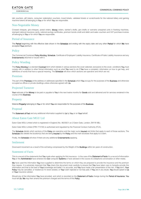talk vouchers, gift tokens, consumer redemption vouchers, travel tickets, validated tickets or scratchcards for the national lottery and gaming machine tokens all belonging to You or for which You are responsible.

#### Non-Negotiable Money

Crossed cheques, giro-cheques, postal orders, Money orders, banker's drafts, giro drafts or warrants unexpired units in franking machines, stamped national insurance cards, national savings certificates, premium bonds credit and debit card sales vouchers and VAT purchase invoices all belonging to You or for which You are responsible.

### Period of Insurance

The Period beginning with the effective date shown in the Schedule and ending with the expiry date and any other Period for which We have accepted Your premium.

#### **Policy**

The Commercial Combined Policy Wording, Schedule, Certificate of Employers' Liability Insurance, Certificate of Public Liability Insurance and any Endorsements attached or issued with it.

### Policy Wording

The Policy Wording is a standard Contract form which details in various sections the cover selected, exclusions to the cover, conditions You must comply with in addition to other formal information such as what You need to do if You have a complaint, information on how to get help, and definitions of words that have a special meaning. The Schedule will show which sections are operative and which are not.

#### **Premises**

The part of the Premises at the address or addresses specified in the Schedule which You occupy for the purposes of the Business and otherwise occupied as offices or private dwellings unless otherwise agreed with Us.

#### Projected Turnover

Your estimate of the Money to be paid or payable to You in the next twelve months for Goods sold and delivered and for services rendered in the course of the Business.

#### **Property**

Material Property belonging to You or for which You are responsible for the purposes of the Business.

#### Proposal

The Statement of Fact and any additional information supplied to Us by You or on Your behalf.

#### About Eaton Gate MGU Ltd

Eaton Gate MGU Limited which is registered in England (No. 9825821) at 2 Eaton Gate, London, SW1W 9BJ.

Eaton Gate MGU Limited (FRN 773194) is authorised and regulated by the Financial Conduct Authority (FCA).

The Schedule details which sections of the Policy are operative and the major sums Insured and limits that apply to each of those sections. The Schedule also details the location(s) that are being **Insured** by the Policy and the main excesses that apply to a claim.

Finally, the Schedule will show if there are any additional Endorsements applying.

#### Settlement

Downward movement as a result of the soil being compressed by the Weight of the **Buildings** within ten years of construction.

#### Statement of Facts

This is a record of the statements that You made when applying for this insurance – in the case of the Statement of Facts it is a record of information You or the Administrator have entered into Our computer Systems or have advised in the course of a telephone conversation or other media.

We have used the information You have supplied to determine the terms on which they are prepared to provide the insurance and the premium they require. It is extremely important that You check this document most carefully to ensure that You have taken care to honestly provide this information and that to the best of Your knowledge and belief, it is accurate, and You have made a fair presentation of the risk. If You don't, Your Policy may be cancelled, or treated as if it never existed, or Your claim rejected or not fully paid. If You are in any doubt, You should speak to Us or Your insurance advisor.

Should any of the information You have provided, and which is recorded on the Statement of Facts change during the Period of Insurance, You must tell Us. We may then amend the premium charged and the terms of this Policy.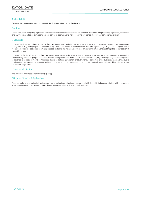#### Subsidence

Downward movement of the ground beneath the **Buildings** other than by **Settlement**.

#### System

Computers, other computing equipment and electronic equipment linked to computer hardware electronic Data processing equipment, microchips and anything that relies on a microchip for any part of its operation and includes for the avoidance of doubt any computer installation.

#### **Terrorism**

In respect of all sections other than 5 and 6 Terrorism means an act including but not limited to the use of force or violence and/or the threat thereof of any person or group(s) of persons whether acting alone or on behalf of or in connection with any organisation(s) or government(s) committed for political, religious, ideological or similar purposes, including the intention to influence any government and/or to put the public or any section of the public in fear.

In respect of Sections 5 and 6 only Terrorism means any act whether involving violence or the use of force or not or the threat or the preparation thereof of any person or group(s) of persons whether acting alone or on behalf of or in connection with any organisation(s) or government(s) which is designed to or does intimidate or influence a de jure or de facto government or governmental organisation or the public or a section of the public or disrupt any segment of the economy and from its nature or context is done in connection with political, social, religious, ideological or similar causes and objectives.

#### Territorial Limits

The territories and areas detailed in the **Schedule**.

#### Virus or Similar Mechanism

Program code, programming instruction or any set of instructions intentionally constructed with the ability to Damage interfere with or otherwise adversely affect computer programs, Data files or operations, whether involving self-replication or not.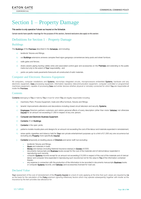## <span id="page-15-0"></span>Section 1 – Property Damage

This section is only operative if shown as Insured on the Schedule.

Certain words have specific meanings for the purpose of this section, General exclusions also apply to this section.

### Definitions for Section 1 – Property Damage

#### Buildings

The **Buildings** of the **Premises** described in the **Schedule**, and including:

- a) landlords' fixtures and fittings;
- b) out **Buildings** extensions annexes canopies fixed signs gangways conveniences lamp posts and street furniture;
- c) walls gates and fences;
- d) drains sewers piping ducting cables wires and associated control gear and accessories on the **Premises** and extending to the public mains but only to the extent of Your responsibility; and
- e) yards car parks roads pavements forecourts all constructed of solid materials.

#### Computer and Electronic Business Equipment

All computers, computer installations and Systems, microchips integrated circuits, microprocessors embedded Systems, hardware and any electronic equipment, Data processing equipment, information repository telecommunication equipment, computer controlled or programmed machinery equipment, capable of processing Data and similar devices whether physical or remotely connected for which You are responsible all inside the Premises.

#### **Contents**

Contents belonging to You or held by You in trust for which You are legally responsible including:

- a) machinery Plant, Process Equipment, trade and office furniture, fixtures and fittings;
- b) tenants' improvements alterations and decorations including closed circuit television and security Systems;
- c) Employees Directors partners customers and visitors personal effects of every description (other than motor Vehicles) not otherwise Insured for an amount not exceeding £1,000 in respect of any one person;
- d) Computer and Electronic Business Equipment;
- e) Contents of out Buildings;
- f) Contents in the open yards;
- g) patterns models moulds plans and designs for an amount not exceeding the cost of the labour and materials expended in reinstatement;
- h) wines spirits cigarettes and tobacco held for **Your** own private entertainment purposes up to a limit of £1,000 any one occurrence but excluding any Property more specifically Insured
- i) Contents temporarily at dwelling places of Directors and senior staff; but excluding:
	- landlords' fixtures and fittings:
	- Stock and materials in trade;
	- Money and stamps (including National Insurance stamps) in Excess of £500;
	- documents manuscripts and Business books except for the cost of the materials and of clerical labour expended in reproducing such records;
	- computer Systems records except for an amount not exceeding £10,000 in respect of the cost of the materials and of clerical labour and computer time expended in reproducing such records but not for the value to You of the information contained therein;
	- any expense in connection with the production of the information to be recorded in documents manuscripts **Business** books or computer Systems records; and Vehicles (and accessories) licensed for road use.

### Declared Value

Your assessment of the cost of reinstatement of the Property Insured at a level of costs applying at the time that such values are required by Us as the basis for the calculation of the Policy premium (ignoring inflationary factors which may operate subsequently) together with insofar as the insurance by the item provides due allowance for: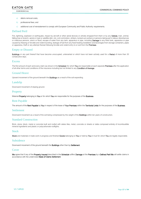- a) debris removal costs;
- b) professional fees; and
- c) additional cost of reinstatement to comply with European Community and Public Authority requirements.

#### Defined Peril

Fire, lightning, explosion or earthquake, impact by aircraft or other aerial devices or articles dropped from them or by any Vehicle, train, animal, falling tree or branch, aerial or mast or satellite dish, riot, civil commotion, strikers, locked-out workers or persons taking part in labour disturbances or malicious persons, storm or flood, escape of water from any tank, apparatus or pipe, including **Damage** to any fixed tank, apparatus or pipe caused by freezing or forcible and violent bursting, leakage of fuel from any fixed heating installation and beverages from storage containers, pipes or apparatus, theft or any attempt thereat following forcible and violent entry to or exit from the Premises.

#### Empty or Disused

Buildings or any part thereof that have become unoccupied, untenanted or which have not been actively used for a Period of more than 30 consecutive days.

#### Excess

The first amount of each and every claim (as shown in the Schedule) for which You are responsible at each separate Premises after the application of all other terms and conditions of the insurance including but not limited to any Condition of Average.

#### Ground Heave

Upward movement of the ground beneath the **Buildings** as a result of the soil expanding.

#### Landslip

Downward movement of sloping ground.

#### **Property**

Material **Property** belonging to **You** or for which **You** are responsible for the purposes of the **Business**.

#### Rent Payable

The amount of the Rent Payable by You in respect of the lease of Your Premises within the Territorial Limits for the purposes of the Business.

#### Settlement

Downward movement as a result of the soil being compressed by the weight of the **Buildings** within ten years of construction.

#### Standard Construction

Brick, stone, block, metal or concrete built and roofed with slates tiles, metal, concrete or sheets or slabs composed entirely of incombustible mineral ingredients and plastic or polycarbonate rooflights.

#### **Stock**

Stock and materials in trade work in progress and finished Goods belonging to You or held by You in trust for which You are legally responsible.

#### Subsidence

Downward movement of the ground beneath the Buildings other than by Settlement.

#### Cover

We agree that if any of the Property Insured described in the Schedule suffers Damage at the Premises by a Defined Peril We will settle claims in accordance with the undernoted Basis of Claims Settlement.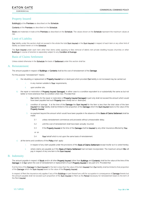#### Property Insured

Building(s) at the Premises as described on the Schedule.

Contents at the Premises as described on the Schedule.

Stock and materials in trade at the Premises as described on the Schedule. The values shown on the Schedule represent the maximum values at risk.

### Limit of Liability

Our liability under this section shall not exceed in the whole the total Sum Insured or the Sum Insured in respect of each item or any other limit of liability as stated herein or in the Schedule.

The Sum Insured under each item other than items solely applying to fees removal of debris rent private dwelling houses churches or other Buildings in course of erection is separately subject to any Condition of Average.

#### Basis of Claims Settlement

Unless stated otherwise in the **Schedule** the basis of **Settlement** under this section shall be:

#### A. Reinstatement:

The amount payable in respect of Buildings or Contents shall be the cost of reinstatement of the Damage.

For this purpose "reinstatement" means:

- a) the rebuilding or replacement of Property Insured lost or destroyed which provided Our liability is not increased may be carried out:
	- i. in any manner suitable to Your requirements;
	- ii. upon another site.
- b) the repair or restoration of **Property Insured Damaged**, in either case to a condition equivalent to or substantially the same as but not better or more extensive than its condition when new. Provided that:
	- Our liability for the repair or restoration of Property Insured Damaged in part only shall not exceed the amount which would have been payable had such **Property** been wholly lost or destroyed;
	- 2. condition of average. It at the time of the Damage the Sum Insured for the Item is less than the total value of the item Insured then Our liability shall be limited to that proportion of the Damage which the Sum Insured bears to the value of the Property Insured;
	- 3. no payment beyond the amount which would have been payable in the absence of this Basis of Claims Settlement shall be made:
		- 3.1 unless reinstatement commences and proceeds without unreasonable delay;
		- 3.2 until the cost of reinstatement shall have been actually incurred;
		- 3.3 if the Property Insured at the time of the Damage shall be Insured by any other insurance effected by You;
		- or on
		- 3.4 Your behalf which is not upon the same basis of reinstatement.
- c) all the terms and conditions of this Policy shall apply:
	- i. in respect of any claim payable under the provisions of this **Basis of Claims Settlement** except insofar as it is varied hereby;
	- ii. where claims are payable as if this **Basis of Claims Settlement** had not been incorporated. The maximum amount We will pay in respect of any one item is the Sum Insured.

#### B. Indemnity

The amount payable in respect of Stock and/or all other Property Insured (other than Buildings and Contents) shall be the value at the time of the Damage or at Our option the cost of reinstatement or replacement of such Property Insured or any part of it. Provided that:

If at the time of the Damage the Sum Insured for the item is less than the value of the item Insured then Our liability shall be limited to that proportion of the Damage which the Sum Insured bears to the value of the Property Insured.

In respect of Rent the insurance only applies if any of the Buildings or part thereof are unfit for occupation in consequence of Damage thereto but the amount payable shall not exceed such proportion of the Sum Insured on Rent as the Period necessary for reinstatement bears to the term of the Rent Insured.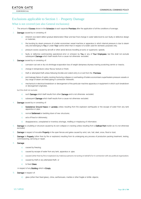### Exclusions applicable to Section 1 – Property Damage

### What is not covered (see also General exclusions):

- 1. The amount of Excess shown in the Schedule at each separate Premises after the application of all the conditions of average;
- 2. Damage caused by or consisting of:
	- a) inherent vice latent defect gradual deterioration Wear and tear frost change in water table level its own faulty or defective design or materials;
	- b) the bursting by steam pressure of a boiler economiser vessel machine or apparatus in which internal pressure is due to steam only and belonging to You or under Your control other than in respect of a boiler used for domestic purposes only;
	- c) pressure waves caused by aircraft or other aerial devices travelling at sonic or supersonic speeds;
	- d) faulty or defective workmanship operational error or omission by You or any of Your Employees; but this shall not exclude subsequent Damage which itself results from a cause not otherwise excluded.
- Damage caused by or consisting of:
	- a) corrosion rust wet or dry rot shrinkage evaporation loss of weight dampness dryness marring scratching vermin or insects;
	- b) change in temperature colour flavour texture or finish;
	- c) theft or attempted theft unless following forcible and violent entry to or exit from the **Premises**;
	- d) joint leakage failure of welds cracking fracturing collapse or overheating of boilers economisers superheaters pressure vessels or any range of steam and feed piping in connection therewith;
	- e) mechanical or electrical breakdown or derangement of the particular machine apparatus or equipment in which such breakdown or derangement originates.

but this shall not exclude:

- a) such **Damage** which itself results from other **Damage** and is not otherwise excluded;
- b) subsequent **Damage** which itself results from a cause not otherwise excluded.
- 4. Damage caused by or consisting of:
	- a) Subsidence Ground Heave or Landslip unless resulting from fire explosion earthquake or the escape of water from any tank apparatus or pipe;
	- b) normal **Settlement** or bedding down of new structures;
	- c) acts of fraud or dishonesty;
	- d) disappearance, unexplained or inventory shortage, misfiling or misplacing of information.
- 5. Damage to a building or structure caused by its own collapse or cracking unless resulting from a Defined Peril insofar as it is not otherwise excluded;
- 6. Damage in respect of movable Property in the open fences and gates caused by wind, rain, hail, sleet, snow, flood or dust;
- Damage to Property (other than by fire or explosion) resulting from its undergoing any process of production packing treatment, testing, commissioning, servicing or repair.

#### 8. Damage:

- a) caused by freezing;
- b) caused by escape of water from any tank, apparatus or pipe;
- c) caused (other than by fire or explosion) by malicious persons not acting on behalf of or in connection with any political organization;
- d) caused by theft or any attempted theft; or
- e) to fixed Glass;

in respect of any Building which is Empty.

- 9. Damage in respect of:
	- a) glass (other than fixed glass), china, earthenware, marble or other fragile or brittle objects;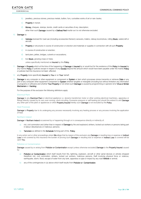- b) jewellery, precious stones, precious metals, bullion, furs, curiosities works of art or rare books;
- c) Property in transit;
- d) Money, cheques, stamps, bonds, credit cards or securities of any description; other than such Damage caused by a Defined Peril insofar as it is not otherwise excluded.

#### 10. Damage to:

- a) Vehicles licensed for road use (including accessories thereon) caravans, trailers, railway locomotives, rolling Stock, watercraft or aircraft;
- b) Property or structures in course of construction or erection and materials or supplies in connection with all such Property;
- c) in course of construction or erection;
- d) land piers, jetties, bridges, culverts or excavations;
- e) live **Stock**, growing crops or trees;

unless specifically mentioned as Insured by this Policy.

- 11. Damage to Property which at the time of the happening of Damage is Insured by or would but for the existence of this Policy be Insured by any marine Policy or policies except in respect of any Excess beyond the amount which would have been payable under the marine Policy or policies had this insurance not been affected;
- 12. any Property more specifically Insured by You or on Your behalf;
- 13. Damage to any computer or other equipment or component or System or item which processes stores transmits or retrieves Data or any part of any computer other equipment component or System whether tangible or intangible (including but without limitation any information or programs or software) and whether Your Property or not where such Damage is caused by programming or operator error Virus or Similar Mechanism or Hacking;

For the purpose of this exclusion the following definitions apply:

#### Electrical Plant

Damage to any Electrical Plant or electrical appliance i.e. dynamo transformer motor or other working electrical machinery, apparatus or fittings directly caused by its own over-running, short-circuiting, Excessive pressure or self-heating but should fire extend to and Damage any other part of the plant or appliances or other **Property Insured** hereby such **Damage** is not excluded by the **Policy**.

#### Heat Processes

Damage to Property due to its undergoing any process necessarily involving any heating process or any process involving the application of heat.

#### Northern Ireland

Damage in Northern Ireland occasioned by or happening through or in consequence directly or indirectly of:

- a) riot, civil commotion and (other than in respect of Damage by fire and explosion) strikers, locked out workers or persons taking part in labour disturbances or malicious persons;
- b) Terrorism as defined in the Schedule forming part of this Policy.

In any action suit or other proceedings where We allege that by reason of this exclusion any Damage or resulting loss or expense or Indirect Loss is not covered by this insurance the burden of proving such Damage or resulting loss or expense or Indirect Loss is covered will be upon You.

#### Pollution or Contamination

Damage caused by or arising from Pollution or Contamination except (unless otherwise excluded) Damage to the Property Insured caused by:

- a) Pollution or Contamination which itself results from fire, lightning, explosion, aircraft or other aerial devices or articles dropped therefrom riot, civil commotion, strikers, locked out workers, malicious persons, theft involving physical force or violence, earthquake, storm, flood, escape of water from any tank, apparatus or pipe or impact by any road Vehicle or animal;
- b) any of the contingencies in (a) above which itself results from **Pollution or Contamination**.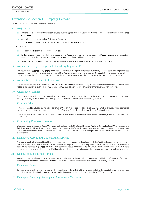### Extensions to Section 1 – Property Damage

Cover provided by this section is extended to include:

#### i. Acquisitions

- a) additions and extensions to the Property Insured (but not appreciation in value) made after the commencement of each annual Period of Insurance;
- b) any newly built or newly acquired **Buildings** or **Contents**;

at any Premises covered by this insurance or elsewhere in the Territorial Limits.

Provided that:

- a) such additional **Property** is not otherwise Insured;
- b) the Sum Insured by each item shall be increased for that Period only by the value of the additional Property Insured for an amount not exceeding 10% of the Buildings or Contents Sum Insured or £250,000 whichever is the less;
- $\circ$ ) You provide Us with details of these acquisitions as soon as practicable and pay the appropriate additional premium.

#### ii. Architects Surveyors Legal and Consulting Engineers Fees

The insurance for **Buildings** and **Contents** items includes an amount in respect of architects, surveyors, legal and consulting engineer's fees necessarily incurred in the reinstatement or repair of the Property Insured consequent upon its Damage but not for preparing any claim it being understood that the amount payable under the item shall not exceed in total the limits stated in the **Basis of Claims Settlement**.

#### iii. Automatic Reinstatement after a Loss

In the event of loss, the limits stated in the Basis of Claims Settlement will be automatically reinstated from the date of the loss unless written notice to the contrary is given either by Us or You and You shall pay any required premiums for reinstatement from that date.

#### iv. Clearance of Drains

The reasonable costs incurred by You to clear drains gutters and sewers owned by You or for which You are responsible as a result of Damage occurring to the Premises. Our liability under this clause shall not exceed £25,000 any one loss.

#### v. Contract Price

In respect only of Goods sold but not delivered for which You are responsible subject to a sale Contract which following Damage is cancelled by reason of its conditions wholly or to the extent of the Damage Our liability shall be based on the Contract Price.

For the purpose of this insurance the value of all Goods to which this clause could apply in the event of Damage shall also be ascertained on this basis.

#### vi. Contracting Purchasers Interest

We agree without prejudice to Our or Your rights and liabilities that if at the time of Damage You have Contracted to sell Your interest in any Building Insured by this section and the purchase has not been but will afterwards be completed the purchaser on completion of the purchase will be entitled to benefit under this section until completion except in so far as such **Building** is more specifically Insured by or on behalf of the purchaser.

#### vii. Damage to Cables and Underground Services

The cost of repair following accidental Damage to cables and underground service pipes and drains (and their inspection covers) for which You are responsible at the Premises or connecting them to the public mains Our liability under this clause shall not extend to include the costs of maintenance or Damage caused by rust corrosion gradual deterioration rot or fungus vermin insects atmospheric or climatic conditions or other wear and tear or normal Settlement or shrinkage or faulty workmanship defective design or the use of defective materials.

#### viii. Damage to Landscaped Gardens

We will pay the cost of restoring any Damage done to landscaped gardens for which You are responsible by the Emergency Services in attending the Premises as a result of a Defined Peril Our liability under this clause shall not exceed £25,000 any one loss.

#### ix. Damage to Signs

Damage to signs whilst fixed on the exterior of or outside and in the Vicinity of the Premises excluding Damage to Neon signs or any loss occurring whilst the building is Empty or Disused Our liability under this clause shall not exceed £10,000 any one loss.

#### x. Damage to Vending Gaming and Amusement Machines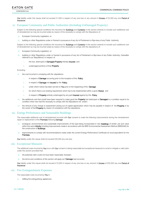Our liability under this clause shall not exceed £1,000 in respect of any one loss or any amount in Excess of £5,000 any one Period of

### xi. European Community and Public Authorities (Including UnDamaged Property)

Subject to the following special conditions the insurance for **Buildings** and **Contents** in this section extends to include such additional cost of reinstatement as may be incurred solely by reason of the necessity to comply with the Stipulations of:

- European Community Legislation; or
- b) building or other Regulations under or framed in pursuance of any Act of Parliament or Bye-laws of any Public Authority.

Subject to the following special conditions the insurance for **Buildings** and **Contents** in this section extends to include such additional cost of reinstatement as may be incurred solely by reason of the necessity to comply with the stipulations of:

- a) European Community Legislation; or
- b) building or other Regulations under or framed in pursuance of any Act of Parliament or Bye-laws of any Public Authority; (hereafter referred to as 'Stipulations') in respect of:
	- the lost, destroyed or Damaged Property thereby Insured; and
	- ii. undamaged portions of that **Property**.

Excluding:

Insurance.

**EATON GATE** COMMERCIAL

- a) the cost incurred in complying with the stipulations:
	- i. in respect of Damage occurring prior to the inception of this Policy;
	- ii. in respect of Damage not Insured by the Policy;
	- iii. under which notice has been served on You prior to the happening of the Damage;
	- $iv.$  for which there is an existing requirement which has to be implemented within a given **Period**; and
	- v. in respect of Property entirely undamaged by any peril Insured against by this Policy.
- the additional cost that would have been required to make good the Property lost destroyed or Damaged to a condition equal to its condition when new had the necessity to comply with the Stipulations not arisen;
- c) the amount of any charge or assessment arising out of capital appreciation which may be payable in respect of the Property or by the owner of that **Property** by reason of compliance with the stipulations.

#### xii. Energy Performance and Sustainable Buildings

The reasonable additional cost of reinstatement incurred with Our consent to make the following improvements during the reinstatement repair or replacement of the Premises following Damage:

- ecological, environmental and sustainable improvements of the type being incorporated in new **Buildings** of similar use and value within the same Vicinity including improvements made in accordance with the BRE Environmental Assessment Method (BREEAM) for the construction of **Buildings**;
- b) improvements to comply with recommendations made under the current Energy Performance Certificate (or local equivalent) for the **Premises**

Our liability under this clause shall not exceed £50,000 any one loss.

#### xiii. Exceptional Measures

The additional costs incurred by You incur with Our consent in taking reasonable but exceptional measures to avoid or mitigate a valid claim under this section provided that:

- a) the potential claim could not have been reasonably foreseen;
- b) the terms and conditions of this section will apply as if **Damage** had occurred.

Our liability under this clause shall not exceed £10,000 in respect of any one loss or any amount in Excess of £50,000 any one Period of Insurance.

#### xiv. Fire Extinguishment Expenses

The reasonable costs incurred by You in:

a) refilling fire extinguishing appliances;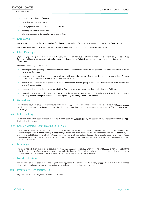- b) recharging gas flooding Systems;
- c) replacing used sprinkler heads;
- d) refilling sprinkler tanks where water costs are metered;
- e) resetting fire and intruder alarms;

all in consequence of Damage Insured by this section.

#### xv. Exhibitions

Contents extends to cover Property described for a Period not exceeding 15 days whilst at any exhibition within the Territorial Limits.

Our liability under this clause shall not exceed £50,000 any one loss and £100,000 any one Period of Insurance.

#### xvi. Glass Breakage

We will at Our option pay for or make good to You any breakage or malicious scratching of internal or external fixed Glass being Your Property for which You are responsible at the Premises occurring during the Period of Insurance and being in sound condition at the inception of this Policy.

We will in addition pay for the cost of:

- a) breakage all fixed glass or polycarbonate substitute and solar glass heating panels including shelves showcases and mirrors and fixed items of sanitary ware;
- b) boarding up and repair to associated framework reasonably incurred as a result of an Insured breakage. You may without Our prior consent instruct builders or glaziers to board up where necessary;
- c) repair or replacement of lettering alarm foil or other ornamentation work on glass provided that Our maximum liability for any one loss shall not exceed £500;
- d) repair or replacement of fixed mirrors provided that Our maximum liability for any one loss shall not exceed £500; and
- e) removal or replacement of fixtures and fittings which may be necessary in connection with the replacement of the glass excluding any breakage whilst **Buildings** are **Empty** and or more specifically **Insured** by You or on Your behalf.

#### xvii. Ground Rent

The additional payment for up to 2 years ground rent if the Premises are rendered temporarily uninhabitable as a result of Damage Insured by this section but only for the Period necessary for reinstatement Our liability under this clause shall not exceed 20% of the Sum Insured on Buildings.

#### xviii. Index Linking

Unless this section has been extended to include day one basis the **Sums Insured** by this section are automatically increased by Index Linking at each renewal.

#### xix. Loss of Metered Water Heating Oil or Gas

The additional metered water heating oil or gas charges incurred by You following the loss of metered water or oil contained in a fixed installation or gas at the Premises following Insured Damage. Our liability under this clause shall not exceed any amount in Excess of £5,000 any one loss and £25,000 any one Period of Insurance or any loss which has not been discovered and remedial action taken within 60 days of the occurrence or any loss occurring whilst the building is **Empty or Disused. We** shall not be liable for the first £250 of each and every loss under this extension.

#### xx. Mortgagees

The act or neglect of any mortgagor or occupier of any Building Insured by this Policy whereby the risk of Damage is increased without the authority or knowledge of any mortgagees shall not prejudice the interest of the mortgagees in this insurance provided they shall notify Us immediately on becoming aware of such increased risk and pay an additional premium if required.

#### xxi. Non-Invalidation

Any act omission or alteration unknown to You or beyond Your control which increases the risk of Damage will not invalidate this insurance if immediately You become aware You give notice to Us and pay an additional premium if required.

#### xxii. Proprietary Refrigeration Unit

Any deep freeze chiller refrigeration cabinet or cold store.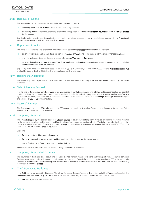#### xxiii. Removal of Debris

The reasonable costs and expenses necessarily incurred with Our consent in:

- a) removing debris from the **Premises** and the area immediately adjacent;
- b) dismantling and/or demolishing, shoring up or propping of the portion or portions of the Property Insured as a result of Damage Insured by this section.

Our liability under this extension does not extend to include any costs or expenses arising from pollution or contamination of Property not Insured by this section or which is more specifically Insured.

#### xxiv. Replacement Locks

The costs of changing the safe, strongroom and external door locks at the **Premises** in the event that the keys are:

- a) stolen by forcible and violent entry to or exit from the Premises or Your home or the home of a Director or authorized Employee;
- b) stolen by violence or threat of violence to You or A Director or Your family or Employees;
- c) provided that unless You, Your Director or Your Employee live on the Premises the keys to any safe or strongroom must not be left at the Premises when closed for Business.

Our liability under this clause shall not exceed any amount in Excess of £2,500 any one loss and £25,000 any one Period of Insurance. We shall not be liable for the first £250 of each and every loss under this extension.

#### xxv. Repairs and Alterations

Tradesmen may be employed to effect repairs or minor structural alterations in all or any of the **Buildings Insured** without prejudice to this insurance.

#### xxvi.Sale of Property Insured

If at the time of Damage You have Contracted to sell Your interest in any Building Insured by this Policy and the purchase has not been but is later completed the purchaser on completion of the purchase (if and so far as the Property is not otherwise Insured against such Damage by him or on his behalf) shall be entitled to the benefit under this section so far as it relates to such Damage without prejudice to the rights and liabilities of You or Us until completion.

#### xxvii.Seasonal Increase

The Sum Insured in respect of Stock is increased by 30% during the months of November, December and January or for any other Period selected by You and stated in the Schedule.

#### xxviii.Temporary Removal

The Property Insured by this section (other than Stock if Insured) is covered whilst temporarily removed for cleaning renovation repair or similar purposes elsewhere and in transit to and from the cleaner's renovators or repairers all in the Territorial Limits. Our liability under this clause in respect of each item of this section for any Damage occurring elsewhere than at the Premises shall not exceed £50,000 any one claim and £100,000 any one Period of Insurance.

Excluding:

- a) Property insofar as it is otherwise Insured; or
- b) Property temporarily removed to motor Vehicles and motor chassis licensed for normal road use;
- c) due to Theft Storm or Flood unless kept in a locked building;

We shall not be liable for the first £250 of each and every loss under this extension.

#### xxix. Temporary Removal of Documents

The insurance of deeds and other documents (including stamps thereon) manuscripts plans and writings of every description computer Systems records and books (written and printed) extends to cover such Property for an amount not exceeding £5,000 whilst temporarily removed to any Premises not in Your occupation and in transit to and from these Premises all in the Territorial Limits but excluding Property insofar as it is otherwise Insured.

#### xxx. Theft Damage to Buildings

If the Buildings are not Insured by this section We will pay for loss or Damage (except for fire) to that part of the Premises referred to in the Schedule containing the Property Insured under this section directly resulting from theft or attempted theft provided that:

You are responsible for these repairs;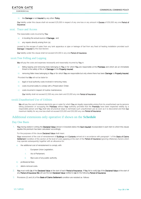#### b) the Damage is not Insured by any other Policy.

Our liability under this clause shall not exceed £25,000 in respect of any one loss or any amount in Excess of £50,000 any one Period of Insurance.

#### xxxi. Trace and Access

The reasonable costs incurred by You:

- a) in locating the actual source of **Damage**, and
- b) any repairs directly arising from (a).

caused by the escape of water from any tank apparatus or pipe or leakage of fuel from any fixed oil heating installation provided such Damage is Insured by this Sub-Section.

Our liability under this clause shall not exceed £25,000 in any one Period of Insurance.

#### xxxii.Tree Felling and Lopping

We will pay the costs and expenses necessarily and reasonably incurred by You in:

- a) felling lopping and removing trees belonging to You or for which You are responsible at the Premises and which are an immediate threat to the safety of life or of Damage to the Property Insured;
- b) removing fallen trees belonging to You or for which You are responsible but only where there has been Damage to Property Insured;

Provided that We will not be liable for:

- a) legal or local authority costs involved in removing trees;
- b) costs incurred solely to comply with a Preservation Order;
- c) costs incurred in respect of routine maintenance;

Our liability shall not exceed £2,500 any one claim and £5,000 any one Period of Insurance.

#### xxxiii.Unauthorised Use of Utilities

We will pay the cost of metered electricity gas or water for which You are legally responsible arising from its unauthorised use by persons taking possession or occupying the Premises without Your authority provided that the Premises have been inspected weekly by a responsible person and You shall take all practical steps to terminate such unauthorised use as soon as it is discovered and that Our maximum liability for any one loss shall not exceed £25,000 and £50,000 any one Period of Insurance.

### Additional extensions only operative if shown on the **Schedule**

#### Day One Basis

1. You having stated in writing the Declared Value (shown in brackets below the Sum Insured) incorporated in each item to which this clause applies the premium has been calculated accordingly.

For the purposes of this clause Declared Value shall mean:

Your assessment of the cost of reinstatement of Buildings and Contents arrived at in accordance with paragraph 1 of the Basis of Claims Settlement Condition of this section at the level of costs applying at the start of the Period of Insurance (ignoring inflationary factors which may operate subsequently) together with an allowance for:

- a) the additional cost of reinstatement to comply with:
	- i. European Union Legislation;
	- ii. Act of Parliament;
	- iii. Bye-Laws of any public authority.
- b) professional fees:
- c) debris removal costs.
- You must notify Us of the Declared Value at the start of each Period of Insurance. If You fail to notify Us of the Declared Value at the start of any Period of Insurance We will use the last Declared Value notified to Us for the following Period of Insurance.
- 3. Provisions (2) and (4) of the Basis of Claims Settlement condition are restated as follows: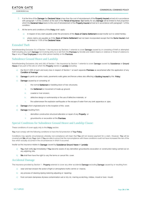### **EATON GATE**

#### COMMERCIAL

- 2. if at the time of the Damage the Declared Value is less than the cost of reinstatement of the Property Insured arrived at in accordance with paragraph 1 of this condition at the start of the Period of Insurance. Our liability for any Damage will be limited to that proportion which the Declared Value bears to the cost of reinstatement of the Property Insured arrived at in accordance with paragraph 1 of this condition:
- 4. All the terms and conditions of this **Policy** shall apply:
	- a) in respect of any claim payable under the provisions of this **Basis of Claims Settlement** except insofar as it is varied hereby;
	- b) where claims are payable as if this Basis of Claims Settlement had not been incorporated except that the Sums Insured shall be limited to 115% of the Declared Value.

#### Extended Theft

Notwithstanding Exclusion 3c) of Section 1 the insurance by Sections 1 extends to cover Damage caused by or consisting of theft or attempted theft including any such Damage not involving entry to or exit from the Premises by forcible and violent means or violence or threat of violence to You or any of Your Employees or any other person lawfully on the Premises.

#### Subsidence Ground Heave and Landslip

Notwithstanding Exclusions (4a) and (4b) of Section 1 the insurance by Section 1 extends to cover Damage caused by Subsidence or Ground Heave of any part of the site on which the Property stands or Landslip excluding:

- a) the first £1,000 of each and every loss in respect of Section 1 at each separate Premises as ascertained after the application of any Condition of Average;
- b) Damage to yards car parks roads, pavements walls gates and fences unless also affecting a Building Insured by this Policy;
- c) Damage caused by or consisting of:
	- i. the normal **Settlement** or bedding down of new structures;
	- ii. the **Settlement** or movement of made-up ground;
	- iii. coastal or river erosion:
	- iv. defective design or workmanship or the use of defective materials; or
	- v. fire subterranean fire explosion earthquake or the escape of water from any tank apparatus or pipe.
- d) Damage which originated prior to the inception of this cover;
- e) Damage resulting from:
	- i. demolition construction structural alteration or repair of any **Property**; or
	- ii. groundworks or excavation at the **Premises**.

#### Special Conditions for Subsidence Ground Heave and Landslip Clause:

These conditions of cover apply only to this **Policy** section.

You must comply with the following conditions to have the full protection of Your Policy.

Conditions may specify circumstances whereby non-compliance will mean that You will not receive payment for a claim. However, You will be covered and We will pay Your claim if You are able to prove that the noncompliance with these conditions could not have increased the risk of the loss which actually occurred in the circumstances in which it occurred.

Insofar as this insurance relates to Damage caused by Subsidence Ground Heave or Landslip:

- a) You shall notify Us immediately if You become aware of any demolition groundworks excavation or construction being carried out on any adjoining site;
- b) We shall then have the right to vary the terms or cancel this cover.

#### Accidental Damage

The insurance provided by Section 1 - Property extends to cover any other accidental Damage excluding Damage caused by or resulting from:

- a) wear and tear erosion the action of light or atmosphere moths vermin or insects;
- b) any process of cleaning dyeing restoring adjusting or repairing;
- c) frost corrosion dampness dryness contamination wet or dry rot, marring scratching, mildew, mould or toxic mould;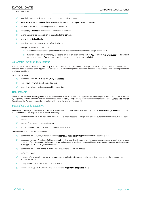### **EATON GATE**

COMMERCIAL

- d) wind, hail, sleet, snow, flood or dust to boundary walls, gates or fences;
- e) Subsidence or Ground Heave of any part of the site on which the Property stands or Landslip;
- $f$  the normal **Settlement** or bedding down of new structures;
- g) any Buildings Insured by this section own collapse or cracking;
- h) normal maintenance redecoration or repair. Excluding Damage;
- i) by any of the Defined Perils;
- j) specifically excluded by any of the **Defined Perils**; or

Damage caused by or consisting of:

- a) inherent vice latent defect gradual deterioration frost its own faulty or defective design or materials;
- b) faulty or defective workmanship, operational error or omission on the part of You or any of Your Employees but this will not exclude subsequent Damage which results from a cause not otherwise excluded.

#### Automatic Sprinkler Installations

The insurance provided by Section 1 - Property extends to cover accidental discharge or leakage of water from an automatic sprinkler installation provided that You shall so far as Your responsibility extends maintain the sprinkler installation including any automatic alarm signaling equipment in efficient condition.

#### Excluding Damage:

- a) happening whilst the Premises are Empty or Disused;
- b) caused by heat which is itself caused by fire;
- c) caused by explosion earthquake or subterranean fire.

#### Rent Payable

Where an item covering Rent Payable is specifically described in the Schedule cover applies only if a Building in respect of which rent is payable by You or any part of it is unfit for occupation in consequence of Damage. We will not pay for more than the proportion of the Sum Insured on Rent Payable that the Period necessary for reinstatement bears to the term of rent covered.

#### Perishable Goods Extension

We will pay for Damage to perishable Goods due to deterioration or putrefaction whilst stored only in any Proprietary Refrigeration Unit contained in the Premises for the purpose of the Business caused by:

- a) breakdown or failure of the installation which means sudden stoppage of refrigeration process by reason of inherent fault or accidental means;
- b) escape of refrigerant or refrigeration fumes;
- c) accidental failure of the public electricity supply. Provided that:

We will not be liable under this extension for:

- a) loss caused by wear, tear, deterioration of the Proprietary Refrigeration Unit or other gradually operating cause;
- b) loss occurring in any **Proprietary Refrigeration Unit** which is older than 5 years when this insurance commences unless there is in force in respect of such Proprietary Refrigeration Unit a maintenance or service agreement either with the manufacturers or suppliers thereof or an approved firm of refrigeration engineers;
- c) loss caused by incorrect setting of thermostats or automatic controlling devices;
- d) any Indirect Loss;
- e) loss arising from the deliberate act of the public supply authority or the exercise of its power to withhold or restrict supply or from strikes or industrial disputes;
- f) Damage Insured by any other section of this Policy;
- g) any amount in Excess of £5,000 in respect of any one Proprietary Refrigeration Unit.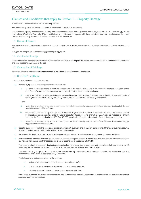### Clauses and Conditions that apply to Section 1 – Property Damage

These conditions of cover apply only to this **Policy** section.

You must comply with the following conditions to have the full protection of Your Policy.

Conditions may specify circumstances whereby non-compliance will mean that You will not receive payment for a claim. However, You will be covered and We will pay Your claim if You are able to prove that the non-compliance with these conditions could not have increased the risk of the loss which actually occurred in the circumstances in which it occurred.

#### 1.1 Change of Tenancy

You must advise Us of all changes in tenancy or occupation within the Premises as specified in the General terms and conditions - Alteration in Risk.

If You do not comply with this condition We will not pay Your claim.

#### 1.2 Condition of Average

If at the time of the Damage the Sum Insured is less than the total value of the Property You will be considered as Your own Insurer for the difference and bear a proportionate share of the loss.

#### 1.3 Construction of Buildings

Except as otherwise stated the **Buildings** described in the **Schedule** are of Standard Construction.

#### 1.4 Deep Fat Frying Ranges

It is a condition precedent to Our liability that:

- deep fat frying ranges and frying equipment are fitted with:
	- operating thermostats set to prevent the temperature of the cooking oils or fats rising above 205 degrees centigrade or the manufacturer's maximum recommended temperature if less than 205 degrees centigrade;
	- ii. a separate high temperature limit control of a non-self-resetting type to shut off the heat source should the temperature of the cooking oils or fats reach 230 degrees centigrade in the event of failure of the operating thermostats;

and

- iii. where Gas is used as the fuel source such equipment is to be additionally equipped with a flame failure device to cut off the gas supply in the event of flame failure.
- iv. connection of the deep fat frying equipment to the power or gas supply is to be carried out either by the supplier manufacturer or by a registered person operating under the Capita Gas Safety Register scheme (or are C.O.R.G.I. registered in respect of Northern Ireland or the Channel Islands) or NICEIC or SELECT (Scotland only) registered contractor for electrical power supplies.
- v. where Gas is used as the fuel source such equipment is to be additionally equipped with a flame failure device to cut off the gas supply in the event of flame failure.
- b) deep fat frying ranges including associated extraction equipment, ductwork and all ancillary components of the flue or ducting is securely fixed and free from contact with combustible surfaces and materials;
- c) the exhaust ducting is to be constructed of and supported by galvanized or stainless steel having watertight seams and joints
- d) extraction hoods canopies filters and grease traps are cleaned at frequent intervals in accordance with manufacturer's recommendations but not less than once a month Disposable filters are to be renewed at least once a fortnight;

The entire length of all extraction ducting including extraction motors and fans are serviced and deep cleaned at least once every 12 months by the installers or a specialist contractor in accordance with the manufacturers' instructions.

The deep fat frying equipment is to be inspected and serviced by the installers or a specialist contractor in accordance with the manufacturing instructions at least once every 12 months.

The following is to be included as part of the process:

- i. testing of all temperatures, controls and thermostatic cut-out's;
- ii. checking of ducts burners fuel and power connections and controls;
- iii. cleaning of internal surfaces of the extraction ductwork and fans;

Where fitted, automatic fire suppression equipment is to be maintained annually under contract by the equipment manufacturer or their appointed approved contractors.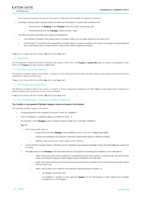All servicing and cleaning records are to be kept in a safe place and available for inspection if required.

- e) cracklings cooking residue cleaning waste and wipes are to be placed in closed metal containers and:
	- i. removed from the **Buildings** at the **Premises** at the end of each working day; and
	- ii. removed entirely from the **Premises** at least once per week.
- f) the following safety precautions are in place and operational
	- i. a fire blanket is situated in the cooking area in a position where it can be safely reached in the event of fire
	- ii. a 6 litre Class F wet chemical fire extinguisher is situated where it is easily accessible in the vicinity of any deep fat frying equipment and is maintained under an annual service contract with a BAFE registered contractor

If You do not comply with this condition, We will not pay Your claim.

#### 1.5 Designation

**EATON GATE** COMMERCIAL

For the purposes of determining where necessary the heading under which any Property is Insured We agree to accept the designation under which such **Property** has been entered in Your books.

#### 1.6 Fire Break Doors and Shutters

The following conditions apply to this section, in respect to all fire break doors and shutters are kept closed except during working hours and are maintained in efficient working order.

If You do not comply with this condition We will not pay Your claim.

#### 1.7 Fire Extinguishing Appliances

The following conditions apply to this section, in respect to all fire extinguishing appliances for which You are responsible will be maintained in efficient working order during the currency of this insurance.

If You do not comply with this condition, We will not pay Your claim.

#### 1.8 Fire Extinguishment – Automatic Sprinkler Installations

#### This Condition is only operative if Sprinkler Leakage is shown as Insured on the Schedule

The following conditions apply to this section:

- a) a reduced premium rate is allowed on account of such an installation;
- b) such an installation is required by Us as a condition of cover; or
- $\circ$  the insurance covers **Damage** by the accidental escape of water from a sprinkler installation;

#### You will:

- a) take all reasonable steps to:
	- i. prevent frost and other Damage to the installations; and in so far as it is Your responsibility:
	- ii. maintain the installations (including the automatic external alarm signal) in efficient condition;
	- iii. maintain ready access to the water supply control facilities;
- b) in the event that changes repairs or alterations to the installations are proposed notify Us in writing and obtain Our prior agreement in writing;
- c) allow Us access to the Premises at all reasonable times for the purpose of inspecting the installations; and undertake to:
	- make a test every week for the purposes of ascertaining that the alarm gong is in working order and that the stop valves controlling the individual water supplies and the installations are fully open;
	- ii. make a test every working day for the purposes of ascertaining the condition of the circuit between the alarm switch and the control unit;
	- iii. make a test at least once a week for the purposes of ascertaining the condition of:
		- i. the Brigade connection; and
		- ii. the batteries in respect of each approved System for the transmission of alarm signals from sprinkler installations to a Fire Brigade;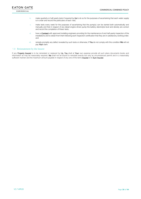- iv. make quarterly or half-yearly tests if required by Us to do so for the purposes of ascertaining that each water supply is in order and record the particulars of each test;
- v. make tests every week for the purposes of ascertaining that the pump(s) can be started both automatically and manually and that in respect of any diesel engine driven pump the battery electrolyte level and density are correct and record the completion of these tests;
- vi. have a Contract with approved installing engineers providing for the maintenance of and half-yearly inspection of the installations and to obtain from them following each inspection certification that they are in satisfactory working order; and
- vii. remedy promptly any defect revealed by such tests or otherwise; If You do not comply with this condition We will not pay Your claim.

#### 1.9 Reinstatement by the Insurer

If any Property Insured is to be reinstated or replaced by Us, You shall at Your own expense provide all such plans documents books and information as may be reasonably required. We shall not be bound to reinstate exactly but only as circumstances permit and in a reasonably sufficient manner and the maximum amount payable in respect of any one of the items Insured is its Sum Insured.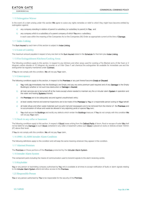### 1.10 Subrogation Waiver

In the event of a claim arising under this section We agree to waive any rights remedies or relief to which they might have become entitled by subrogation against:

- a) any company standing in relation of parent to subsidiary (or subsidiary to parent) to You; and
- b) any company which is a subsidiary of a parent company of which You are a subsidiary;
	- in each case within the meaning of the Companies Act or the Companies (NI) Order as appropriate current at the time of Damage.

#### 1.11 Index Linking

The Sum Insured by each item of this section is subject to Index Linking.

#### 1.12 Limit of Liability

The maximum amount payable in respect of any one item is the Sum Insured stated in the Schedule for that item plus Index Linking.

#### 1.13 Fire Extinguishment Kitchens/Cooking Areas

The following conditions apply to this section, in respect to any kitchens and other areas used for cooking a Fire Blanket and a 9 liter foam or 2 kilogram carbon dioxide or 4.5 kilogram dry powder or a 6 liter Class F wet chemical fire extinguisher be available for immediate use and the extinguisher be regularly maintained under Contract.

If You do not comply with this condition, We will not pay Your claim.

#### 1.14 Unoccupancy

The following conditions apply to this section, in respect to the Premises or any part thereof become Empty or Disused:

- a) You notify Us immediately that the Building(s) are Empty and pay any extra premium paid required and of any Damage to the Empty Building(s) whether or not such loss destruction or Damage is Insured;
- b) all main services are to be turned off at the mains except where needed to maintain any fire or intruder alarm System in operation and the water and heating Systems drained;
- c) the Premises are to be adequately secured against unauthorised entry;
- d) at least weekly internal and external inspections are to be made of the Premises by You or a responsible person acting on Your behalf;
- e) all trade refuse and other waste materials such as junk mail and newspapers are to be removed from the interior of the Premises and no accumulation of refuse and waste be allowed in any adjoining yards or spaces You own;
- f) You shall secure the Buildings and rectify any defects which render the Buildings insecure; If You do not comply with this condition We will not pay Your claim.

#### 1.15 Stock in any cellar or basement

The following conditions apply to this section, in respect of Stock losses arising from the Defined Perils of storm, flood or escape of water We shall not be liable for any Damage to such Stock contained in any cellar or basement unless such Stock is placed on racks or shelves at least 150mm (6") above floor level.

If You do not comply with this condition, We will not pay Your claim.

#### 1.16 IP001 ALARM Intruder Alarm Condition

The following definitions apply to this condition and will keep the same meaning wherever they appear in this condition.

#### 1.17 Alarmed Premises

#### The Premises or those portions of the Premises protected by the Intruder Alarm System.

#### 1.18 Intruder Alarm System

The component parts including the means of communication used to transmit signals to the alarm receiving centre.

#### 1.19 Keyholder

You or any person or keyholding company authorised by You who is available at all times to accept notification of faults or alarm signals relating to the Intruder Alarm System attend and allow access to the Premises.

#### 1.20 Responsible Person

You or any person authorised by You to be responsible for the security of the Premises.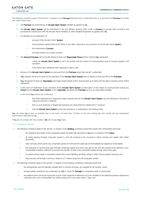The following conditions apply to this section, in respect to any Damage following entry or attempted entry to or exit from the Premises by forcible and violent means that:

- a) the Premises are protected by an Intruder Alarm System installed as agreed by Us;
- b) the Intruder Alarm System will be maintained in full and efficient working order under a Contract to provide both corrective and preventative maintenance with the Intruder Alarm Installers or other Installers/Engineers as agreed with Us;
- c) no alteration to or substitution of:

**EATON GATE** COMMERCIAL

- i. any part of the Intruder Alarm System;
- ii. the procedures agreed with Us for Police or any other response to any activation of the Intruder Alarm System;
- iii. the maintenance **Contract**;

be made without Our written consent.

- d) the Alarmed Premises will not be left without at least one Responsible Person therein without Our agreement:
	- unless the Intruder Alarm System is set in its entirety with the means of communication used to transmit signals in full operation;
	- ii. if the Police have withdrawn their response to alarm calls.
- e) all keys to the Intruder Alarm System are removed from the Premises when they are left unattended;
- f) You maintain secrecy of codes for the operation of the Intruder Alarm System and no details of same are left on the Premises;
- $q$ ) You will appoint at least two Keyholders and lodge written details (which must be kept up to date) with the alarm company and/or Police Authorities;
- h) in the event of notification of any activation of the Intruder Alarm System or interruption of the means of communication during any Period that the Intruder Alarm System is set a Keyholder will attend the Premises as soon as reasonably possible;
- $i)$  in the event You receive any notification:
	- i. that Police attendance in response to alarm signals/call from the Intruder Alarm System may be withdrawn or the level of response reduced or delayed;
	- ii. from a Local Authority or Magistrate imposing any requirement for abatement of nuisance;
	- iii. that the **Intruder Alarm System** cannot be returned to or maintained in full working order;

You will advise Us as soon as possible and, in any event, not later than 10.00am on the next working day and comply with any subsequent requirements stipulated by Us.

If You do not comply with this condition, We will not pay Your claim.

#### 1.21 Composite Panels

- a) the following conditions apply to this section, in respect of any **Building** containing composite panels with combustible cores that:
	- i. the existence and extent of the composite panels has been fully disclosed to Us prior to inception of the Policy;
	- ii. all wiring passing through composite panels is, and will continue to be, encased in metal conduits and sealed with rubber grommets;
	- iii. when services which pierce any composite panels are removed the openings will immediately be capped by metal plates;
	- iv. any ductwork or services that pass through composite panels and which may get hot are and will continue to be sleeved in noncombustible insulation sufficient to prevent any transfer of heat to the composite panels through which they pass;
	- v. no repairs will be made to composite panels that involve Welding, grinding cutting or other obvious ignition sources; and
	- vi. heat sources will be kept a minimum distance of 2 metres away from all composite panels.
- b) the following conditions apply to this section, in respect of any building containing composite panels that:
	- i. fire extinguishers and fire blankets suitable both in number and type, are supplied for all cooking areas;
	- ii. at least weekly inspections are undertaken by You to check for Damage to composite panels or panel joints;
	- iii. any defects which are found during the course of the inspections referred to at ii) are rectified or the defective panel(s) replaced by a panel(s) with a non-combustible core without delay and in any event within 7 days; and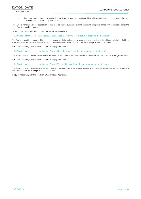**EATON GATE** 

COMMERCIAL

- iv. there is no external storage of combustible waste Stock packaging pallets or skips or bins containing such items within 10 metres of any building containing composite panels.
- c) where work involving the application of heat is to be carried out in any building containing composite panels with combustible cores the following condition applies;

If You do not comply with this condition, We will not pay Your claim.

1.22 Waste Removal – A (Oily/Greasy Waste, Weekly Removal) Applicable if noted on the Schedule

The following conditions apply to this section, in respect to all oily and/or greasy waste and used cleaning cloths which remain in the **Buildings** overnight will be kept in metal receptacles with close fitting metal lids and removed from the **Buildings** at least once a week.

If You do not comply with this condition, We will not pay Your claim.

1.23 Waste Removal – B (Combustible Waste, Daily Removal) Applicable if noted on the Schedule

The following conditions apply to this section, in respect to all combustible trade waste and refuse will be removed from the **Buildings** every night.

If You do not comply with this condition, We will not pay Your claim.

1.24 Waste Removal – C (Combustible Waste, Weekly Removal) Applicable if noted on the Schedule

The following conditions apply to this section, in respect to all combustible trade waste and refuse will be swept up daily and kept in bags or bins and removed from the **Buildings** at least once a week.

If You do not comply with this condition, We will not pay Your claim.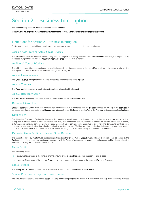# <span id="page-33-0"></span>Section 2 – Business Interruption

#### This section is only operative if shown as Insured on the Schedule.

Certain words have specific meanings for the purpose of this section, General exclusions also apply to this section.

### Definitions for Section 2 – Business Interruption

For the purpose of these definitions any adjustment implemented in current cost accounting shall be disregarded.

#### Actual Gross Profit or Actual Gross Revenue

The Gross Profit or Gross Revenue earned during the financial year most nearly concurrent with the Period of Insurance (or a proportionately increased multiple thereof where the Maximum Indemnity Period exceeds twelve months).

#### Additional Cost of Working

The additional expenditure necessarily and reasonably incurred by You in consequence of the Insured Damage in order to prevent or minimise the interruption of or interference with the Business during the Indemnity Period.

#### Annual Gross Revenue

The Gross Revenue during the twelve months immediately before the date of the Incident.

#### Annual Turnover

The Turnover during the twelve months immediately before the date of the Incident.

#### Annual Rent Receivable

The Rent Receivable during the twelve months immediately before the date of the Incident.

#### Business Interruption

Business Interruption shall mean loss resulting from interruption of or interference with the Business carried on by You at the Premises in consequence of loss or destruction of or Damage Insured under Section 1 to Property used by You at the Premises for the purpose of the Business.

#### Defined Peril

Fire, Lightning, Explosion or Earthquake, Impact by Aircraft or other aerial devices or articles dropped from them or by any Vehicle, train, animal, falling tree or branch, aerial or mast or satellite dish, Riot, civil commotion, strikers, locked-out workers or persons taking part in labour, disturbances or malicious persons, Storm or Flood, Escape of water from any tank, apparatus or pipe, including Damage to any fixed tank, apparatus or pipe caused by freezing or forcible and violent bursting Leakage of fuel from any fixed heating installation and beverages from storage containers, pipes or apparatus, Theft or any attempt thereat following forcible and violent entry to or exit from the Premises.

#### Estimated Gross Profit or Estimated Gross Revenue

The amount declared by You to Us as representing not less than the Gross Profit or Gross Revenue which it is anticipated will be earned by the Business during the financial year most nearly concurrent with the Period of Insurance (or a proportionately increased multiple thereof where the Maximum Indemnity Period exceeds twelve months).

#### Gross Profit

The amount by which:

- a) the sum of the amount of the turnover and the amounts of the closing Stock and work in progress shall exceed;
- b) the sum of the amount of the opening Stock and work in progress and the amount of the uninsured Working Expenses.

#### Gross Revenue

The Money paid or payable to You for services rendered in the course of the Business at the Premises.

#### Special Provision in respect of Gross Revenue

The amounts of the opening and closing Stocks (including work in progress) shall be arrived at in accordance with Your usual accounting methods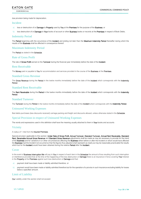due provision being made for depreciation.

#### Incident

a) loss or destruction of or Damage to Property used by You at the Premises for the purpose of the Business; or

b) loss destruction of or Damage to Your books of account or other Business books or records at the Premises in respect of Book Debts.

#### Indemnity Period

The Period beginning with the occurrence of the Incident and ending not later than the Maximum Indemnity Period thereafter during which the results of the **Business** shall be affected in consequence thereof.

#### Maximum Indemnity Period

The Period as stated in the Schedule.

#### Rate of Gross Profit

The rate of Gross Profit earned on the Turnover during the financial year immediately before the date of the Incident.

#### Rent Receivable

The Money paid or payable to You for accommodation and services provided in the course of the Business at the Premises.

#### Standard Gross Revenue

The Gross Revenue during the Period in the twelve months immediately before the date of the Incident which corresponds with the Indemnity Period.

#### Standard Rent Receivable

The Rent Receivable during the Period in the twelve months immediately before the date of the Incident which corresponds with the Indemnity Period.

#### Standard Turnover

The Turnover during the Period in the twelve months immediately before the date of the Incident which corresponds with the Indemnity Period.

#### Uninsured Working Expenses

Bad debts purchases (less discounts received) carriage packing and freight and discounts allowed, unless otherwise stated in the Schedule.

#### Special Provision in respect of Uninsured Working Expenses

The words and expressions used in this definition shall have the meaning usually attached to them in Your books and accounts

#### Vicinity

A radius of 1 mile from the Insured Premises.

Special provision applicable to this section: Under Rate of Gross Profit, Annual Turnover, Standard Turnover, Annual Rent Receivable, Standard Rent, Receivable Annual Gross Revenue and Standard Gross Revenue adjustments shall be made as may be necessary to provide for the trend of the Business and for variations in or other circumstances affecting the Business either before or after the Incident or which would have affected the Business had the Incident not occurred so that the figures thus adjusted shall represent as nearly as may be reasonably practicable the results which but for the Incident would have been obtained during the relative Period after the Incident.

#### Cover

In the event of Business Interruption We will pay to You in respect of each item in the Schedule the amount of loss resulting from such interruption or interference provided that at the time of the happening of the loss destruction or Damage there is an insurance in force covering Your interest in the Property at the Premises against such loss destruction or Damage and that:

- a) payment shall have been made or liability admitted therefore; or
- b) payment would have been made or liability admitted therefore but for the operation of a proviso in such insurance excluding liability for losses below a specified amount.

#### Limit of Liability

Our Liability under this section shall not exceed: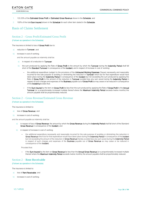### **EATON GATE**

COMMERCIAL

- 1. 133.33% of the Estimated Gross Profit or Estimated Gross Revenue shown in the Schedule; and
- 2. 100% of the total Sum Insured shown in the Schedule for each other item stated in the Schedule.

### Basis of Claims Settlement

Section 2 – Gross Profit/Estimated Gross Profit

#### (if shown as operative in the Schedule)

The insurance is limited to loss of Gross Profit due to:

- a) reduction in **Turnover**; and
- b) increase in cost of working;

and the amount payable as indemnity shall be:

- a) in respect of a reduction in **Turnover**:
- b) the sum produced by applying the Rate of Gross Profit to the amount by which the Turnover during the Indemnity Period shall fall short of the Standard Turnover in consequence of the Incident; and in respect of increase in cost of working:
	- the additional expenditure (subject to the provisions of the UnInsured Working Expenses Clause) necessarily and reasonably incurred for the sole purpose of avoiding or diminishing the reduction in Turnover which but for that expenditure would have taken place during the Indemnity Period in consequence of the Incident but not exceeding the sum produced by applying the Rate of Gross Profit to the amount of the reduction in Turnover avoided less any sum saved during the Indemnity Period in respect of such charges and expenses of the Business payable out of Gross Profit as may cease or be reduced in consequence of the Incident provided that:
	- if the Sum Insured by the item on Gross Profit be less than the sum produced by applying the Rate of Gross Profit to the Annual Turnover (or a proportionately increased multiple thereof where the Maximum Indemnity Period exceeds twelve months) the amount payable shall be proportionately reduced.

#### Section 2 – Gross Revenue/Estimated Gross Revenue

#### (if shown as operative in the Schedule)

The insurance is limited to:

- a) loss of Gross Revenue; and
- b) increase in cost of working;

and the amount payable as indemnity shall be:

- a) in respect of loss of Gross Revenue: the amount by which the Gross Revenue during the Indemnity Period shall fall short of the Standard Gross Revenue in consequence of the Incident; and
- b) in respect of increase in cost of working:
	- the additional expenditure necessarily and reasonably incurred for the sole purpose of avoiding or diminishing the reduction in Gross Revenue which but for that expenditure would have taken place during the Indemnity Period in consequence of the Incident but not exceeding the amount of the reduction in Gross Revenue thereby avoided less any sum saved during the Indemnity Period in respect of such charges and expenses of the Business payable out of Gross Revenue as may cease or be reduced in consequence of the Incident.

Provided that:

if the Sum Insured by the item on Gross Revenue be less than the Annual Gross Revenue (or a proportionately increased multiple thereof where the Maximum Indemnity Period exceeds twelve months) the amount payable shall be proportionately reduced.

#### Section 2 – **Rent Receivable**

#### (if shown as operative in the Schedule)

The insurance is limited to:

- a) loss of Rent Receivable; and
- b) increase in cost of working;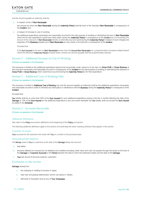and the amount payable as indemnity shall be:

#### in respect of loss of Rent Receivable:

the amount by which the Rent Receivable during the Indemnity Period shall fall short of the Standard Rent Receivable in consequence of the **Incident**: and

#### b) in respect of increase in cost of working:

the additional expenditure necessarily and reasonably incurred for the sole purpose of avoiding or diminishing the loss in Rent Receivable which but for that expenditure would have taken place during the Indemnity Period in consequence of the Incident but not exceeding the amount of the reduction in Rent Receivable thereby avoided less any sum saved during the Indemnity Period in respect of such charges and expenses of the Business payable out of Rent Receivable as may cease or be reduced in consequence of the Incident.

Provided that:

If the Sum Insured by the item on Rent Receivable be less than the Annual Rent Receivable (or a proportionately increased multiple thereof where the Maximum Indemnity Period exceeds twelve months) the amount payable shall be proportionately reduced.

## Section 2 – Additional Increase in Cost of Working

#### (if shown as operative in the Schedule)

The insurance is limited to the additional expenditure beyond that recoverable under clause b) of any item on Gross Profit or Gross Revenue of this insurance necessarily and reasonably incurred in consequence of the **Incident** for the sole purpose of avoiding or diminishing the reduction in Gross Profit or Gross Revenue which would have occurred during the Indemnity Period but for that expenditure.

## Section 2 – Additional Cost of Working Only

#### (if shown as operative in the Schedule)

The insurance is limited to Additional Cost of Working only and the amount payable as indemnity shall be the additional expenditure necessarily and reasonably incurred in order to minimise any interruption or interference with the **Business** during the **Indemnity Period** in consequence of the Incident.

#### Provided that:

Our liability shall be no more than 50% of the Sum Insured for such additional expenditure arising in the first 3 months following the date of the Damage or 10% of the Sum Insured for the additional expenditure in any one month thereafter but Our liability shall not exceed the Sum Insured as stated in the Schedule.

## Section 2 - Accounts Receivable

#### (If shown as operative in the Schedule)

#### Additional Definitions

Also refer to the Policy and section definitions at the beginning of this Policy and section.

The following additional definitions apply to this section and shall keep the same meaning wherever they appear in this section.

#### Customer Accounts

Your accounts for all customers who trade with You on a credit or hire purchase basis.

#### Outstanding Debit Balances

The Money owed to You by customers at the date of the Damage taking into account:

- a) bad debts;
- b) amounts debited (or invoiced but not debited) and credited (including credit notes and cash not passed through the books at the time of the Damage) to Customer Accounts in the Period between the date to which the statement relates and the date of the Damage;
- c) Your last record of amounts owed by customers.

#### Exclusions to this section

#### Damage arising from:

- a) the mislaying or misfiling of records or tapes;
- b) wear tear and gradual deterioration vermin rust damp or mildew;
- c) dishonest or fraudulent acts by any of Your Employees;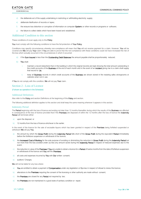- d) the deliberate act of the supply undertaking in restricting or withholding electricity supply;
- e) deliberate falsification of records or tapes;
- f) the erasure loss distortion or corruption of information on computer Systems or other records or programs or software;
- g) the failure to collect debts which have been traced and established.

## Additional Condition to this section

These conditions of cover apply only to this Policy.

You must comply with the following conditions to have the full protection of Your Policy.

Conditions may specify circumstances whereby non-compliance will mean that You will not receive payment for a claim. However, You will be covered and We will pay Your claim if You are able to prove that the non-compliance with these conditions could not have increased the risk of the loss which actually occurred in the circumstances in which it occurred:

- a) if the Sum Insured is less than the Outstanding Debit Balances the amount payable shall be proportionately reduced;
- b) You shall:
	- i. maintain a record elsewhere than in the building in which the original records are kept showing the total amount outstanding in the credit accounts of the Business at the end of each month and in the event of an Incident giving rise to a claim shall supply that record to Us:
	- ii. keep all **Business** records in which credit accounts of the **Business** are shown stored in fire resisting safes strongrooms or cabinets when not in use.

If You do not comply with this condition, We will not pay Your claim.

## Section 2 - Loss of Licence

#### (if shown as operative in the Schedule)

#### Additional Definitions

Also refer to the **Policy** and section Definitions at the beginning of this **Policy** and section.

The following additional definition applies to this section and shall keep the same meaning wherever it appears in this section.

#### Indemnity Period

The Period beginning with the loss of licence and ending not later than 12 months thereafter during which the results of the Business are affected in consequence of the loss of licence provided that if the Premises are disposed of within the 12 months after the loss of licence the Indemnity Period will terminate either:

- a) upon the disposal; or
- b) 12 months from the loss of licence whichever is the earlier.

In the event of the licence for the sale of excisable liquors which has been granted in respect of the Premises being forfeited suspended or withdrawn We will pay You:

- a) the amount by which the Gross Profit during the Indemnity Period falls short of the Gross Profit during the equivalent Period immediately before the forfeiture suspension or withdrawal of the licence;
- b) the Increased Cost of Working for the sole purpose of avoiding or diminishing the reduction in Gross Profit during the Indemnity Period but not more than the loss avoided under (a) less any amount saved during the **Indemnity Period** in respect of reduced expenses due to the event;
- c) the reduction in value of the Premises if You are unable to obtain a licence for a Period of twelve months from the date of forfeiture suspension or withdrawal of the licence and You sell the Premises;
- d) all costs and expenses incurred by You with Our written consent;
- e) auditors' Charges.

We will not be liable for any loss where:

- a) You are entitled to obtain a payment of Compensation under any legislation or Bye-law in respect of refusal to renew the licence;
- b) alterations to the **Premises** requiring the consent of the licensing or other authority are made without consent;
- c) the **Premises** are closed for any **Period** not required by law;
- d) the Premises are not maintained in a good state of sanitary condition or repair;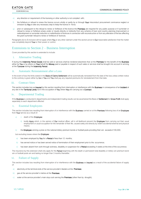- e) any direction or requirement of the licensing or other authority is not complied with;
- f) the forfeiture or refusal to renew the licence occurs wholly or partly by or through Your misconduct procurement connivance neglect or omission by You to take any necessary step to keep the licence in force;
- g) prior or subsequent to the refusal to renew or forfeiture of the licence the Premises are required for any public purpose or if surrender or refusal to renew or forfeiture arises under or results directly or indirectly from any scheme of town and country planning improvement or redevelopment or surrender reduction or redistribution of licences in connection with reconstruction or from any alteration of the law affecting the grant surrender refusal to renew or forfeiture of licences.

Paragraphs (b) to (f) inclusive will not apply where You or any other claimant under this section prove to Our reasonable satisfaction that the matter was completely beyond Your or their power or control.

# Extensions to Section 2 – Business Interruption

Cover provided by this section is extended to include:

## i. Alternative Trading

**EATON GATE** COMMERCIAL

If during the Indemnity Period Goods shall be sold or services shall be rendered elsewhere than at the Premises for the benefit of the Business either by You or by others on Your behalf the Money paid or payable in respect of such sales or services shall be brought into account in arriving at the Turnover during the Indemnity Period.

## ii. Automatic Reinstatement after a Loss

In the event of loss the limits stated in the **Basis of Claims Settlement** will be automatically reinstated from the date of the loss unless written notice to the contrary is given either by Us or You and You shall pay any required premiums for reinstatement from that date.

#### iii. Contract Sites

This section includes loss as Insured by this section resulting from interruption or interference with the Business in consequence of an Incident at any site in the Territorial Limits not in the occupation of You where You are carrying out a Contract.

## iv. Departmental Trading

If the Business is conducted in departments and independent trading results can be ascertained the Basis of Settlement for Gross Profit shall apply separately to each department affected

## v. Essential Employees

This section includes loss resulting from interruption of or interference with the Business carried on at the Premises following loss of an Employee from Your service as a result of:

- a) i) death of the **Employee**;
	- ii) bodily Injury which, in the opinion of Our medical officer, will in all likelihood prevent the Employee from carrying out their usual employment or usual occupation for the remainder of their life, caused solely and directly by violent accidental external and physical means;
- b) the Employee winning a prize on the national lottery premium bonds or football pools providing their win exceeds  $£100,000;$

but excluding losses where the **Employee**:

- a) has been employed by You for a Period of less than 12 months;
- b) has served notice or has been served notice of termination of their employment prior to the occurrence;
- $\circ$ ) has been absent from work through sickness, disability or suspension for a **Period** exceeding 4 weeks at the time of the occurrence.

The insurance by this extension shall only apply for the Period beginning with the death or permanent total disability or lottery win premium bond win or football pools win and lasting no longer than 3 months thereafter.

## vi. Failure of Supply

This section includes loss resulting from interruption of or interference with the **Business** as **Insured** as a result of the accidental failure of supply of:

- a) electricity at the terminal ends of the service provider's feeders at the **Premises**;
- b) gas at the service provider's metres at the **Premises**;
- c) water at the service provider's main stop cock serving the **Premises** (other than by drought);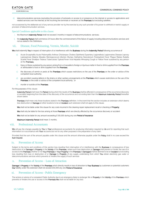#### COMMERCIAL COMBINED POLICY

d) telecommunications services (excluding the provision of extranets or access to or presence on the internet or access to applications and related services over the internet) at the incoming line terminals or receivers at the Premises but excluding satellites.

not occasioned by the deliberate act of any service provider nor by the exercise by any such provider of its power to withhold or restrict supply or provision of telecommunication services.

#### Special Conditions applicable to this clause:

**EATON GATE** COMMERCIAL

- i. the Maximum Indemnity Period shall not exceed 3 months in respect of telecommunications services;
- the Indemnity Period shall commence 24 hours after the commencement of the failure of supply including telecommunications services and not as stated in the Definitions.

## vii. Disease, Food Poisoning, Vermin, Murder, Suicide

We shall indemnify You in respect of interruption of or interference with the Business during the Indemnity Period following occurrence of

- a) Acute Encephalitis Acute Poliomyelitis Anthrax Chickenpox Cholera Diphtheria Dysentery Legionellosis Legionnaires Disease Leprosy Leptospirosis Malaria Measles Meningococcal infection Mumps Opthalmia Neonatorum Paratyphoid Fever Plague Rabies Rubella Scarlet Fever Smallpox Tetanus Tuberculosis Typhoid Fever Viral Hepatitis Whooping Cough or Yellow Fever sustained by any person at the Premises;
- b) Injury or illness sustained by any person arising from or traceable to foreign or injurious matter in food or drink supplied from the Premises or attributable to food or drink supplied from the Premises;
- c) the discovery of vermin or pests at the **Premises** which causes restrictions on the use of the **Premises** on the order or advice of the competent local authority;
- d) any accident causing defects in the drains or other sanitary arrangements at the **Premises** which causes restrictions on the use of the Premises on the order or advice of the competent local authority; or
- e) murder or suicide at the **Premises**

For the purposes of this clause:

Indemnity Period shall mean the Period during which the results of the Business shall be affected in consequence of the occurrence discovery or accident beginning from the date of the discovery of the occurrence and not ending later than the Maximum Indemnity Period thereafter shown below

Premises shall mean only those locations stated in the Premises definition. In the event that the section includes an extension which deems loss destruction or **Damage** at other locations to be an **Incident** such extension shall not apply to this clause.

We shall not be liable under this clause for any costs incurred in the cleaning repair replacement recall or checking of Property;

We shall only be liable for the loss arising at those Premises which are directly affected by the occurrence discovery or accident

We shall not be liable for any amount exceeding £100,000 during any one Period of Insurance

Maximum Indemnity Period shall mean 3 months.

#### viii. Professional Accountants

We will pay the charges payable by You to Your professional accountants for producing information required by Us and for reporting that such information is in accordance with Your accounts but not for any other purposes in the preparation of any claim.

Provided that the sum of the amount payable under this clause and the amount otherwise payable under the Policy shall in no case exceed the Sum Insured.

## ix. Prevention of Access

Subject to the terms and conditions of this section loss resulting from interruption of or interference with the Business in consequence of loss destruction of or Damage to Property in the Vicinity of the Premises, where such loss destruction or Damage shall prevent or hinder the use of or access to the Premises whether or not Your Premises or Your Property in the Premises is Damaged shall be deemed to be an Incident but excluding loss resulting from loss or destruction of or Damage to Property of any supply undertaking from which You obtain electricity gas water or telecommunications services which prevents or hinders the supply of such services

## x. Prevention of Access – Loss of Attraction

Damage to Property in the Vicinity of the Premises which directly results in loss of attraction to Your Business by customers or potential customers Our liability under this extension shall not exceed £50,000 any one Period of Insurance

## xi. Prevention of Access - Public Emergency

The actions or advice of a competent Public Authority due to an emergency likely to endanger life or Property in the Vicinity of the Premises which prevents or hinders the use or access to the Premises We shall not be liable for any loss: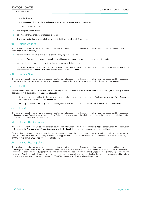#### COMMERCIAL

- a. during the first four hours;
- b. during any **Period** other than the actual **Period** when access to the **Premises** was prevented;
- c. as a result of labour disputes;
- d. occurring in Northern Ireland;
- e. as a result of any contagious or infectious disease;
- Our liability under this extension shall not exceed £50,000 any one Period of Insurance

## xii. Public Utilities

This section includes loss as Insured by this section resulting from interruption or interference with the Business in consequence of loss destruction or **Damage** to **Property** at any:

- a. generating station or sub-station of the public electricity supply undertaking;
- b. land based **Premises** of the public gas supply undertaking or of any natural gas producer linked directly therewith;
- c. water works and pumping stations of the public water supply undertaking; and
- d. land based Premises of the public telecommunications undertaking; from which You obtain electricity gas water or telecommunications services within the Territorial Limits which shall be deemed to be an Incident.

#### xiii. Storage Sites

This section includes loss as **Insured** by this section resulting from interruption or interference with the **Business** in consequence of loss destruction or Damage at the Premises of any site where Your Goods are stored in the Territorial Limits, which shall be deemed to be an Incident.

#### xiv. Theft

Notwithstanding Exclusion (2c) of Section 2 the insurance by Section 2 extends to cover **Business Interruption** caused by or consisting of theft or attempted theft excluding any such **Business Interruption**:

- a. not involving entry to or exit from the Premises by forcible and violent means or violence or threat of violence to You or any of Your Employees or any other person lawfully on the **Premises**; or
- b. of Property in the open or Property in any outbuilding or other building not communicating with the main building of the Premises.

#### xv. Transit

This section includes loss as **Insured** by this section resulting from interruption or interference with the **Business** in consequence of loss destruction or Damage to Your Property while in transit in Great Britain or Northern Ireland but excluding loss in respect of impact to or collision with the conveying road or rail Vehicle or waterborne craft.

## xvi. Unspecified Customers

This section includes loss as **Insured** by this section resulting from interruption or interference with the **Business** in consequence of loss destruction or Damage at the Premises of any of Your Customers all in the Territorial Limits which shall be deemed to be an Incident.

Provided that for the purposes of this extension the term Customers means the companies organisations or individuals with whom at the time of the Incident You have Contracts or trading relationships to supply Goods or services. Our Liability under this extension shall not exceed £100,000 or 10% of Your annual Gross Profit whichever is the lesser.

## xvii. Unspecified Suppliers

This section includes loss as **Insured** by this section resulting from interruption or interference with the **Business** in consequence of loss destruction or Damage at the Premises of any of Your suppliers manufacturers or processors of components Goods or materials all in the Territorial Limits which shall be deemed to be an **Incident** but excluding loss resulting from loss or destruction of or Damage to Property of any supply undertaking from which You obtain electricity gas water or telecommunications services which prevents or hinders the supply of such services. Our Liability under this extension shall not exceed £100,000 or 10% of Your annual Gross Profit whichever is the lesser.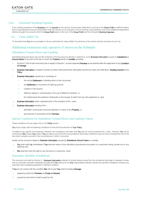## xviii. Uninsured Working Expenses

If any working expenses of the Business are not Insured by this section (having been deducted in arriving at the Gross Profit as defined herein) then in calculating the amount recoverable under this section as an increase in cost of working, that proportion only of any additional expenditure shall be brought into account which the Gross Profit bears to the sum of the Gross Profit and the Uninsured Working Expenses.

## xix. Value Added Tax

To the extent that You are accountable to the tax authorities for Value Added Tax all terms in this section shall be exclusive of such tax.

# Additional extensions only operative if shown on the Schedule

## Subsidence Ground Heave and Landslip

Notwithstanding Exclusions 3a) and 3b) of Section 2 the insurance by Section 2 extends to cover Business Interruption caused by Subsidence or Ground Heave of any part of the site on which the Property stands or Landslip excluding:

- a. the first £1,000 of each and every loss in respect of Section 1 at each separate Premises as ascertained after the application of any Condition of Average.
- b. Business Interruption in respect of yards car parks roads pavements walls gates and fences unless also affecting a Building Insured by this Policy.
- Business Interruption caused by or consisting of:
	- i. the normal **Settlement** or bedding down of new structures;
	- ii. the **Settlement** or movement of made-up ground;
	- iii. coastal or river erosion:
	- iv. defective design or workmanship or the use of defective materials; or
	- v. fire subterranean fire explosion earthquake or the escape of water from any tank apparatus or pipe.
- d. Business Interruption which originated prior to the inception of this cover;
- **Business Interruption resulting from:** 
	- i. demolition construction structural alteration or repair of any **Property**; or
	- ii. groundworks or excavation at the **Premises**.

## Special Conditions for Subsidence Ground Heave and Landslip Clause:

These conditions of cover apply only to this **Policy** section.

You must comply with the following conditions to have the full protection of Your Policy.

Conditions may specify circumstances whereby non-compliance will mean that You will not receive payment for a claim. However You will be covered and We will pay Your claim if You are able to prove that the noncompliance with these conditions could not have increased the risk of the loss which actually occurred in the circumstances in which it occurred.

Insofar as this insurance relates to Business Interruption caused by Subsidence Ground Heave or Landslip:

- a. You shall notify Us immediately if You become aware of any demolition groundworks excavation or construction being carried out on any adioining site;
- b. We shall then have the right to vary the terms or cancel this cover.

## Automatic Sprinkler Installations

The insurance provided by Section 2 - Business Interruption extends to include losses arising from the accidental discharge or leakage of water from an automatic sprinkler installation provided that You shall so far as Your responsibility extends maintain the sprinkler installation including any automatic alarm signaling equipment in efficient condition.

If You do not comply with this condition We will not pay Your claim Excluding Damage:

- a. happening whilst the **Premises** are **Empty or Disused**;
- b. caused by heat which is itself caused by fire;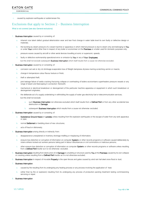caused by explosion earthquake or subterranean fire.

## Exclusions that apply to Section 2 – Business Interruption

#### What is not covered (see also General exclusions):

- **Business Interruption** caused by or consisting of:
	- inherent vice latent defect gradual deterioration wear and tear frost change in water table level its own faulty or defective design or materials;
	- b. the bursting by steam pressure of a vessel machine or apparatus in which internal pressure is due to steam only and belonging to You or under Your control other than in respect of any boiler or economiser on the Premises or a boiler used for domestic purposes only;
	- c. pressure waves caused by aircraft or other aerial devices travelling at sonic or supersonic speeds;
	- d. faulty or defective workmanship operational error or omission by You or any of Your Employees; but this shall not exclude subsequent Business Interruption which itself results from a cause not otherwise excluded.

#### **Business Interruption** caused by or consisting of:

- a. corrosion rust wet or dry rot shrinkage evaporation loss of Weight dampness dryness marring scratching vermin or insects;
- b. change in temperature colour flavour texture or finish;
- c. theft or attempted theft;
- d. joint leakage failure of welds cracking fracturing collapse or overheating of boilers economisers superheaters pressure vessels or any range of steam and feed piping in connection therewith;
- e. mechanical or electrical breakdown or derangement of the particular machine apparatus or equipment in which such breakdown or derangement originates;
- f. the deliberate act of a supply undertaking in withholding the supply of water gas electricity fuel or telecommunication services; but this shall not exclude:
	- a. such Business Interruption not otherwise excluded which itself results from a Defined Peril or from any other accidental loss destruction or **Damage**
	- b. subsequent Business Interruption which results from a cause not otherwise excluded.
- **Business Interruption** caused by or consisting of:
	- a. Subsidence Ground Heave or Landslip unless resulting from fire explosion earthquake or the escape of water from any tank apparatus or pipe;
	- b. normal **Settlement** or bedding down of new structures;
	- c. acts of fraud or dishonesty.

#### 4. Business Interruption arising directly or indirectly from:

- a. disappearance unexplained or inventory shortage misfiling or misplacing of information;
- b. erasure loss distortion or corruption of information on computer Systems or other records programs or software caused deliberately by rioters strikers locked-out workers persons taking part in labour disturbances or civil commotions or malicious persons;
- c. other erasure loss distortion or corruption of information on computer Systems or other records programs or software unless resulting from a **Defined Peril** insofar as it is not otherwise excluded.
- 5. Business Interruption resulting from destruction of or Damage to a building or structure used by You at the Premises caused by its own collapse or cracking unless resulting from a Defined Peril insofar as it is not otherwise excluded;
- 6. Business Interruption in respect of movable Property in the open fences and gates caused by wind rain hail sleet snow flood or dust;

#### 7. Business Interruption:

- a. caused by fire resulting from its undergoing any heating process or any process involving the application of heat;
- b. (other than by fire or explosion) resulting from its undergoing any process of production packing treatment testing commissioning servicing or repair.

#### 8. Business Interruption: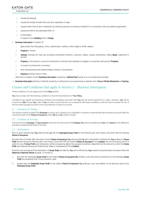#### COMMERCIAL

- a. caused by freezing;
- b. caused by escape of water from any tank, apparatus or pipe;
- c. caused (other than by fire or explosion) by malicious persons not acting on behalf of or in connection with any political organisation;
- d. caused by theft or any attempted theft; or
- e. to fixed glass;

in respect of any **Building** which is **Empty**.

- 9. Business Interruption in respect of:
	- glass (other than fixed glass), china, earthenware, marble or other fragile or brittle objects;
	- ii. **Property** in transit;
	- iii. Vehicles licensed for road use (including accessories thereon), caravans, trailers, railway locomotives, rolling Stock, watercraft or aircraft;
	- $iv.$  Property or structures in course of construction or erection and materials or supplies in connection with all such Property;
	- v. in course of construction or erection;
	- vi. land road pavement piers jetties bridges culverts or excavations;
	- vii. **livestock** growing crops or trees;

other than in respect of such **Business Interruption** caused by a **Defined Peril** insofar as it is not otherwise excluded.

10. Business Interruption directly or indirectly caused by or arising from any programming or operator error, Virus or Similar Mechanism or Hacking.

# Clauses and Conditions that apply to Section 2 – Business Interruption

These conditions of cover apply only to this **Policy** section.

You must comply with the following conditions to have the full protection of Your Policy.

Conditions may specify circumstances whereby non-compliance will mean that You will not receive payment for a claim. However, You will be covered and We will pay Your claim if You are able to prove that the non-compliance with these conditions could not have increased the risk of the loss which actually occurred in the circumstances in which it occurred.

## 2.1 Cessation of Trading

This section shall be avoided if the Business is wound up or carried on by a liquidator or receiver or permanently discontinued at any time after the commencement of the Period of Insurance unless We give Our written consent.

## 2.2 Condition of Average

If at the time of the Damage the Sum Insured is less than the total value of the Property You will be considered as Your own Insurer for the difference and bear a proportionate share of the loss.

#### 2.3 Declarations

Prior to each renewal date You shall provide Us with the Estimated Gross Profit for the financial year most nearly concurrent with the ensuing Period of Insurance.

Not later than 6 months after the expiry of each Period of Insurance You shall provide Us with a declaration confirmed by Your auditors of Gross Profit earned during the financial year most nearly concurrent with the expired Period of Insurance If any Incident has occurred giving rise to a claim for loss of Gross Profit such declaration will be increased by Us for the purpose of premium adjustment by the amount by which the Gross Profit was reduced during such financial year solely in consequence of the Incident.

Premiums are provisional If the declaration of Gross Profit provided by You and confirmed by Your auditors proportionately increased where the Maximum Indemnity Period exceeds 12 months is:

- A. less than the estimated Gross Profit for the relative Period of Insurance We will allow a pro-rata refund of premium on the estimated Gross Profit not exceeding 50% of such premium paid;
- B. greater than the Estimated Gross Profit for the relative Period of Insurance You shall pay a pro rata addition to the premium paid on the Estimated Gross Profit.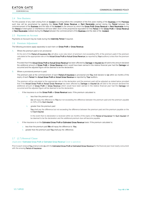#### 2.4 New Business

For the purpose of any claim arising from an Incident occurring before the completion of the first years trading of the Business at the Premises such loss will be ascertained by applying the Gross Profit Gross Revenue or Rent Receivable earned during the Period between the commencement of the Business and the date of the Incident to the amount by which the Gross Profit Gross Revenue or Rent Receivable during the Period of interruption or interference will have fallen short of the proportional equivalent for that Period of the Gross Profit or Gross Revenue or Rent Receivable realised during the Period between the commencement of the Business and the date of the Incident.

#### 2.5 Payments on Account

Payments on Account may be made during the **Indemnity Period** if required.

#### 2.6 Premium Adjustment

The following provisions apply separately to each item on Gross Profit or Gross Revenue.

A. Where the premium paid is not provisional:

At the end of the Period of Insurance We will allow a pro rata return of premium (not exceeding 50% of the premium paid) if the premium calculated at the appropriate rate on the Actual Gross Profit or Actual Gross Revenue (as reported by Your auditors) is less than the premium paid.

Provided that if the Actual Gross Profit or Actual Gross Revenue has been affected by Damage as Insured Us will add to the amount declared the additional amount of Gross Profit or Gross Revenue which would have been earned in the relative financial year had the Damage not occurred and the adjusted figure will be deemed to be the declaration.

#### B. Where a provisional premium is paid:

The premium paid at the commencement of each Period of Insurance is provisional and You shall declare to Us within six months of the expiry of each Period the Actual Gross Profit or Actual Gross Revenue as reported by Your auditors.

The premium will be calculated at the appropriate rate on the declaration and the premium paid will be adjusted as stated below provided that if the Actual Gross Profit or Actual Gross Revenue has been affected by Damage as Insured Us will add to the amount declared the additional amount of Gross Profit or Gross Revenue which would have been earned in the relative financial year had the Damage not occurred and the adjusted figure will be deemed to be the declaration.

- if the insurance is on the Gross Profit or Gross Revenue basis: If the premium calculated is:
	- a. less than the premium paid

Us will repay the difference to You but not exceeding the difference between the premium paid and the premium payable on 50% of the Sum Insured;

b. greater than the premium paid

You shall pay the difference but not exceeding the difference between the premium paid and the premium payable on the full Sum Insured;

In the event that no declaration is received within six months of the expiry of the Period of Insurance the Sum Insured will be deemed to be the declaration and the additional premium due will become payable.

- ii. if the insurance is on the Estimated Gross Profit or Estimated Gross Revenue basis: If the premium calculated is:
	- a. less than the premium paid We will repay the difference to You;
	- b. greater than the premium paid You shall pay the difference;

#### 2.7 (2.7) Renewal Clause

(Applicable if Estimated Gross Profit or Estimated Gross Revenue Cover is operative)

Prior to each renewal You shall provide Us with the Estimated Gross Profit or Estimated Gross Revenue for the financial year most nearly concurrent with the ensuing Period of Insurance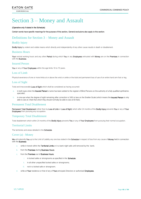COMMERCIAL

# Section 3 – Money and Assault

#### (Operative only if stated in the Schedule)

Certain words have specific meanings for the purpose of this section, General exclusions also apply to this section.

# Definitions for Section 3 – Money and Assault

## Bodily Injury

Bodily Injury by violent and visible means which directly and independently of any other cause results in death or disablement.

## Business Hours

Your normal working hours and any other Period during which You or any Employees entrusted with Money are on the Premises in connection with the **Business** 

## Insured Person

You or any of Your Employees within the age limits 16 to 70 years.

## Loss of Limb

Physical severance of one or more limbs at or above the wrist or ankle or the total and permanent loss of use of an entire hand arm foot or leg.

## Loss of Sight

Total and irrecoverable Loss of Sight which shall be considered as having occurred:

- a. in both eyes when the Insured Person's name has been added to the register of Blind Persons on the authority of a fully qualified ophthalmic specialist;
- in one eye when the degree of sight remaining after correction is 3/60 or less on the Snellen Scale (which means the Insured Person is only able to see at 3 feet that which they should normally be able to see at 60 feet).

## Permanent Total Disablement

Permanent Total Disablement (other than by Loss of Limb or Loss of Sight) which after 24 months of the Bodily Injury prevents You or any of Your **Employees** from pursuing any occupation.

#### Temporary Total Disablement

Total disablement which within 24 months of the **Bodily Injury** prevents You or any of Your Employees from pursuing their normal occupation.

## Territorial Limits

The territories and areas detailed in the Schedule.

## Cover (a) - Money

We will indemnify You up to the Limit of Liability any one loss stated in the Schedule in respect of loss from any cause of Money held in connection with the **Business:** 

- a. while in transit within the Territorial Limits or in a bank night safe until removed by the bank;
- b. from the **Premises** during **Business Hours**;
- c. from the Premises out of Business Hours;
	- i. in locked safes or strongrooms as specified in the **Schedule**;
	- ii. in all other unspecified locked safes or strongrooms;
	- iii. not in a locked safe or strongroom;
- d. while at Your residence or that of any of Your principals Directors or authorised Employees.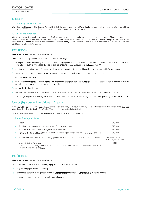## Extensions

#### Clothing and Personal Effects

We will pay for Damage to Clothing and Personal Effects belonging to You or any of Your Employees as a result of robbery or attempted robbery up to a limit of £500 in respect of any one person and £1,000 any one **Period of Insurance**.

#### ii. Safes and machines

We will pay the cost of repair or replacement of safes strong rooms tills cash registers franking machines and special Money- carrying cases following loss or destruction of or Damage to safes strong rooms tills cash registers franking machines and special Money-carrying cases if loss destruction or Damage results from theft or attempted theft of Money or Non-Negotiable Items subject to a limit of £1000 for any one loss and £5,000 any one Period of Insurance.

## **Exclusions**

What is not covered (see also General exclusions):

We shall not indemnify You in respect of loss destruction or Damage:

- 1. arising from fraud or dishonesty of any director partner or **Employee** unless discovered and reported to the Police and Us in writing within 14 days after the event in which case Our liability shall be limited to £5,000 and subject to an Excess of £500;
- 2. resulting from use of any form of payment which proves to be counterfeit false invalid uncollectible or irrecoverable for any reason;
- 3. where a more specific insurance is in force except for any Excess beyond the amount recoverable thereunder;
- 4. due to errors or omissions;
- 5. from unattended Vehicles being any Vehicle with no person in charge or keeping the Vehicle under observation and able to observe or prevent any attempt by any person to interfere with the Vehicle;
- 6. outside the Territorial Limits;
- 7. resulting directly or indirectly from forgery fraudulent alteration or substitution fraudulent use of a computer or electronic transfer;
- 8. from any gaming machine vending machine or automated teller machine or cash dispensing machine unless specifically stated in the Schedule.

# Cover (b) Personal Accident – Assault

If the Insured Person shall suffer Bodily Injury caused solely or directly as a result of robbery or attempted robbery in the course of the Business We will pay Benefit on the basis of the Table of Compensation as stated in the Schedule.

Provided that Benefits (a) (b) or (c) must occur within 2 years of sustaining **Bodily Injury**.

## Table of Compensation

| a. | Death                                                                                                                                                                           | £10,000                                         |
|----|---------------------------------------------------------------------------------------------------------------------------------------------------------------------------------|-------------------------------------------------|
| b. | Total loss or permanent and total loss of use of one or more limbs                                                                                                              | £10,000                                         |
| C. | Total and irrecoverable loss of all sight in one or more eyes                                                                                                                   | £10.000                                         |
| d. | Permanent Total Disablement from any gainful occupation (other than through Loss of Limbs or sight)                                                                             | £10.000                                         |
| е. | Total uninterrupted disablement from engaging in the usual occupation for a maximum of 104 weeks                                                                                | at the rate per week of<br>£100 Payable Monthly |
|    | Incurred Medical Expenses<br>provided that such <i>Injury</i> is independent of any other cause and results in death or disablement within<br>2 years of sustaining such Injury | £500                                            |

# **Exclusions**

What is not covered (see also General exclusions):

Our liability does not extend to include Bodily Injury arising from or influenced by:

- a. any existing physical defect or infirmity;
- b. the medical condition of any person entitled to **Compensation** hereunder; or **Compensation** will not be payable;
- c. under more than one of the Benefits for the same **Injury**; or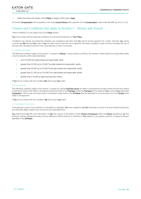COMMERCIAL

d. under more than one section of this **Policy** in respect of the same Injury.

No further Compensation will be payable to the same Insured Person after payment of any Compensation made under Benefits (a) (b) (c) or (d).

# Clauses and Conditions that apply to Section 3 – Money and Assault

These conditions of cover apply only to this **Policy** section.

You must comply with the following conditions to have the full protection of Your Policy.

Conditions may specify circumstances whereby non-compliance will mean that You will not receive payment for a claim. However You will be covered and We will pay Your claim if You are able to prove that the non-compliance with these conditions could not have increased the risk of the loss which actually occurred in the circumstances in which it occurred.

#### 3.1 Money Carryings

The following conditions apply to this section, in respect to Money in transit shall be carried by the number of able bodied and responsible adults or by the security carrier described below:

- a. up to £2,500 One able bodied and responsible adult;
- b. greater than £2,500 up to £5,000 Two able bodied and responsible adults:
- c. greater than £5,000 up to £7,500 Three able bodied and responsible adults;
- d. greater than £7,500 up to £10,000 Four able bodied and responsible adults;
- e. greater than £10,000 by Approved Security Carrier.

If You do not comply with this condition We will not pay Your claim.

#### 3.2 Key Security

The following conditions apply to this section, in respect to outside **Business Hours** the safes or strongrooms be kept locked and the keys and/or combination codes of the safes or strongrooms shall not be left on the Premises unless the Premises are occupied by You or any of Your authorised Employees in which case such keys and/or combination codes if left on the Premises shall be deposited in a secure place not in the Vicinity of the safes or strongrooms.

If You do not comply with this condition, We will not pay Your claim.

#### 3.3 Declaration Condition

If the premium or part of any premium is calculated on estimates You have supplied to Us You shall keep a record of all such relevant particulars and shall allow Us to inspect such records at any reasonable time.

You shall furnish Us with such information as We may require at the expiry of each Period of Insurance within the Period specified by Us The premium shall be adjusted annually and any difference shall be paid by or returned to You subject to any agreed minimum or deposit premium specified in the Schedule.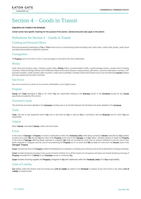COMMERCIAL

# Section 4 – Goods in Transit

#### (Operative only if stated in the Schedule)

Certain words have specific meanings for the purpose of this section, General exclusions also apply to this section.

# Definitions for Section 4 – Goods in Transit

## Clothing and Personal Effects

Personal possessions belonging to You or Your drivers worn or carried during transit excluding cash, bank notes, credit cards, jewelry, audio visual and telecommunications equipment watches.

## **Consignment**

All **Property** sent at one time in one or more packages in one load to the same destination.

## **Money**

Cash, bank and currency notes, cheques, postal orders, Money orders, crossed bankers drafts, current postage stamps, unused units in franking machines, National Savings Stamps and Certificates National Insurance Stamps, trading stamps, gift tokens, customer redemption vouchers, VAT purchase receipts, credit company sales vouchers, credit card counterfoils, travellers tickets and insofar as such are not otherwise Insured holidays with pay stamps and luncheon vouchers.

## One Event

Any one occurrence or series of occurrences attributable to one original cause.

## **Property**

Goods and Tools belonging to You or for which You are responsible relating to the Business shown in the Schedule except for any Goods specifically excluded by this section.

## Territorial Limits

The territories and areas detailed in the Schedule including sea or air transits between the territories and areas detailed in the Schedule

## Tools

Tools, tool kits or test equipment which You own or are hired by You or used by You in connection with the Business and for which You are responsible.

## Vehicle

Motor Vehicle, articulated Vehicle, trailer and semi-trailer.

## **Cover**

In the event of Damage to Property in transit to destinations within the Territorial Limits whilst being carried by Vehicles operated by You hauliers couriers rail or post We will pay You the value of the Property at the time of the Damage or at Our option reinstate replace or repair the Property In the event of Damage affecting labels capsules or wrappers We shall not be liable for more than an amount sufficient to pay the cost of new labels capsules or wrappers and the cost of reconditioning the Property but in no event shall We be liable for more than the Insured value of the Damaged Property.

Cover commences when the Property is lifted immediately prior to despatch or loading and continues until arrival at destination including unloading.

Cover includes temporary housing in the course of transit whether on or off the means of conveyance and does not include temporary housing of Property unloaded from a Vehicle at any Premises owned or rented by You.

Cover includes incoming supplies and Property consigned to You from addresses within the Territorial Limits if it is Your responsibility.

## Limit of Liability

Our liability under this section shall not exceed any Limit of Liability as stated in the Schedule in respect of any One Event or any other Limit of Liability as stated herein.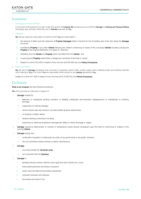# Extensions

#### i. Clothing and Personal Effects

In the event of the payment of a claim under this section for Property We will also pay up to £500 for Damage to Clothing and Personal Effects (excluding wear and tear) whilst they are in Vehicles operated by You.

#### ii. Expenses

We will pay expenses reasonably incurred for which You are responsible in:

- a) the removal of debris and site clearance of **Property Damaged** whilst in transit from the immediate area of the site where the **Damage** occurred;
- b) transferring Property to any other Vehicle following fire collision overturning or impact of the conveying Vehicle including carrying the Property to the original destination or to place of collection;
- c) reloading onto the Vehicle any Property which has fallen from the Vehicle; and
- d) re-securing the Property where there is dangerous movement of the load in transit;
- e) Subject to a limit of £5,000 in respect of any one loss and £50,000 any one **Period of Insurance**.

#### iii. Ropes and Sheets

We will pay for Damage (excluding wear and tear) to tarpaulins sheets trailer curtains ropes chains webbing straps and packing materials which belong to You or for which You are responsible whilst carried on any Vehicle operated by You.

Subject to a limit of £1,000 in respect of any one loss and £10,000 any one Period of Insurance.

## **Exclusions**

What is not Covered (see also General exclusions):

We will not provide an indemnity in respect of:

- Damage caused by:
	- a. defective or inadequate packing insulation or labelling inadequate documentation disappearance or unexplained or inventory shortage;
	- b. evaporation or ordinary leakage;
	- c. vermin insects wear tear inherent vice latent defect gradual deterioration;
	- d. an existing or hidden defect;
	- e. vibration denting scratching or bruising;
	- f. mechanical or electrical breakdown derangement defect or failure Shortage in weight.
- 2. Damage caused by deterioration or variation in temperature unless directly consequent upon fire theft or overturning or collision of the carrying Vehicle.
- 3. Damage arising from:
	- a. confiscation requisition or destruction by order of any government or any public authority;
	- b. riot civil commotion strikes lockouts or labour disturbances.

#### 4. Damage;

- a. occurring outside the Territorial Limits;
- b. not connected with the Business.
- 5. Damage to:
	- i. jewellery precious stones watches clocks gold and silver articles furs curios;
	- ii. wines spirits perfumes and tobacco products;
	- iii. audio visual and telecommunications equipment;
	- iv. computer hardware and software;
	- v. rare books and works of art;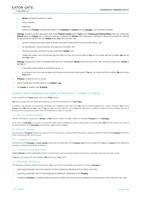- COMMERCIAL
- vi. **Money** and bullion nonferrous metals;
- vii. living creatures;
- viii. explosives;

unless such Property is specifically stated in the Schedule as Insured and the Damage is not otherwise excluded.

- 6. Damage caused by theft or attempted theft of the Property Insured and/or Tools and/or Clothing and Personal Effects from any unattended Vehicle being any Vehicle with no person in charge or keeping the Vehicle under observation and able to observe or prevent any attempt by any person to interfere with the Vehicle unless You have ensured that:
	- a. all doors windows and other points of access have been locked where locks have been fitted; and
	- b. all manufacturers' security devices have been put into effect; and
	- c. the keys have been removed from any unattended Vehicle; and
	- d. unattached trailers have anti-hitching devices fitted and they are put into effect If You do not comply with this condition We will not pay Your claim.
- 7. Damage resulting from theft or attempted theft from any unattended Vehicle during the hours from 9pm until 6am unless such Vehicle is garaged in:
	- a. a securely locked building of substantial nature; or
	- b. a compound which has secure walls and/or fences and securely locked gates If You do not comply with this condition We will not pay Your claim.
- 8. Property in transit for hire or reward.
- 9. loss of market loss of profits delay or any **Indirect Loss**.
- 10. the Excess as stated in the Schedule.

# Clauses and Conditions that apply to Section 4 – Goods in Transit

These conditions of **Cover** apply only to this **Policy** section.

You must comply with the following conditions to have the full protection of Your Policy.

Conditions may specify circumstances whereby non-compliance will mean that You will not receive payment for a claim. However You will be Covered and We will pay Your claim if You are able to prove that the non-compliance with these conditions could not have increased the risk of the loss which actually occurred in the circumstances in which it occurred.

#### 3.1 Basis of Claims Settlement

This will normally be a payment in Money but We have the option to repair replace or reinstate Property lost or Damaged

In the event of Damage to any part of a machine which when complete for sale or use consists of several parts We will only pay for the value of the part actually lost or Damaged including any replacement charges

#### 3.2 Basis of Valuation

The valuation of Property shall be at invoice cost If an invoice has not been raised the basis of valuation will be the value of the Property at the time of the commencement of the transit.

#### 3.3 Condition of Average

If at the time of the Damage the Sum Insured is less than the total value of the Property You will be considered as Your own Insurer for the difference and bear a proportionate share of the loss.

#### 3.4 Limitations and Requirements

If Your Vehicles are left unattended all doors and the boot must be securely locked and windows and other openings securely closed.

If You do not comply with this condition, We will not pay Your claim.

#### 3.5 Reasonable Precautions

The following conditions apply to this section, You must take all reasonable precautions to prevent Damage by:

a. exercising reasonable care in the selection of drivers obtaining references and providing instruction;

- b. exercising reasonable care in the packaging and labelling or addressing of the **Property**;
- c. maintaining Vehicles in an efficient and roadworthy condition and ensure they are suitable for the purpose for which they are to be used;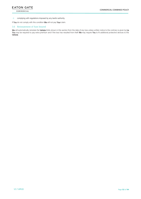#### COMMERCIAL

d. complying with regulations imposed by any lawful authority.

If You do not comply with this condition We will not pay Your claim.

### 3.6 Reinstatement of Sum Insured

We will automatically reinstate the Vehicle limits shown in this section from the date of any loss unless written notice to the contrary is given by Us You may be required to pay extra premium and if the loss has resulted from theft We may require You to fit additional protective devices to the Vehicle.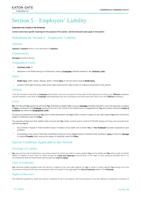COMMERCIAL

# Section 5 – Employers' Liability

#### (Operative only if stated in the Schedule)

Certain words have specific meanings for the purpose of this section, General exclusions also apply to this section.

# Definitions for Section 5 – Employers' Liability

## Asbestos

Asbestos, Asbestos fibres or any derivatives of Asbestos

#### Compensation

Damages including interest.

## Geographical Limits

#### a. Territorial Limits; or

b. elsewhere in the World arising out of temporary visits by **Employees** ordinarily resident in the Territorial Limits.

## Injury

- Bodily Injury, death, illness, disease, illness, mental Injury or nervous shock causing Bodily Injury.
- 2. Invasion of the right of privacy, false arrest, false imprisonment, false eviction or malicious prosecution of any person.

## **Offshore**

From the moment in time that an Employee shall embark onto any conveyance at the point of final departure on land to any Offshore installation until the moment in time that an Employee shall disembark from any conveyance onto land upon their return from any Offshore installation.

## Cover

We will indemnify You against all sums that You shall become legally liable to pay as Damages including claimants' costs and expenses in respect of Injury sustained by any Employee arising out of and in the course of his employment or engagement by You and caused during the Period of Insurance and within the Geographical Limits.

All costs and expenses incurred by You (save as described below) with Our written consent in respect of any claim against You which may be the subject of indemnity under this Policy.

The payment of legal and other defence fees incurred with Our written consent and to a limit of £100,000 arising out of any one occurrence for representing You at:

- a. any Coroner's Inquest or Fatal Accident Inquiry in respect of any death and at which You or Your Employee has been requested to give evidence;
- b. proceedings in any court of Summary Jurisdiction arising out of any alleged breach of statutory duty resulting in Injury or loss of or Damage to material Property which may be the subject of indemnity under this Policy.

# Special Conditions Applicable to this Section

## Discharge of Liability

We may pay the Limit of Indemnity or any lesser amount for which any claim or claims against You can be settled and We will be under no further liability in respect of such claim or claims except for Costs and Expenses incurred prior to the date of such payment provided that in no circumstances shall the total amount paid exceed the Limit of Liability.

## Limit of Indemnity

Our maximum liability payable under this section in respect of any one claim against the You or series of claims against You arising out of one occurrence inclusive of all costs and expenses shall not exceed in the aggregate the Limit of Indemnity stated in the Schedule.

## Rights of Recovery

The indemnity granted by under this section is deemed to be in accordance with the provisions of any law relating to compulsory insurance of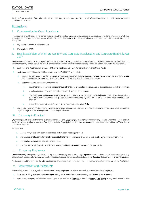liability to Employees in the Territorial Limits but You shall repay to Us all sums paid by Us which We would not have been liable to pay but for the provisions of such law.

# **Extensions**

## i. Compensation for Court Attendance

In the event of any of the under mentioned persons attending court as a witness at Our request in connection with a claim in respect of which You are entitled to indemnity under this section We will provide Compensation to You at the following rates per day for each day on which attendance is required:

- a. any of Your Directors or partners £250
- b. any **Employee** £100

## ii. Health and Safety at Work etc Act 1974 and Corporate Manslaughter and Corporate Homicide Act 2007

We will indemnify You and at Your request any director, partner or Employee in respect of legal costs and expenses incurred with Our consent in the defence of any prosecution or incurred in connection with appeal against conviction arising from such prosecution under the provisions of:

- 1. the Health and Safety at Work etc. Act 1974 or the Health and Safety at Work (Northern Ireland) Order 1978;
- 2. the Corporate Manslaughter and Corporate Homicide Act 2007 Provided that:
	- a. the proceedings relate to an offence alleged to have been committed during the Period of Insurance and in the course of the Business and in connection with a claim in respect of which You are entitled to indemnity under this Policy;
	- b. We shall not provide indemnity in respect of:
		- i. fines or penalties of any kind remedial or publicity orders or prosecution costs imposed as a consequence of such prosecution;
		- ii. any circumstances for which indemnity is provided by any other insurance;
		- iii. proceedings consequent upon a deliberate act by or omission of any person entitled to indemnity under this section extension if the result thereof could reasonably have been expected having regard to the nature and circumstances of such act or omission;
		- iv. proceedings which arise out of any activity or risk excluded from this Policy.
- 3. Our liability in respect of all such legal costs and expenses shall not exceed the sum of £1,000,000 in respect of each and every occurrence of proceedings whether relating to one or more alleged offences.

## iii. Indemnity to Principal

We will subject otherwise to the terms, exclusions conditions and Endorsements of this Policy indemnify any principal under this section against liability in respect of Injury or loss of or Damage to material Property to the extent that any Contract or agreement entered into by You with any principal so requires.

Provided that:

- a. an indemnity would have been provided had a claim been made against You;
- b. the principal shall observe fulfil and be subject to the terms conditions and Endorsements of this Policy as far as they can apply;
- c. the conduct and control of claims is vested in Us;
- d. the indemnity shall not apply to liability in respect of liquidated **Damages** or under any penalty clause;

## iv. Temporary Employees

We will indemnify You against legal liability arising out of the employment of temporary Employees provided that the total number of days during which all such temporary Employees are employed does not exceed the number of days stated in the Schedule during any one Period of Insurance.

For the purpose of this extension the total number of days employed shall mean the combined total of days employed for all temporary Employees.

## v. Unsatisfied Court Judgements

Where a judgement for Damages has been obtained by any Employee or the legal personal representatives of any Employee:

- a. in respect of Injury sustained by the Employee arising out of and in the course of employment by You in the Business;
- b. against any company or individual operating from or resident in Premises within the Geographical Limits in any court situate in the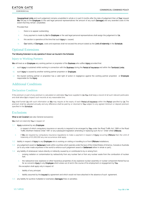Geographical Limits and such judgement remains unsatisfied in whole or in part 6 months after the date of judgement then at Your request We will pay to the Employee or the said legal personal representatives the amount of any such Damages and any awarded costs to the extent that they remain unsatisfied.

Provided that:

- there is no appeal outstanding:
- ii. if any payment is made by Us the Employee or the said legal personal representatives shall assign the judgement to Us;
- iii. this section is operative at the time that such **Injury** is caused;
- iv. Our liability of Damages, costs and expenses shall not exceed the amount stated as the Limit of Indemnity in the Schedule.

## Optional Extensions

#### The following Extension is only operative if shown as Insured in the Schedule

## Injury to Working Partners

We will treat as an Employee any working partner or proprietor of the Business who suffers Injury provided that:

- a) such Injury is sustained whilst working in connection with the Business during the Period of Insurance and within the Territorial Limits;
- b) such **Injury** is caused by another working partner proprietor or **Employee**;
- c) the injured working partner or proprietor has a valid right of action in negligence against the working partner proprietor or Employee responsible for the **Injury**.

# Additional Conditions

## Declaration Condition

If the premium or part of any premium is calculated on estimates You have supplied to Us You shall keep a record of all such relevant particulars and shall allow Us to inspect such records at any reasonable time.

You shall furnish Us with such information as We may require at the expiry of each Period of Insurance within the Period specified by Us The premium shall be adjusted annually and any difference shall be paid by or returned to You subject to any agreed minimum or deposit premium specified in the Schedule.

## **Exclusions**

What is not Covered (see also General exclusions):

We shall not indemnify You in respect of:

#### 5.1 Injury sustained by any Employee:

- i. in respect of which compulsory insurance or security is required to be arranged by You under the Road Traffic Act 1988 or the Road Traffic (Northern Ireland) Order 1981 or any subsequent legislation amending or replacing such Act or Order whilst Offshore;
- ii. if We are required by compulsory insurance regulations to make a payment in respect of Injury occurring Offshore then the Limit of Indemnity of £5,000,000 any one occurrence shall apply.
- 5.2 liability in respect of Injury to any Employee who is working on visiting or travelling to or from Offshore installations;
- 5.3 any judgement award or Settlement made within countries which operate under the laws of the United States of America, Canada or Australia (or to any order made anywhere in the world to enforce such judgement award or **Settlement** either in whole or part);
- 5.4 any liability of whatsoever nature directly or indirectly caused by or contributed to by or arising from:
	- i. ionising radiation or contamination by radioactivity from any nuclear fuel or from any nuclear waste from the combustion of nuclear fuel;
	- ii. the radioactive toxic explosive or other hazardous properties of any explosive nuclear assembly or nuclear component thereof but as far as concerns Injury to any Employee which arises out of and in the course of his employment or engagement by You.

this exception shall apply only in respect of:

- i. liability of any principal;
- liability assumed by the Insured by agreement and which would not have attached in the absence of such agreement.
- 5.5 any liability for punitive multiplied or exemplary Damages fines or penalties;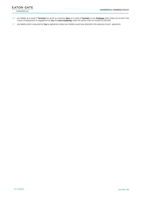#### COMMERCIAL

- 5.6 any liability as a result of Terrorism but as far as concerns Injury as a result of Terrorism to any Employee which arises out of and in the course of employment or engagement by **You** the **Limit of Indemnity** under this section shall not exceed £5,000,000;
- 5.7 any liability which is assumed by You by agreement unless such liability would have attached in the absence of such agreement.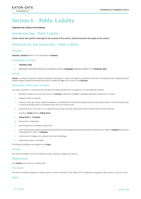# Section 6 – Public Liability

(Operative only if stated in the Schedule)

# Sub-Section 6(a) – Public Liability

Certain words have specific meanings for the purpose of this section, General exclusions also apply to this section.

# Definitions for Sub-Section 6(a) – Public Liability

#### Asbestos

Asbestos, Asbestos fibres or any derivatives of Asbestos

## Geographical Limits

#### a) Territorial Limits;

b) elsewhere in the World arising out of temporary visits by **Employees** ordinarily resident in the Territorial Limits.

#### Goods

Goods or products (including containers labelling instructions or advice provided in connection therewith) manufactured sold supplied erected repaired altered treated transported serviced or installed by You in the course of the Business.

## Hazardous Trades and Locations

Any work or process in connection with the following trades activities and occupations or at the following locations.

- a) demolition unless such work forms part of a Contract undertaken by You for rebuilding alteration maintenance or repair;
- b) collieries mines or quarries;
- c) chemical works gas works nuclear installations or establishments oil refineries petrochemical works power stations and bulk oil petrol gas or chemical storage tanks or chambers other than non-manual work;
- d) construction of or any work in or on blast furnaces canals chimney shafts dams docks harbours piers tunnels wharves;
- e) aircraft or Airside Railway Rolling Stock;
- f) Rolling Stock or Trackside;
- g) watercraft or underwater;
- h) use of explosives tunnelling or piling work;
- i) removal mining processing manufacturing distribution storage disposal sampling treatment maintenance or repair of Asbestos or products made entirely or mainly of **Asbestos**;
- j) construction of bridges and viaducts other than footbridges;
- k) roads where there is live traffic.

The following Definitions are added to the Policy:

## Airside

Any area accessible to aircraft, including runways, taxiways, hangers and aprons.

## Rolling Stock

Any Vehicle that moves on a railway track.

## **Trackside**

Any area immediately adjacent to railway tracks or where a Personal Track Safety (PTS) Certificate is required to gain access or carry out work.

## Injury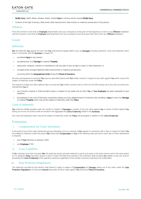COMMERCIAL

- 1. Bodily Injury, death, illness, disease, illness, mental Injury or nervous shock causing Bodily Injury.
- 2. invasion of the right of privacy, false arrest, false imprisonment, false eviction or malicious prosecution of any person.

#### **Offshore**

From the moment in time that an Employee shall embark onto any conveyance at the point of final departure on land to any Offshore installation until the moment in time that an Employee shall disembark from any conveyance onto land upon their return from any Offshore installation.

# **Cover**

## Indemnity

We will indemnify You against all sums that You shall become legally liable to pay as Damages including claimants' costs and expenses which arise in connection with the Business in respect of:

- a) accidental **Injury** to any person;
- b) accidental loss of or **Damage** to material **Property**;
- c) obstruction, trespass, nuisance or interference with any right of way, air, light or water or other easement; or
- d) wrongful arrest wrongful detention false imprisonment or malicious prosecution;

#### occurring within the Geographical Limits during the Period of Insurance.

All costs and expenses incurred by You (save as described below) with Our written consent in respect of any claim against You which may be the subject of indemnity under this **Policy**.

The payment of legal and other defence fees incurred with Our written consent and to a limit of £100,000 arising out of any one occurrence for representing You at:

- a) any Coroner's Inquest or Fatal Accident Inquiry in respect of any death and at which You or Your Employee has been requested to give evidence.
- b) proceedings in any court of Summary Jurisdiction arising out of any alleged breach of statutory duty resulting in Injury or loss of or Damage to material **Property** which may be the subject of indemnity under this **Policy**.

## Limit of Indemnity

Our maximum liability payable under this section in respect of Damages in respect of any one claim against You or series of claims against You arising out of one occurrence shall not exceed in the aggregate the Limit of Indemnity stated in the Schedule.

Any costs and expenses which may be the subject of indemnity under this Policy will be payable in addition to the Limit of Indemnity.

## Extensions

## i. Compensation for Court Attendance

In the event of any of the under mentioned persons attending court as a witness at Our request in connection with a claim in respect of which You are entitled to indemnity under this section We will provide Compensation to You at the following rates per day for each day on which attendance is required:

- a) any of **Your** Directors or partners £250.
- b) any **Employee** £100.

#### ii. Cross Liabilities

If You comprise more than one party We will under this section provide indemnity to each such party in the same manner and to the same extent as if a separate Policy had been issued to each of them Provided that nothing in this Extension shall increase Our liability to pay any amount exceeding the Limit of Indemnity of the operative section(s) regardless of the number of persons claiming to be indemnified.

## iii. Data Protection Regulations

The indemnity provided by this section shall extend to apply in respect of Compensation for Damage arising out of any claim under the Data Protection Regulations not otherwise Insured hereunder and first made against You during the Period of Insurance.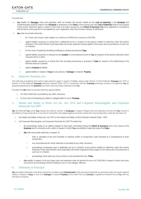#### Provided that:

- Our liability for Damages costs and expenses shall not exceed the amount stated as the Limit of Indemnity in the Schedule and notwithstanding anything stated in the Schedule or elsewhere in this Policy to the contrary the said Limit of Indemnity shall for the purpose of this section extension apply in respect of the total of all claims during any one Period of Insurance You have registered in accordance with the terms of the said Act or has applied for such registration which has not been refused or withdrawn;
- b) We shall not provide indemnity:
	- i. for 10 per cent of each claim subject to a minimum of £500 and a maximum of £5,000;
	- ii. against liability caused by or arising from a deliberate act by or omission of any person entitled to indemnity under this section extension if the result thereof could reasonably have been expected having regard to the nature and circumstances of such act or omission;
	- iii. for the costs of replacing reinstating rectifying or erasing any personal Data;
	- iv. against liability caused by or arising from any Incident or circumstances known to You at inception of this section extension which may give rise to a claim;
	- v. against liability caused by or arising from the recording processing or provision of Data for reward or the determining of the financial status of a person;
	- vi. against **Contract**ual liability;
	- vii. against liability in respect of **Injury** to any person or **Damage** to material **Property**.

## iv. Defective Premises Act

The indemnity provided by this section shall extend to apply in respect of liability arising under Section 3 of the Defective Premises Act 1972 or Section 5 of the Defective Premises (Northern Ireland) Order 1975 in connection with any Premises previously owned or occupied by You for purposes pertaining to the **Business** and which have since been disposed of by You.

Provided that We shall not provide indemnity against liability:

- for which indemnity is provided by any other insurance;
- b) for the costs of remedying any defect or alleged defect in such **Premises**.

## v. Health and Safety at Work Act etc. Act 1974 and Corporate Manslaughter and Corporate Homicide Act 2007

We will indemnify You and at Your request any director, partner or Employee in respect of legal costs and expenses incurred with Our consent in the defence of any prosecution or incurred in connection with appeal against conviction arising from such prosecution under the provisions of:

- the Health and Safety at Work etc. Act 1974 or the Health and Safety at Work (Northern Ireland) Order 1978;
- b) the Corporate Manslaughter and Corporate Homicide Act 2007 Provided that:
	- the proceedings relate to an offence alleged to have been committed during the Period of Insurance and in the course of the Business and in connection with a claim in respect of which You are entitled to indemnity under this Policy;
	- ii. We shall not provide indemnity in respect of:
		- fines or penalties of any kind remedial or publicity orders or prosecution costs imposed as a consequence of such prosecution;
		- ii. any circumstances for which indemnity is provided by any other insurance;
		- iii. proceedings consequent upon a deliberate act by or omission of any person entitled to indemnity under this section Extension if the result thereof could reasonably have been expected having regard to the nature and circumstances of such act or omission;
		- iv. proceedings which arise out of any activity or risk excluded from this Policy.
	- Our liability in respect of all such legal costs and expenses shall not exceed the sum of £1,000,000 in respect of each and every occurrence of proceedings whether relating to one or more alleged offences.

#### vi. Indemnity to Principal

We will subject otherwise to the terms exclusions conditions and Endorsements of this Insurance indemnify any principal under this section against liability in respect of Injury or loss of or Damage to material Property to the extent that any Contract or agreement entered into by You with any principal so requires.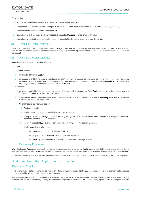Provided that:

- a) an indemnity would have been provided had a claim been made against You;
- b) the principal shall observe fulfil and be subject to the terms conditions and **Endorsements** of this **Policy** as far as they can apply;
- c) the conduct and control of claims is vested in Us;
- d) the indemnity shall not apply to liability in respect of liquidated Damages or under any penalty clause;
- e) the indemnity granted this section shall only apply in respect of liability to any person who is an Employee

#### vii. Leased or Rented Premises

Section exclusion 1) (ii) shall not apply to liability for Damage to Premises (including their fixtures and fittings) leased or rented to You Provided that We shall not provide indemnity against liability assumed by You under any agreement which would not have attached in the absence of such agreement.

#### viii. Overseas Personal Liability

We will within the terms of this section indemnify:

#### a) You;

b) at Your request:

- i. any director partner or **Employee**;
- ii. any spouse or child of the persons stated in (a) or (b) (i) above who are accompanying such persons in respect of liability incurred by such persons in a personal capacity in connection with an event occurring in a country outside of the Geographical Limits whilst on a temporary visit to such country in connection with the **Business**.

Provided that:

- a) any person entitled to indemnity under this section Extension shall as though they Were You be subject to the terms Exclusions and Conditions of this **Policy** insofar as they can apply;
- b) nothing in this section Extension shall increase Our liability to pay any amount exceeding the Limit of Indemnity regardless of the number of persons claiming to be indemnified;
- c) We shall not provide indemnity against:
	- i. Contractual liability;
	- ii. liability for which indemnity is provided by any other insurance;
	- iii. liability in respect of Damage to material Property belonging to or in the custody or under the control of any person entitled to indemnity under this section Extension;
	- iv. liability in respect of *Injury* to any person entitled to indemnity under this section Extension;
	- liability caused by or arising from:
		- 1. the ownership or occupation of land or **Buildings**;
		- 2. the carrying on of any **Business** profession trade or employment;
		- 3. the ownership possession or use of animals other than domestic dogs or cats.

#### ix. Temporary Employees

We will indemnify You against legal liability arising out of the employment of temporary Employees provided that the total number of days during which all such temporary Employees are employed does not exceed the number of days stated in the Schedule during any one Period of Insurance.

For the purpose of this extension the total number of days employed shall mean the combined total of days employed for all temporary Employees.

# Additional Condition Applicable to this Section

## Declaration Condition

If the premium or part of any premium is calculated on estimates You have supplied to Us You shall keep a record of all such relevant particulars and shall allow Us to inspect such records at any reasonable time.

You shall furnish Us with such information as We may require at the expiry of each Period of Insurance within the Period specified by Us The premium shall be adjusted annually and any difference shall be paid by or returned to You subject to any agreed minimum or deposit premium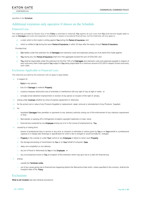#### specified in the Schedule

# Additional extension only operative if shown on the Schedule

#### Financial Loss

The indemnity provided by Section 6(a) of this Policy is extended to indemnify You against all such sums that You shall become legally liable to pay as Damages and costs and expenses of claimants in respect of accidental financial loss; but the Indemnity will only apply to:

- a) a claim which is first made in writing against You during the Period of Insurance; and
- b) which is notified to Us during the same Period of Insurance or within 30 days after the expiry of such Period of Insurance.

Provided that:

- a) Our liability under this extension for all Damages and claimants costs and expenses arising out of all claims first made against;
- b) You during any one Period of Insurance shall not in the aggregate exceed the sum of £250,000; and
- c) You shall be responsible under this extension for the first 10% of all Damages and claimants costs and expenses payable in respect of each and every claim made against You subject to You being responsible for a minimum amount of £5,000 in respect of each and every such claim.

## Exclusions Applicable to Financial Loss:

The indemnity provided by this extension will not apply to legal liability:

- a) in respect of:
	- i. **Injury** to any person;
	- ii. loss of or Damage to material Property;
	- iii. nuisance trespass obstruction loss of amenities or interference with any right of way air light or water; or
	- iv. wrongful arrest detention imprisonment or eviction of any person or invasion of the right of privacy.
- b) arising under **Contract** whether by virtue of express agreement or otherwise;
- c) for the actual cost or value of any Products Supplied or replacement, repair, removal or reinstatement of any Products Supplied;
- d) for:
	- i. liquidated Damages fines penalties or payments to any statutory authority arising out of the enforcement of any statutory requirement or duty;
	- ii. libel slander or passing off or infringement of patent copyright trademark or trade name;
	- iii. financial loss sustained by any Employee arising out of or in the course of employment by You.
- e) caused by or arising from:
	- i. breach of professional duty or service or any error or omission in estimates or advice given by You or on Your behalf in a professional capacity or in design plan drawings or specification for which a fee is charged or would normally be charged;
	- ii. Property in the custody or under Your control or any Employee or failure to return such Property;
	- iii. the storage processing or transmission by You or on Your behalf of computer Data;
	- iv. delay non-completion or non delivery;
	- v. any act of fraud or dishonesty by You or any Employee; or
	- vi. any circumstances known to You at inception of this extension which may give rise to a claim for financial loss.
- f) arising:
	- i. outside the Territorial Limits;
	- ii. out of any cause giving rise to financial loss happening before the Retroactive Date which, unless specified to the contrary, shall be the inception date of this Policy.

# **Exclusions**

What is not Covered (see also General exclusions):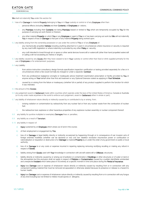#### COMMERCIAL

We shall not indemnify You under this section for:

- 6.1 loss of or Damage to material Property belonging to You or in Your custody or control or of any Employee other than:
	- i. personal effects (including Vehicle and their Contents) of Employees or visitors;
	- ii. any Premises including their Contents not being Premises leased or rented to You which are temporarily occupied by You for the purpose of carrying out work therein or thereon;
	- iii. any other material Property on which You or any Employee or agent of You is or has been carrying out work but We will not indemnify You in respect of loss or Damage to that part of any material Property being worked upon.

6.2 any liability arising from the ownership possession or use under the control of You or of any Employee of:

- any mechanically propelled Vehicle including anything attached to it used in circumstances where insurance or security is required by any road traffic legislation or where indemnity is provided by any other **Policy** or security;
- ii. any craft intended to travel through air or space or other aerial devices hovercraft or watercraft (other than hand propelled watercraft or sailing craft not exceeding six metres in length).
- 6.3 any liability caused by any Goods after they have ceased to be in Your custody or control other than food or drink supplied primarily for the use of **Employees** or for entertainment purposes;
- 6.4 any Liability:
	- i. from advice instruction consultancy design formula specification inspection certification or testing provided separately for a fee or in circumstances where a fee would normally be charged or under a separate Contract;
	- ii. from any professional negligence wrongful or inadequate advice treatment examination prescription or facility provided by You or anyone acting on Your behalf other than first aid treatment or any Optional Extension stated as applying in Your Schedule;
	- iii. caused by or arising from the failure or inadequacy (whether full or partial) of any product supplied to perform the function for which it was intended.
- 6.5 the amount of the Excess;
- 6.6 any judgement award or Settlement made within countries which operate under the laws of the United States of America, Canada or Australia (or to any order made anywhere in the world to enforce such judgement, award or Settlement either in whole or part);
- 6.7 any liability of whatsoever nature directly or indirectly caused by or contributed to by or arising from;
	- i. ionising radiation or contamination by radioactivity from any nuclear fuel or from any nuclear waste from the combustion of nuclear fuel;
	- ii. the radioactive toxic explosive or other hazardous properties of any explosive nuclear assembly or nuclear component thereof.
- 6.8 any liability for punitive multiplied or exemplary **Damages** fines or penalties;
- 6.9 any liability as a result of Terrorism;
- 6.10 any liability in respect of:
	- a) Injury sustained by an Employee which arises out of and in the course;
	- b) of their employment or engagement by You;
	- c) loss of or Damage or legal liability directly or indirectly occasioned by happening through or in consequence of war invasion acts of foreign enemies hostilities (whether war be declared or not) civil war rebellion revolution insurrection power or confiscation or nationalisation or requisition or destruction of or Damage to material Property by or under the order of any government or public or local authority;
	- d) loss of or Damage to or any costs or expense incurred in repairing replacing removing rectifying recalling or making any refund in respect of Goods;
	- e) liability arising from Goods used with Your knowledge in connection with aircraft watercraft or Offshore structures;
	- f) liability directly or indirectly caused by or arising out of pollution or contamination of **Buildings** or other structures or of water or land or the atmosphere but this exclusion shall not apply in respect of Pollution or Contamination caused by a sudden identifiable unintended and unexpected Incident which takes place in its entirety at a specific moment in time and place during the Period of Insurance;
	- g) Injury loss Damage cost or expense of whatsoever nature directly or indirectly caused by resulting from or in connection with any component building material that must be removed encapsulated or otherwise abated because its presence or release is a hazard to human health;
	- h) Injury loss Damage cost or expense of whatsoever nature directly or indirectly caused by resulting from or in connection with any fungus of any kind including but not limited to mildew mould spores or allergens;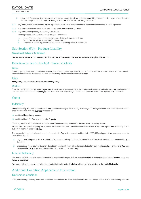#### COMMERCIAL

- i) Injury loss Damage cost or expense of whatsoever nature directly or indirectly caused by or contributed to by or arising from the manufacture production storage or handling of Asbestos or materials containing Asbestos.
- 6.11 any liability which is assumed by You by agreement unless such liability would have attached in the absence of such agreement
- 6.12 any liability arising from work undertaken in any Hazardous Trade or Location.
- 6.13 any liability arising directly or indirectly from Abuse.

For the purpose of this Exclusion the term Abuse shall mean:

- i. acts of hurting or injuring mentally or physically by maltreatment or ill-use
- ii. acts of forcing sexual activity rape or molestation or
- repeated or continuing contemptuous coarse or insulting words or behaviours.

# Sub-Section 6(b) – Products Liability

#### (Operative only if stated in the Schedule)

Certain words have specific meanings for the purpose of this section, General exclusions also apply to this section.

## Definitions for Sub-Section 6(b) – Products Liability

#### Goods

Goods or products (including containers labelling instructions or advice provided in connection therewith) manufactured sold supplied erected repaired altered treated transported serviced or installed by You in the course of the Business.

#### Injury

Bodily Injury, death illness or disease causing Bodily Injury.

#### **Offshore**

From the moment in time that an Employee shall embark onto any conveyance at the point of final departure on land to any Offshore installation until the moment in time that an Employee shall disembark from any conveyance onto land upon their return from any Offshore installation.

## Cover

## Indemnity

We will indemnify You against all sums that You shall become legally liable to pay as Damages including claimants' costs and expenses which arise in connection with the Business in respect of:

- a) accidental **Injury** to any person;
- b) accidental loss of or **Damage** to material **Property**.

Occurring anywhere in the World other than at Your Premises during the Period of Insurance and caused by Goods.

All costs and expenses incurred by You (save as described below) with Our written consent in respect of any claim against You which may be the subject of indemnity under this **Policy**.

The payment of legal and other defence fees incurred with Our written consent and to a limit of £50,000 arising out of any one occurrence for representing You at:

- a) any Coroner's Inquest or Fatal Accident Inquiry in respect of any death and at which You or Your Employee has been requested to give evidence;
- b) proceedings in any court of Summary Jurisdiction arising out of any alleged breach of statutory duty resulting in Injury or loss of or Damage to material Property which may be the subject of indemnity under this Policy.

## Limit of Indemnity

Our maximum liability payable under this section in respect of Damages shall not exceed the Limit of Indemnity stated in the Schedule in any one Period of Insurance.

Any costs and expenses which may be the subject of indemnity under this Policy will be payable in addition to the Limit of Indemnity.

# Additional Condition Applicable to this Section

## Declaration Condition

If the premium or part of any premium is calculated on estimates You have supplied to Us You shall keep a record of all such relevant particulars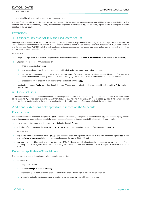#### COMMERCIAL

and shall allow Us to inspect such records at any reasonable time.

You shall furnish Us with such information as We may require at the expiry of each Period of Insurance within the Period specified by Us The premium shall be adjusted annually and any difference shall be paid by or returned to You subject to any agreed minimum or deposit premium specified in the Schedule.

## **Extensions**

## i. Consumer Protection Act 1987 and Food Safety Act 1990

We will provide indemnity to You and at Your request any director, partner or Employee in respect of legal costs and expenses incurred with Our written consent in the defence of any criminal proceedings brought for a breach of Part II of the Consumer Protection Act 1987 and Sections 7 and 8 of the Food Safety Act 1990 including such legal costs and expenses incurred in an appeal against conviction arising from such proceedings and prosecution costs awarded in connection therewith.

Provided that:

- a) the proceedings relate to an offence alleged to have been committed during the Period of Insurance and in the course of the Business;
- b) We shall not provide indemnity in respect of:
	- i. fines or penalties of any kind;
	- ii. any proceedings arising from circumstances for which indemnity is provided by any other insurance;
	- iii. proceedings consequent upon a deliberate act by or omission of any person entitled to indemnity under this section Extension if the result thereof could reasonably have been expected having regard to the nature and circumstances of such act or omission;
	- iv. proceedings which arise out of any activity or risk excluded from this Policy.
- c) the director partner or Employee shall as though they were You be subject to the terms Exclusions and Conditions of this Policy insofar as they can apply.

## ii. Cross Liabilities

If You comprise more than one party We will under this section provide indemnity to each such party in the same manner and to the same extent as if a separate Policy had been issued to each of them Provided that nothing in this Extension shall increase Our liability to pay any amount exceeding the Limit of Indemnity of the operative section(s) regardless of the number of persons claiming to be indemnified.

## Additional extensions only operative if shown on the Schedule

#### Financial Loss

The indemnity provided by Section 6 (b) of this Policy is extended to indemnify You against all such sums that You shall become legally liable to pay as Damages and costs and expenses of claimants in respect of accidental financial loss; but the Indemnity will only apply to:

- a) a claim which is first made in writing against You during the Period of Insurance; and
- b) which is notified to Us during the same Period of Insurance or within 30 days after the expiry of such Period of Insurance

Provided that:

- a) Our liability under this extension for all Damages and claimants costs and expenses arising out of all claims first made against You during any one Period of Insurance shall not in the aggregate exceed the sum of £250,000; and
- b) You shall be responsible under this extension for the first 10% of all Damages and claimants costs and expenses payable in respect of each and every claim made against You subject to You being responsible for a minimum amount of £5,000 in respect of each and every such claim

#### Exclusions Applicable to Financial Loss:

The indemnity provided by this extension will not apply to legal liability:

- a) in respect of:
	- i. **Injury** to any person;
	- ii. loss of or Damage to material Property;
	- iii. nuisance trespass obstruction loss of amenities or interference with any right of way air light or water; or
	- iv. wrongful arrest detention imprisonment or eviction of any person or invasion of the right of privacy.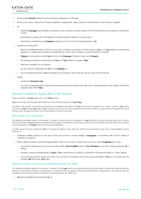#### COMMERCIAL

- b) arising under **Contract** whether by virtue of express agreement or otherwise;
- c) for the actual cost or value of any Products Supplied or replacement, repair, removal or reinstatement of any Products Supplied;
- d) for:
	- i. liquidated Damages fines penalties or payments to any statutory authority arising out of the enforcement of any statutory requirement or duty;
	- ii. libel slander or passing off or infringement of patent copyright trademark or trade name;
	- iii. financial loss sustained by any Employee arising out of or in the course of employment by You.
- e) caused by or arising from:
	- i. breach of professional duty or service or any error or omission in estimates or advice given by You or on Your behalf in a professional capacity or in design plan drawings or specification for which a fee is charged or would normally be charged;
	- ii. Property in the custody or under Your control or any Employee or failure to return such Property;
	- iii. the storage processing or transmission by You or on Your behalf of computer Data;
	- iv. delay non-completion or non-delivery;
	- v. any act of fraud or dishonesty by You or any Employee; or
	- vi. any circumstances known to You at inception of this extension which may give rise to a claim for financial loss.
- f) arising:
	- i. outside the **Territorial Limits**:
	- ii. out of any cause giving rise to financial loss happening before the Retroactive Date which, unless specified to the contrary, shall be the inception date of this Policy.

# Special Conditions Applicable to this Section

These conditions of Cover apply only to this Policy section.

You must comply with the following conditions to have the full protection of Your Policy.

Conditions may specify circumstances whereby non-compliance will mean that You will not receive payment for a claim. However, You will be covered and We will pay Your claim if You are able to prove that the non-compliance with these conditions could not have increased the risk of the loss which actually occurred in the circumstances in which it occurred.

## Bona Fide Sub Contractors

The following conditions apply to this section, in respect to where work is undertaken on Your behalf by any sub-contractor other than a labour only sub-contractor You must take reasonable steps to obtain confirmation from the sub-contractor prior to starting work that they have insurance in force throughout the Period of the work they are undertaking.

A written record must be retained by You for inspection by Us if a claim arises for which the sub-contractor may have a responsibility showing evidence of:

- a) Employers Liability insurance in the name of the sub-contractor covering liability to **Employees** in accordance with any law relating to compulsory insurance;
- b) Public Liability insurance covering the legal liability of the sub-contractor to anyone who is not one of their **Employees** and which:
	- i. has a limit of indemnity not less than the public liability Limit of Liability shown in Your Schedule or any other amount agreed by Us in writing;
	- ii. includes a clause providing benefit of Cover to You in similar terms to clause (vi) Indemnity to Principal of Section 6 Public Liability;
	- iii. covers the type of work carried out by the sub-contractor in connection with works being undertaken If You do not comply with this condition We will not pay Your claim.

## Housing Grants Construction and Regeneration Act 1996

The following conditions apply to this section, in respect of any Event and/or occurrence which may be the subject of indemnity under this section arising out of a decision made by an adjudicator in connection with any dispute which has been referred to adjudication in accordance with the provisions of the Housing Grants Construction and Regeneration Act 1996 that:

You give immediate notice directly to Us of: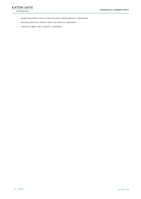- i. receipt of any notice of intent or other documents making reference to adjudication;
- ii. becoming aware that a dispute is likely to be referred to adjudication;
- iii. a decision by You to refer a dispute to adjudication.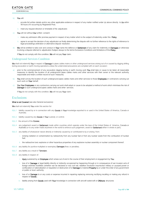#### b) You will:

- i. provide full written details and/or any other applicable evidence in respect of any matter notified under (a) above directly to Us within 48 hours of it occurring by Registered Post;
- ii. meet any request direction or timetable of the adjudicator.
- You will not without Our written consent:
	- i. make any admission offer promise payment in respect of any matter which is the subject of indemnity under this Policy;
	- ii. agree to accept the decision of any adjudicator as finally determining the dispute with no further reference to the rights of reference to legal proceedings arbitration or alternative dispute resolution.
- d) We will be entitled to take over and conduct in Your name the defence or Settlement of any claim for indemnity or Damages or otherwise involving a dispute referred to adjudication Subject always to the terms Exclusions Conditions and limitations of this Policy.

If You do not comply with this condition, We will not pay Your claim.

#### Underground Services Condition

We shall not indemnify You in respect of Damage to pipes cables mains or other underground services arising out of or caused by digging drilling boring excavation or earth moving operations unless the undernoted precautions are complied with on each occasion:

- prior to the commencement of any excavation digging boring or earth moving work You shall take or cause to be taken all reasonable measures to identify the location of all underground pipes cables mains and other services with their owner or the relevant authority responsible and retain a written record of such measures;
- b) You shall convey the location of such underground pipes cables mains and other services to those Employees or contractors carrying out such work on Your behalf;
- c) You Your Employees or any contractors carrying out work shall adopt or cause to be adopted a method of work which minimises the risk of Damage to such underground pipes cables mains and other services.

If You do not comply with this condition, We will not pay Your claim.

# **Exclusions**

What is not Covered (see also General exclusions):

We shall not indemnify You under this section for:

- 6(b).1 liability caused by or in connection with any Goods to Your knowledge exported to or used in the United States of America, Canada or Australia;
- 6(b).2 liability caused by any Goods in Your custody or control;
- 6(b).3 the amount of the Excess;
- 6(b).4 any judgement award or Settlement made within countries which operate under the laws of the United States of America, Canada or Australia (or to any order made anywhere in the world to enforce such judgement, award or Settlement either in whole or part);
- $6(b)$ .5 any liability of whatsoever nature directly or indirectly caused by or contributed to by or arising from:
	- i. ionising radiation or contamination by radioactivity from any nuclear fuel or from any nuclear waste from the combustion of nuclear fuel;
	- ii. the radioactive toxic explosive or other hazardous properties of any explosive nuclear assembly or nuclear component thereof.
- $6(b).6$  any liability for punitive multiplied or exemplary **Damages** fines or penalties;
- 6(b).7 any liability as a result of Terrorism;
- 6(b).8 any liability in respect of:
	- i. Injury sustained by an Employee which arises out of and in the course of their employment or engagement by You;
	- loss of or Damage or legal liability directly or indirectly occasioned by happening through or in consequence of war invasion acts of foreign enemies hostilities (whether war be declared or not) civil war, rebellion revolution insurrection military or usurped power or confiscation or nationalisation or requisition or destruction of or Damage to material Property by or under the order of any government or public or local authority;
	- iii. loss of or Damage to or any costs or expense incurred in repairing replacing removing rectifying recalling or making any refund in respect of Goods;;
	- iv. liability arising from Goods used with Your knowledge in connection with aircraft watercraft or Offshore structures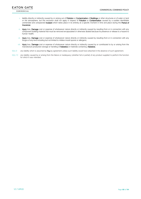COMMERCIAL

- v. liability directly or indirectly caused by or arising out of Pollution or Contamination of Buildings or other structures or of water or land or the atmosphere, but this exclusion shall not apply in respect of Pollution or Contamination caused by a sudden identifiable unintended and unexpected **Incident** which takes place in its entirety at a specific moment in time and place during the Period of Insurance;
- vi. Injury loss, Damage cost or expense of whatsoever nature directly or indirectly caused by resulting from or in connection with any component building material that must be removed encapsulated or otherwise abated because its presence or release is a hazard to human health;
- vii. Injury loss, Damage cost or expense of whatsoever nature directly or indirectly caused by resulting from or in connection with any fungus of any kind including but not limited to mildew mould spores or allergens;
- viii. Injury loss, Damage cost or expense of whatsoever nature directly or indirectly caused by or contributed to by or arising from the manufacture production storage or handling of Asbestos or materials containing Asbestos.
- $6(b).9$  any liability which is assumed by You by agreement unless such liability would have attached in the absence of such agreement;
- 6(b).10 any liability caused by or arising from the failure or inadequacy (whether full or partial) of any product supplied to perform the function for which it was intended.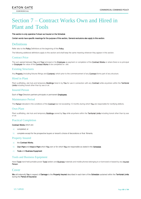# Section 7 – Contract Works Own and Hired in Plant and Tools

#### This section is only operative if shown as Insured on the Schedule

Certain words have specific meanings for the purpose of this section, General exclusions also apply to this section.

## **Definitions**

Refer also to the Policy Definitions at the beginning of this Policy.

The following additional definitions apply to this section and shall keep the same meaning wherever they appear in this section.

## Contract Price

The sum agreed between You and Your principal or his Employee as payment or completion of the Contract Works or where there is no principal or **Employee** the value of the **Contract Works** to be completed on site.

#### Existing Structures

Any Property (including fixtures fittings and Contents) which prior to the commencement of any Contract forms part of any structure.

### Hired in Plant

Plant scaffolding, site huts and temporary Buildings hired in by You for use in connection with any Contract while anywhere within the Territorial Limits including transit other than by sea or air.

#### Insured Person

Each of Your Directors partners principals or permanent Employees.

#### Maintenance Period

The Period indicated in the conditions of the Contract but not exceeding 12 months during which You are responsible for rectifying defects.

#### Own Plant

Plant scaffolding, site huts and temporary **Buildings** owned by You while anywhere within the Territorial Limits including transit other than by sea or air.

## Practical Completion

#### Contract Works which are:

- a) completed; or
- b) complete except for the prospective buyers or tenant's choice of decorations or final fitments.

#### Property Insured

- a) the Contract Works;
- b) Own Plant and Hired in Plant which You own or for which You are responsible as stated in the Schedule.
- c) Tools and Business Equipment

## Tools and Business Equipment

Hand Tools hand held portable power Tools ladders and Business materials and mobile phones belonging to or borrowed or leased by any Insured Person.

## Cover

We will indemnify You in respect of Damage to the Property Insured described in each item of the Schedule sustained within the Territorial Limits during the Period of Insurance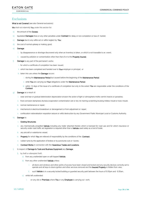COMMERCIAL

# **Exclusions**

What is not Covered (see also General exclusions):

We shall not indemnify You under this section for:

- a) the amount of the **Excess**;
- b) liquidated Damages fines or any other penalties under Contract for delay or non-completion or loss of market;
- c) Damage due to any willful act or willful neglect by You;
- d) the cost of normal upkeep or making good;
- e) Damage:
	- i. by disappearance or shortage discovered only when an inventory is taken, or which is not traceable to an event;
	- ii. caused by pollution or contamination other than that of or to the Property Insured.
- f) Damage to any part of the permanent works:
	- i. for which a certificate of completion has been issued;
	- ii. which has been completed and handed over to Your employer or principal; or
	- iii. taken into use unless the Damage occurs:
		- i. during the Maintenance Period but caused before the beginning of the Maintenance Period;
		- ii. while You are carrying out Your obligations under the Maintenance Period;
		- iii. within 14 days of the issue of a certificate of completion but only to the extent You are responsible under the conditions of the Contract.
- g) Damage as a result of:
	- i. wear and tear or gradual deterioration depreciation erosion the action of light or atmosphere moths vermin insects or parasites;
	- ii. frost corrosion dampness dryness evaporation contamination wet or dry rot marring scratching bruising mildew mould or toxic mould;
	- iii. normal maintenance or repair;
	- iv. mechanical or electrical breakdown or derangement or from adjustment or repair;
	- v. confiscation nationalisation requisition seizure or wilful destruction by any Government Public Municipal Local or Customs Authority.

#### h) Damage to:

#### i. Existing Structures;

- any mechanically propelled Vehicle including any trailer attached thereto which is licensed for road use and for which insurance or security under road traffic act legislation is required other than a Vehicle used solely as a tool of trade;
- iii. any aircraft or waterborne vessel;
- iv. Property for which You are relieved of responsibility by the conditions of the Contract;
- v. rubber tyres by the application of brakes or by punctures cuts or bursts;
- vi. Contract Works in connection with the Hazardous Trades and Locations.
- i) In respect of Damage to Tools and Business Equipment any Damage;
	- 1. by theft or attempted theft;
		- a) from any unattended open or soft-topped Vehicle;
			- b) from any other unattended Vehicle unless:
				- i. all doors and windows and other points of access have been closed and locked and any security devices correctly set to operate and all keys to doors ignition and other services removed and the Insured Property is hidden from view;
				- ii. such Vehicle is in a securely locked building or guarded security park between the hours of 9.00pm and 6.00am.
			- c) whilst left unattended:
				- on any site or Premises where You or any Employee is carrying out work;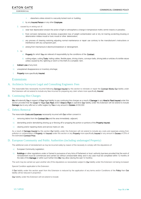ii. elsewhere unless stored in a securely locked room or building.

#### d) by any **Insured Person** or any other **Employee**.

2. caused by or arising out of:

**EATON GATE** COMMERCIAL

- a) wear tear depreciation erosion the action of light or atmosphere a change in temperature moths vermin insects or parasites;
- b) frost corrosion dampness rust dryness evaporation loss of weight contamination wet or dry rot marring scratching bruising or deterioration mildew mould or toxic mould or other deterioration;
- c) any process of cleaning restoring adjusting normal maintenance or repair use contrary to the manufacturer's instructions or interference with any component part;
- d) arising from mechanical or electrical breakdown or derangement.
- $3.$  to:
	- a) Property for which You are relieved of responsibility by the conditions of the Contract;
	- b) cutting edges, cutting Tools, trailing cables, flexible pipes, driving chains, conveyor belts, driving belts or articles of a brittle nature unless caused by fire, lightning or storm or the theft of a complete item.
- j) **Indirect Loss** of any kind;
- $k$ ) unexplained disappearance or inventory shortage;
- I) Property more specifically Insured.

## **Extensions**

## A. Architects Surveyors Legal and Consulting Engineers Fees

The reasonable fees necessarily incurred following Damage Insured by this section to reinstate or repair the Contract Works Our liability under this Extension will not extend to include any fees incurred for preparing any claim where more specifically Insured.

#### B. Continuing Hire Charges

We will indemnify You in respect of Your legal liability to pay continuing hire charges as a result of Damage to any Hired in Plant Insured under this section provided that the Cover for Your Own Plant and/or Hired in Plant is operative Our liability under this Extension will not extend to include Damage due to any wilful act or wilful neglect by You or any amount in Excess of £50,000

#### C. Debris Removal

The reasonable Costs and Expenses necessarily incurred with Our written consent in:

- a) removing debris from the **Contract Site** and the area immediately adjacent;
- b) dismantling and/or demolishing shoring up or fencing off or propping the portion or portions of the **Property Insured**;
- c) clearing and/or repairing drains and service mains on site.

As a result of Damage Insured by this section Our liability under this Extension will not extend to include any costs and expenses arising from pollution or contamination of Property not Insured under this section or any Property more specifically Insured or any amount in Excess of 25% of the estimated Contract Price.

## D. European Community and Public Authorities (including undamaged Property)

The additional costs of reinstatement as may be incurred solely by reason of the necessity to comply with the stipulations of:

- a) European Community Legislation;
- b) Buildings or other regulations under or framed in pursuance of any Acts of Parliament or local authority bye-laws provided that the work of reinstatement must be commenced and carried out without unreasonable delay and in any case must be completed within 12 months of the date of the **Damage** or within such further time **We** may allow (during the said 12 months).

The work may be carried out upon another site (if the stipulations so necessitate) subject to Our liability under this Extension not being increased

Special Condition applicable to this Extension:

If Our liability under this section apart from this Extension is reduced by the application of any terms and/or Conditions of the Policy then Our liability will be reduced in proportion.

Our liability under this Extension will not extend to include: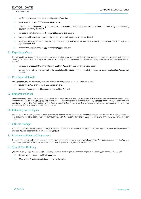- i. any **Damage** occurring prior to the granting of this Extension;
- ii. any amount in **Excess** of 50% of the **Contract Price**;
- iii. in respect of undamaged Property Insured any amount in Excess of 15% of the amount We would have been liable to pay had the Property Insured been wholly destroyed;
- iv. any costs incurred in respect of **Damage** not **Insured** by this section;
- v. associated with an existing requirement which has to be implemented within a given Period;
- vi. associated with any additional rate tax duty or other charge which may become payable following compliance with such legislation regulation of by laws;
- vii. where notice was served upon You before the Damage occurred.

## E. Expediting Costs

The reasonable costs and additional charges for overtime night-work work on public holidays express freight and the like necessarily incurred following Damage to reinstate or repair the Contract Works as part of a claim under this section Our liability under this Extension will not extend to include:

- i. any costs in Excess of 10% of the estimated Contract Price or £10,000 whichever is the lesser;
- ii. any costs incurred which would result in the completion of the Contract at a faster rate than would have been obtained had Damage not occurred.

## F. Free Issue Materials

The Contract Works will include any free issue material for incorporation into the Contract which are:

- a) issued free to **You** or on behalf of **Your** employer; and
- b) for which You are responsible under conditions of the Contract.

#### G. Immobilised Plant

We will indemnify You for the necessary costs incurred in the reCovery of Your Own Plant and/or Hired in Plant which may become immobilised or immovable as a result of Damage Insured by this section whilst being used in connection with any Contract undertaken by You provided that the Cover for Your Own Plant and/or Hired in Plant is operative Our liability under this Extension will not extend to include Immobilisation or immovability due to mechanical or electrical breakdown.

#### H. Indemnity to Principals

The interest of Your employer/principal solely to the extent required by the conditions of Contract in force between You and Your employer/principal is included Provided that each person will as though they were You observe fulfil and be subject to the terms of this Policy insofar as they can apply.

#### I. Off Site Storage

The insurance by this section extends to apply to materials allocated to any Contract whilst temporarily stored anywhere within the Territorial Limits provided You are responsible for them under the Contract.

### J. Re-drawing Plans and Documents

The reasonable costs and expenses necessarily incurred in re-writing or re-drawing plans drawings or other Contract documents following Damage Our liability under this Extension will not extend to include any costs and expenses in Excess of £50,000.

## K. Speculative Building

We will indemnify You in respect of Damage to any private dwelling You have erected on a speculative basis.Our indemnity will cease on:

- the date You sell lease or rent the Property; or
- b) 90 days from **Practical Completion** whichever is the earlier.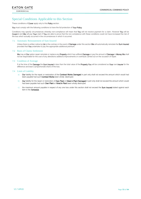### Special Conditions Applicable to this Section

These conditions of Cover apply only to this Policy section.

You must comply with the following conditions to have the full protection of Your Policy.

Conditions may specify circumstances whereby non-compliance will mean that You will not receive payment for a claim. However You will be Covered and We will pay Your claim if You are able to prove that the non-compliance with these conditions could not have increased the risk of the loss which actually occurred in the circumstances in which it occurred.

#### 7.1 Automatic Reinstatement of Sum Insured

Unless there is written notice by Us to the contrary in the event of Damage under this section We will automatically reinstate the Sum Insured provided that You undertake to pay the appropriate additional premium.

#### 7.2 Basis of Claims Settlement

We may at Our option repair reinstate or replace any Property which has suffered Damage or pay the amount of Damage in Money We shall not be responsible for the cost of any alterations additions improvements or overhauls carried out on the occasion of repair.

#### 7.3 Condition of Average

If at the time of the Damage the Sum Insured is less than the total value of the Property You will be considered as Your own Insurer for the difference and bear a proportionate share of the loss.

#### 7.4 Limit of Liability

- a) Our liability for the repair or restoration of the Contract Works Damaged in part only shall not exceed the amount which would had been payable had such Contract Works been wholly destroyed.
- b) Our liability for the repair or restoration of Own Plant or Hired in Plant Damaged in part only shall not exceed the amount which would had been payable had such Own Plant or Hired in Plant been wholly destroyed.
- c) the maximum amount payable in respect of any one loss under this section shall not exceed the Sum Insured stated against each item in the Schedule.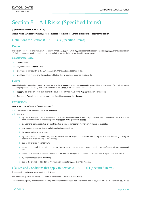# Section 8 – All Risks (Specified Items)

#### (Operative only if stated in the Schedule)

Certain words have specific meanings for the purpose of this section, General exclusions also apply to this section.

### Definitions for Section 8 – All Risks (Specified Items)

#### **Excess**

The first amount of each and every claim (as shown in the Schedule) for which You are responsible at each separate Premises after the application of all other terms and conditions of the insurance including but not limited to any Condition of Average.

#### Geographical Area

- a) the Premises.
- b) anywhere in the **Territorial Limits**.
- c) elsewhere in any country of the European Union other than those specified in (b).
- d) worldwide which means anywhere in the world other than in countries specified in (b) and (c).

### Cover

We will indemnify You against loss or Damage to any of the Property shown in the Schedule by any accident or misfortune of a fortuitous nature occurring anywhere in the Geographical Area shown on the Schedule for an amount in respect of:

- a) Property lost or stolen such sum as shall be equal to the intrinsic value of the Property at the time of the loss;
- b) Damage to Property such sum as shall be sufficient to make good the Damage.

### **Exclusions**

What is not Covered (see also General exclusions):

- 8.1 the amount of the **Excess** shown in the **Schedule**;
- 8.2 Damage:
	- a) by theft or attempted theft to Property left unattended unless contained in a securely locked building compound or Vehicle which has been securely locked at all access points to Property more specifically Insured;
	- b) by wear and tear depreciation erosion the action of light or atmosphere moths vermin insects or parasites;
	- c) any process of cleaning dyeing restoring adjusting or repairing;
	- d) by normal maintenance or repair;
	- e) by frost corrosion dampness dryness evaporation loss of weight contamination wet or dry rot marring scratching bruising or deterioration mildew mould or toxic mould;
	- due to any change in temperature;
	- g) arising during installation maintenance removal or use contrary to the manufacturer's instructions or interference with any component part;
	- h) arising from its own mechanical or electrical breakdown or derangement or arising from adjustment or repair other than by fire;
	- i) by official confiscation or detention;
	- j) due to the erasure or distortion of information on computer **System**s or their records.

### Clauses and Conditions that apply to Section 8 – All Risks (Specified Items)

These conditions of Cover apply only to this Policy section.

#### You must comply with the following conditions to have the full protection of Your Policy.

Conditions may specify circumstances whereby non-compliance will mean that You will not receive payment for a claim. However, You will be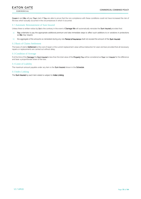**EATON GATE** 

#### COMMERCIAL

Covered and We will pay Your claim if You are able to prove that the non-compliance with these conditions could not have increased the risk of the loss which actually occurred in the circumstances in which it occurred.

#### 8.1 Automatic Reinstatement of Sum Insured

Unless there is written notice by Us to the contrary in the event of Damage We will automatically reinstate the Sum Insured provided that:

- a) You undertake to pay the appropriate additional premium and take immediate steps to affect such additions to or variations in protections as We may require;
- b) the aggregate of the amounts so reinstated during any one Period of Insurance shall not exceed the amount of the Sum Insured.

#### 8.2Basis of Claims Settlement

The basis of claims Settlement is the cost of repair or the current replacement value without deduction for wear and tear provided that all necessary repairs or replacements are carried out without delay.

#### 8.3Condition of Average

If at the time of the Damage the Sum Insured is less than the total value of the Property You will be considered as Your own Insurer for the difference and bear a proportionate share of the loss.

#### 8.4 Limit of Liability

The maximum amount payable under any item is the Sum Insured shown in the Schedule.

#### 8.5 Index Linking

The Sum Insured by each item stated is subject to Index Linking.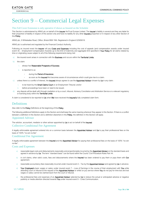# Section 9 – Commercial Legal Expenses

#### This Full Cover Extension is only operative if shown as Insured on the Schedule

This Section is administered by ARAG plc on behalf of the Insurer AmTrust Europe Limited. The Insurer's liability is several and they are liable for their proportion of liability in respect of this section only and have no liability for any other **Insurers** proportion or in respect of any other Section of this Policy.

ARAG plc, 9 Whiteladies Road, Clifton, Bristol BS8 1NN. Registered in England 02585818.

ARAG plc is authorised and regulated by the Financial Conduct Authority.

Following an insured event the Insurer will pay Costs and Expenses including the cost of appeals (and compensation awards under insured event1.B. - Employment Compensation Awards) up to the limit of indemnity and aggregate limit specified in Your Policy for all claims related by time or originating cause subject to all of the following requirements being met:

- a) the insured event arises in connection with the **Business** and occurs within the **Territorial Limits**;
- b) the claim:
	- i. always has **Reasonable Prospects of Success**;
	- ii. is reported to us:
		- during the Period of Insurance;
		- as soon as the Insured first becomes aware of circumstances which could give rise to a claim.
- unless there is a conflict of interest, the Insured always agrees to use the Appointed Advisor chosen by Us in any claim:
	- i. to be heard by the **Small Claims Court** or an Employment Tribunal; and/or
	- ii. before proceedings have been or need to be issued.
- d) any dispute will be dealt with through mediation or by a court, tribunal, Advisory Conciliation and Arbitration Service or a relevant regulatory or licensing body within the Territorial Limits.

A claim is considered to be reported to Us when We have received the Insured's fully completed claim form.

### **Definitions**

Also refer to the **Policy** Definitions at the beginning of this **Policy**.

The following additional Definitions apply to this Section and shall keep the same meaning wherever they appear in this Section. If there is a conflict between a definition in this Section and a definition elsewhere in this Policy, the definition in this Section will apply.

#### Appointed Advisor

The solicitor, accountant, mediator or other advisor appointed by Us to act on behalf of the Insured.

#### Collective Conditional Fee Agreement

A legally enforceable agreement entered into on a common basis between the Appointed Advisor and Us to pay their professional fees on the basis of 100% "no-win no-fee".

#### Conditional Fee Agreement

A legally enforceable agreement between the Insured and the Appointed Advisor for paying their professional fees on the basis of 100% "no-win no-fee".

#### Costs and Expenses

- a) reasonable legal costs and disbursements reasonably and proportionately incurred by the Appointed Advisor on the standard basis and agreed in advance by Us. The term "standard basis" can be found within the Courts' Civil Procedure Rules Part 44.
- b) in civil claims, other side's costs, fees and disbursements where the Insured has been ordered to pay them or pays them with Our agreement.
- c) reasonable accountancy fees reasonably incurred under insured event  $2 Tax$  by the Appointed Advisor and agreed by Us in advance.
- d) Your Employee's basic wages or salary under insured event 7 Loss of Earnings in the course of their employment with You while attending court or tribunal at the request of the Appointed Advisor or whilst on jury service where You do not pay for time lost and lost wages or salary cannot be claimed back from the court or tribunal.
- e) the professional fees and expenses of an Appointed Advisor selected by Us to reduce the actual or anticipated adverse or negative publicity or media attention directed towards You under insured event 9 – Crisis Communication.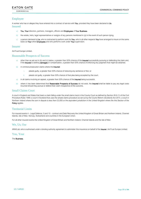### Employee

A worker who has or alleges they have entered into a contract of service with You, provided they have been declared to Us. Insured

- a) You, Your directors, partners, managers, officers and Employees of Your Business.
- b) the estate, heirs, legal representatives or assigns of any persons mentioned in (a) in the event of such person dying.
- c) a person declared to Us, who is contracted to perform work for You, who in all other respects You have arranged to insure on the same basis as Your other Employees and who performs work under Your supervision.

#### Insurer

AmTrust Europe Limited.

#### Reasonable Prospects of Success

- a) other than as set out in (b) and (c) below, a greater than 50% chance of the **Insured** successfully pursuing or defending the claim and, if the Insured is seeking damages or compensation, a greater than 50% chance of enforcing any judgment that might be obtained.
- b) in criminal prosecution claims where the **Insured:** 
	- i. pleads guilty, a greater than 50% chance of reducing any sentence or fine; or
	- ii. pleads not guilty, a greater than 50% chance of that plea being accepted by the court.
- a) in all claims involving an appeal, a greater than 50% chance of the **Insured** being successful.
- b) where it has been determined that Reasonable Prospects of Success do not exist, the Insured shall be liable to pay any legal costs incurred should they pursue or defend their claim irrespective of the outcome.

#### Small Claims Court

A court in England and Wales that hears a claim falling under the small claims track in the County Court as defined by Section 26.6 (1) of the Civil Procedure Rules 1999; a court in Scotland that uses the simple claims procedure as set out by the Courts Reform (Scotland) Act 2014, a court in Northern Ireland where the sum in dispute is less than £3,000 or the equivalent jurisdiction in the United Kingdom where the this Section of the Policy applies.

### Territorial Limits

For insured events 4 – Legal Defence, 5 and 10 – contract and Debt Recovery the United Kingdom of Great Britain and Northern Ireland, Channel Islands, Isle of Man, Norway, Switzerland and countries in the European Union.

For all other insured events the United Kingdom of Great Britain and Northern Ireland, Channel Islands and the Isle of Man.

#### We, Us, Our

ARAG plc who is authorised under a binding authority agreement to administer this insurance on behalf of the Insurer, AmTrust Europe Limited.

#### You, Your

#### The Business.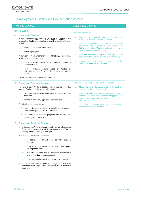### 1. Employment Disputes and Compensation Awards

|                       | What is Covered                                                                                                                                                                           |                        | What is not Covered                                                                                                                                                                                                    |
|-----------------------|-------------------------------------------------------------------------------------------------------------------------------------------------------------------------------------------|------------------------|------------------------------------------------------------------------------------------------------------------------------------------------------------------------------------------------------------------------|
| <b>Insured Events</b> |                                                                                                                                                                                           | Any claim relating to: |                                                                                                                                                                                                                        |
| А.                    | <b>Employment Disputes</b>                                                                                                                                                                |                        |                                                                                                                                                                                                                        |
|                       | A dispute between You and Your Employee, ex-Employee, or a<br>prospective Employee, arising from a breach or an alleged breach<br>of their:<br>contract of service with You; and/or<br>a) | a)                     | the pursuit of an action by <b>You</b> other than an appeal<br>against the decision of a court or tribunal;                                                                                                            |
|                       |                                                                                                                                                                                           | b)                     | redundancy, alleged redundancy or unfair selection for<br>redundancy, occurring during the first 180 days of this<br>Policy, except where You have had equivalent cover in<br>force up until the start of this Policy; |
|                       | related legal rights.<br>b)                                                                                                                                                               |                        |                                                                                                                                                                                                                        |
|                       | A claim can be made under this Section if the Policy provided that<br>all internal procedures as set out in the:                                                                          | C)                     | <b>Costs and Expenses</b> for preparation and representation<br>at an internal disciplinary hearing, grievance or appeal;                                                                                              |
|                       | ACAS Code of Practice for Disciplinary and Grievance<br>i.<br>Procedures; or                                                                                                              | $\mathsf{d}$           | a pension scheme where actions are brought by 10 or<br>more Employees or ex-Employees.                                                                                                                                 |
|                       | Labour Relations Agency Code of Practice on<br>ii.<br>Disciplinary and Grievance Procedures in Northern<br>Ireland                                                                        |                        |                                                                                                                                                                                                                        |
|                       | have been or ought to have been concluded.                                                                                                                                                |                        |                                                                                                                                                                                                                        |
| В.                    | <b>Employment Compensation Awards</b>                                                                                                                                                     |                        | Compensation awards and settlements relating to:                                                                                                                                                                       |
|                       | Following a claim We have accepted under insured event 1.A.<br>above $-$ Employment, the <b>Insurer</b> will pay any:                                                                     | a)                     | <b>Money</b> due to an <b>Employee</b> under a <b>Contract</b> or a<br>statutory provision relating thereto;                                                                                                           |
|                       | basic and compensatory award awarded against You by a<br>a)<br>tribunal or:                                                                                                               | b)                     | trade union membership or non-membership, industrial<br>or labour arbitration, collective bargaining agreements,<br>trade union recognition or matters concerning a<br>European Works Council;                         |
|                       | an amount agreed by Us in settlement of a dispute.<br>b)                                                                                                                                  |                        |                                                                                                                                                                                                                        |
|                       | Provided that compensation is:                                                                                                                                                            | c)                     | civil claims or statutory rights relating to trustees of                                                                                                                                                               |
|                       | i.<br>agreed through mediation or conciliation or under a<br>settlement approved by Us in advance                                                                                         |                        | occupational pension schemes.                                                                                                                                                                                          |
|                       | or awarded by a tribunal judgment after full argument<br>ii.<br>unless given by default.                                                                                                  |                        |                                                                                                                                                                                                                        |
| C.                    | <b>Employment Restrictive Covenants</b>                                                                                                                                                   |                        |                                                                                                                                                                                                                        |
|                       | a) a dispute with <b>Your Employee</b> or ex- <b>Employee</b> which arises<br>from their breach of a restrictive covenant where You are<br>seeking financial remedy or damages.           |                        |                                                                                                                                                                                                                        |
|                       | Provided that the restrictive covenant:                                                                                                                                                   |                        |                                                                                                                                                                                                                        |
|                       |                                                                                                                                                                                           |                        |                                                                                                                                                                                                                        |

covenant.

interests; and

ex-**Employee**; and

ii. is evidenced in writing and signed by Your Employee or

iii. extends no further than is reasonably necessary to

iv. does not contain restrictions in excess of 12 months. b) a dispute with another party who alleges that You have breached their legal rights protected by a restrictive

protect the **Business** interests; and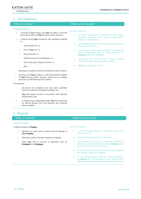### 2. Tax Protection

#### Insured Events

- a) a formally notified enquiry into Your tax affairs, or into the personal tax affairs of Your directors and/or partners.
- b) a dispute about **Your** compliance with regulations relating to:
	- i. Value Added Tax; or
	- ii. Pay As You Earn; or
	- iii. Social Security; or
	- iv. National Insurance Contributions; or
	- v. the Construction Industry Scheme; or
	- vi. IR35.

following a compliance check by HM Revenue and Customs.

c) an enquiry into Your tax affairs, or into the personal tax affairs of Your directors and/or partners, arising from an alleged discovery by HM Revenue and Customs.

Provided that:

- i. all returns are completed and have been submitted within the statutory timescales permitted; and
- ii. You keep proper records in accordance with statutory requirements; and
- iii. in respect of any appealable matter You have requested an Internal Review from HM Revenue and Customs where available.

### What is Covered What is not Covered

Any claim relating to:

- a) tax returns which result in HM Revenue and Customs imposing a penalty or which contain careless and/or deliberate misstatements;
- b) an investigation by the Fraud Investigation Service of HM Revenue and Customs;
- c) circumstances where the Disclosure of Tax Avoidance Scheme Regulations apply or should apply to the Insured's financial arrangements;
- d) any enquiry that concerns assets, monies or wealth outside of Great Britain and Northern Ireland.
- Your failure to register for VAT.

## 3. Property

#### Insured Events

#### A dispute relating to Property:

- following an event which causes physical damage to Your Property;
- b) following a public or private nuisance or trespass;
- $c)$  which **You** wish to recover or repossess from an Employee or ex-Employee.

#### What is Covered What is not Covered

Any claim relating to:

- a) a contract between You and a third party except for a claim under 3 (c);
- b) goods in transit or goods lent or hired out;
- c) the compulsory purchase of, or demolition restrictions, controls or permissions placed on land or Property by any government, local or public authority;
- d) a dispute with any party other than the party who caused the damage, nuisance or trespass;
- e) a motor vehicle owned or used by, or hired or leased to an **Insured** other than damage to motor vehicles where You are engaged in the business of selling motor vehicles.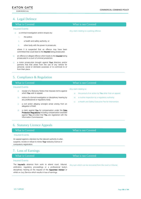### 4. Legal Defence

#### Insured Events

- a) a criminal investigation and/or enquiry by:
	- i. the police;
	- ii. a health and safety authority; or
	- iii. other body with the power to prosecute;

where it is suspected that an offence may have been committed that could lead to the Insured being prosecuted.

- b) an offence or alleged offence which leads to the **Insured** being prosecuted in a court of criminal jurisdiction.
- c) a motor prosecution brought against Your directors and/or partners that that arises from the use of any vehicle for personal, social or domestic purposes or to commute to or from their place.

## 5. Compliance & Regulation

### Insured Events What is Covered What is not Covered

- a) receipt of a Statutory Notice that imposes terms against which You wish to appeal.
- b) notice of a formal investigation or disciplinary hearing by any professional or regulatory body.
- c) a civil action alleging wrongful arrest arising from an allegation of theft.
- d) a claim against You for compensation under the Data Protection Regulations including compensation awarded against You provided that You are registered with the Information Commissioner

## 6. Statutory Licence Appeals

### What is Covered What is not Covered

#### Insured Events

An appeal against a decision by the relevant authority to alter, suspend, revoke or refuse to renew Your statutory licence or compulsory registration.

## 7. Loss of Earnings

#### What is Covered What is not Covered

#### Insured Events

The **Insured's** absence from work to attend court, tribunal, arbitration, regulatory proceedings or a professional body's disciplinary hearing at the request of the Appointed Advisor or whilst on Jury Service which results in loss of earnings.

### What is Covered What is not Covered

Any claim relating to a parking offence.

Any claim relating to:

- a) the pursuit of an action by You other than an appeal;
- b) a routine inspection by a regulatory authority
- c) a Health and Safety Executive Fee for Intervention.

Any sum which can be recovered from the court or tribunal.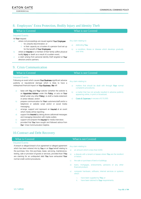## 8. Employees' Extra Protection, Bodily Injury and Identity Theft

### Insured Events

### At Your request:

- a) where civil proceedings are issued against Your Employee: i. for unlawful discrimination; or
	- ii. in their capacity as a trustee of a pension fund set up for the benefit of Your Employees;
- b) where an **Insured** or a member of their family suffers physical bodily *Injury* or death as a result of a sudden event;
- c) a claim arising from personal identity theft targeted at Your directors and/or partners.

## 9. Crisis Communication

### What is Covered What is not Covered

### Insured Events

Following an event which causes Your Business significant adverse publicity or reputational damage which is likely to have a widespread financial impact on Your Business, We will

- a) liaise with You and Your solicitor (whether the solicitor is an Appointed Advisor under this Policy, or acts on Your behalf under any other Policy), to draft a media statement or press release; and/or
- b) prepare communication for **Your** customers/staff and/or a telephone or website script and/or or social media messaging;
- c) arrange, support and represent an **Insured** at an event which media will be reporting;
- d) support the Insured by taking phone calls/email messages and managing interaction with media outlets;
- e) support and prepare the **Insured** for media interviews
- f) provided that You have sought and followed advice from **Our** Crisis Communication helpline.

## 10.Contract and Debt Recovery

### Insured Events

A breach or alleged breach of an agreement or alleged agreement which has been entered into by You or on Your behalf relating to the purchase, hire, hire purchase, lease, servicing, maintenance, testing, sale or provision of goods or services, provided that if You are claiming for an undisputed debt You have exhausted Your normal credit control procedures.

What is not Covered

### Any claim relating to:

Any claim relating to: a) defending You;

over time.

a) matters that should be dealt with through Your normal complaints procedures;

b) a condition, illness or disease which develops gradually

- b) a matter that has not actually resulted in adverse publicity appearing online, in print or broadcast;
- c) Costs & Expenses in excess of £10,000.

### What is Covered What is not Covered

### Any claim relating to:

- a) an amount which is less than £200;
- b) a dispute with a tenant or leasee where **You** are the landlord or lessor;
- c) the sale or purchase of land or buildings;
- d) loans, mortgages, endowments, pensions or any other financial product;
- e) computer hardware, software, internet services or systems which:
	- i. have been supplied by You; or
	- ii. have been tailored to Your requirements.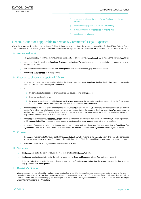- f) a breach or alleged breach of a professional duty by an Insured;
- g) the settlement payable under an insurance **Policy**;
- h) a dispute relating to an **Employee** or ex-**Employee**
- i) adjudication or arbitration.

### General Conditions applicable to Section 9 Commercial Legal Expenses

Where the Insurer's risk is affected by the Insured's failure to keep to these conditions the Insurer can cancel this Section of Your Policy, refuse a claim or withdraw from an ongoing claim. The Insurer also reserves the right to claim back Costs and Expenses from the Insured if this happens.

#### A. An Insured must:

- a) tell Us immediately of anything that may make it more costly or difficult for the Appointed Advisor to resolve the claim in Your favor.
- b) cooperate fully with Us, give the Appointed Advisor any instructions We require, and keep them updated with progress of the claim and not hinder them.
- c) take reasonable steps to claim back Costs and Expenses and, where recovered, pay them to the Insurer.
- d) keep **Costs and Expenses** as low as possible.

#### B. Freedom to choose an Appointed Advisor

- a) in certain circumstances as set out in (b) below the Insured may choose an Appointed Advisor. In all other cases no such right exists and We shall choose the Appointed Advisor.
- b) if:
- i. We agree to start proceedings or proceedings are issued against an Insured, or
- ii. there is a conflict of interest
- iii. the Insured may choose a qualified Appointed Advisor except where the Insured's claim is to be dealt with by the Employment Tribunal or Small Claims Court where We shall always choose the Appointed Advisor.
- c) where the Insured wishes to exercise the right to choose, the Insured must write to Us with their preferred representative's contact details. Where the Insured chooses to use their preferred representative, the Insurer will not pay more than We agree to pay a solicitor from Our panel. (Our panel solicitor firms are chosen with care and We agree special terms with them including rates which may be lower than those available from other firms.)
- d) if the Insured dismisses the Appointed Advisor without good reason, or withdraws from the claim without Our written agreement, or if the Appointed Advisor refuses with good reason to continue acting for an Insured, cover will end immediately.
- e) in respect of pursuing a claim under insured event 10 contract and Debt Recovery You must enter into a Conditional Fee Agreement (unless the Appointed Advisor has entered into a Collective Conditional Fee Agreement) where legally permitted.

### C. Consent

- a) the Insured must agree to Us having sight of the Appointed Advisor's file relating to the Insured's claim. The Insured is considered to have provided consent to Us or Our appointed agent to have sight of their file for auditing and quality and cost control purposes.
- b) an Insured must have Your agreement to claim under this Policy.

#### D. Settlement

- a) the Insurer can settle the claim by paying the reasonable value of the Insured's claim.
- b) the Insured must not negotiate, settle the claim or agree to pay Costs and Expenses without Our written agreement.
- c) if the Insured refuses to settle the claim following advice to do so from the Appointed Advisor the Insurer reserves the right to refuse to pay further Costs and Expenses.

#### E. Barrister's Opinion

We may require the Insured to obtain and pay for an opinion from a barrister if a dispute arises regarding the merits or value of the claim. If the opinion supports the **Insured**, then the **Insurer** will reimburse the reasonable costs of that opinion. If that opinion conflicts with advice obtained by Us, then the Insurer will pay for a final opinion which shall be binding on the Insured and Us. This does not affect Your right under Claims Conditions C – Arbitration.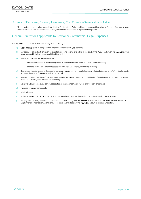### F. Acts of Parliament, Statutory Instruments, Civil Procedure Rules and Jurisdiction

All legal instruments and rules referred to within this Section of the Policy shall include equivalent legislation in Scotland, Northern Ireland, the Isle of Man and the Channel Islands and any subsequent amendment or replacement legislation.

### General Exclusions applicable to Section 9 Commercial Legal Expenses

The **Insured** is not covered for any claim arising from or relating to:

- a) Costs and Expenses or compensation awards incurred without Our consent;
- b) any actual or alleged act, omission or dispute happening before, or existing at the start of the Policy, and which the Insured knew or ought reasonably to have known could lead to a claim;
- c) an allegation against the **Insured** involving:
	- i. malicious falsehood or defamation (except in relation to insured event 9 Crisis Communication);
	- ii. offences under Part 7 of the Proceeds of Crime Act 2002 (money laundering offences).
- d) defending a claim in respect of damages for personal injury (other than injury to feelings in relation to insured event1.A. Employment), or loss or damage to Property owned by the Insured;
- e) patents, copyright, passing-off, trade or service marks, registered designs and confidential information (except in relation to insured event 1.C. – Employment Restrictive Covenants).
- f) a dispute with any subsidiary, parent, associated or sister company or between shareholders or partners;
- g) franchise or agency agreements;
- h) a judicial review;
- i) a dispute with Us, the Insurer or the party who arranged this cover not dealt with under Claims Conditions C Arbitration
- j) the payment of fines, penalties or compensation awarded against the Insured (except as covered under insured event 1.B. -Employment Compensation Awards or 5.(d) or costs awarded against the **Insured** by a court of criminal jurisdiction.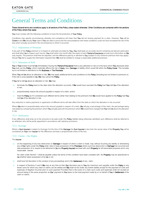# General Terms and Conditions

#### These General terms and conditions apply to all sections of the Policy unless stated otherwise. Other Conditions are contained within the sections of the Policy where they apply.

You must comply with the following conditions to have the full protection of Your Policy.

Conditions may specify circumstances whereby non-compliance will mean that You will not receive payment for a claim. However, You will be Covered and We will pay Your claim if You are able to prove that the noncompliance with these conditions could not have increased the risk of the loss which actually occurred in the circumstances in which it occurred.

#### 10.2 Adjustment of Premium

If any part of the Policy premium or is based on estimates provided by You, You shall keep an accurate record containing all relevant particulars and shall allow Us to inspect such record. You shall within one month after the expiry of each Period of Insurance provide such information as We may require. The premium shall then be adjusted, and the difference paid by or allowed to You (subject to any minimum premium that may apply). Should You fail to supply the information required then We shall be entitled to charge a reasonable additional premium.

#### 10.3 Alteration of Risk

You or Your broker must tell Us immediately if during the Period of Insurance there is any alteration in risk or to the facts which You disclosed when You took out this Policy, which materially affects the risk of Injury, loss, Damage or liability which would fall within the Policy Cover. This includes but is not limited to alterations to the Business or The Premises.

When You tell Us about an alteration in risk, We may apply additional terms and conditions to this Policy (including but not limited to premium) or, if the risk is unacceptable to Us, We may cancel the Policy.

If You fail to tell Us about an alteration in risk, We may:

- a) terminate the Policy back to the date when the alteration occurred, if We would have canceled the Policy had You told Us of the alteration in risk;
- b) proportionately reduce the amount payable in respect of a claim; and/or
- c) treat the Policy as if it contained such different terms (other than relating to the premium) that We would have applied to the Policy had You told Us of the alteration in risk.

Any reduction in claims payments or application of different terms will take effect from the date on which the alteration in risk occurred.

Where We elect to proportionately reduce the amount payable in respect of a claim, We will pay a percentage of the claim, the percentage being calculated by comparing the premium which You actually paid with the premium which We would have charged had You told Us about the alteration in risk.

#### 10.4 Arbitration

If any difference shall arise as to the amounts to be paid under this Policy (liability being otherwise admitted) such difference shall be referred to an arbitrator who will be jointly appointed in accordance with statutory provisions.

#### 10.5 Average

Where a Sum Insured is subject to Average if at the time of the Damage the Sum Insured is less than the actual value of the Property You will be considered as Your own Insurer for the difference and bear a proportionate share of the loss.

#### 10.6 Claims - Our Rights

#### The Insurer:

on the happening of any loss destruction or Damage in respect of which a claim is made, may without incurring any liability or diminishing any of Our rights under this Policy enter, take or keep possession of the Premises where such loss destruction or Damage has occurred and take possession of or require to be delivered to Us any Property Insured and deal with such Property for all reasonable purposes and in any reasonable manner.

No claim under Section 1 shall be payable unless the terms of this condition have been complied with. No Property may be abandoned to Us whether taken possession of by Us or not.

- b) shall have full discretion in the conduct of any proceedings and in the **Settlement** of any claim;
- c) in respect of Sections 5 and 6 We may at any time at their Our discretion pay to You the maximum sum payable under this Policy or any lesser sums for which any claim or claims can be settled and We shall not be under any further liability except for the payment of costs and expenses of litigation incurred prior to such payment Provided that in the event of a claim such costs and expenses shall not exceed an amount being in the same proportion as Our' payment to You bears to the total payment made by or on behalf of You in Settlement of the claim or claims.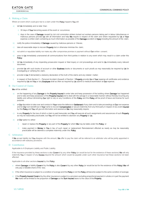#### A Making a Claim

Where an event which could give rise to a claim under this Policy happens You will:

- tell Us immediately and no later than:
	- i) 30 days of **Your** becoming aware of the event or occurrence;
	- ii) days in the case of Damage caused by riot civil commotion strikers locked out workers persons taking part in labour disturbances or malicious persons provide Us with all information and help We require in respect of the claim and where requested by Us at Your expense a written claim containing as much information as possible of the Damage accident or Injury including the amount of the claim.
- b) notify the police immediately of **Damage** caused by malicious persons or thieves;
- $\vert c \rangle$  take all reasonable steps to recover **Property** lost or otherwise minimise the claim;
- d) not admit or repudiate liability nor make any offer compromise promise or payment without Our written consent;
- e) pass to Us immediately unanswered all communications from third parties in relation to any event which may result in a claim under this Policy;
- f) tell Us immediately of any impending prosecution inquest or fatal inquiry or civil proceedings and send to Us immediately every relevant document;
- g) provide Us with such books of account or other Business books or documents or such proofs as may reasonably be required by Us for investigating or verifying the claim;
- h) provide to Us (if demanded) a statutory declaration of the truth of the claims and any related matter;
- i) in respect of Sub-Section C Personal Accident (Assault) of Section 1 Property provide Us at Your expense all certificates and evidence required by Us and You or any Employee shall as often as required by Us submit to medical examination at Our expense.

#### B Our Control of Claims

We will be entitled:

- a) on the happening of any Damage to the Property Insured to enter take and keep possession of the building where Damage has happened and to take and keep possession of the Property Insured and to deal with the salvage in a reasonable manner without thereby incurring any liability and without diminishing Our right to rely on any Conditions of this Policy and this Policy will be proof of leave and license for such purpose;
- b) at Our discretion to take over and conduct in Your name the defence or Settlement of any claim and to take proceedings at Our own expense and for Our own benefit but in Your name to recover Compensation or secure indemnity from any third party in respect of any event Insured by this Policy and You will give all information and assistance We may reasonably require;
- c) to any Property for the loss of which a claim is paid hereunder and You will execute all such assignments and assurances of such Property as may be reasonably practicable, but You will not be entitled to abandon any Property to Us.
- d) at **Our** option to either:
	- i) repair or replace the Property or any part of the Property for which We may be liable under this Policy; or
	- ii) make payment in Money to You in lieu of such repair or replacement Reinstatement effected as nearly as may be reasonably practicable will be deemed a complete indemnity under this Policy.

#### C Arbitration

If We accept liability but You disagree with the amount, We offer to pay the claim will be referred to an arbitrator who will be jointly appointed in accordance with statutory provisions.

#### D Contribution

Applicable to A Employers Liability and Public Liability.

If the insurance provided by these sections is also Covered by any other Policy (or would be but for the existence of these sections) We will only indemnify You in respect of any Excess beyond the amount which would be payable under such other insurance had these sections not been affected.

Applicable to all other sections **Insured** by this **Policy**:

- a) where Damage or liability Covered by the Policy is also Covered by any other Policy (or would be but for the existence of this Policy) We will only pay a rateable share of the loss;
- b) if the other insurance is subject to a condition of average and this Policy is not this Policy will become subject to the same condition of average;
- c) if the Property Insured Covered by the other insurance is subject to a provision excluding proportional payment in whole or in part the payment We make will be limited to the proportion of Damage as the Sum Insured bears to the value of the Property.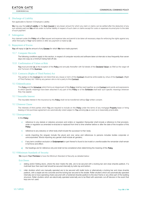#### E Discharge of Liability

Not applicable to Section 5 Employers Liability

We may pay the Limit of Liability or the Sum Insured or any lesser amount for which any claim or claims can be settled after the deduction of any sum already paid and We will be under no further liability in respect of such claim or claims except for costs or expenses incurred prior to the date of such payment

#### F Subrogation

Any claimant under this Policy will at Our request and expense take and permit to be taken all necessary steps for enforcing the rights against any other third party in Your name before or after any payment is made by Us

#### G Repayment of Excess

You will repay to Us the amount of any Excess for which We have made payment.

#### 10.7 Computer Records

The following conditions apply to this section, in respect of computer records and software taken at intervals no less frequently than seven days one copy as a minimum being held off site.

#### 10.8 Confirmation of Values at Risk

You must provide Us at the inception of the Policy and annually thereafter with full details of the Declared Values as Well as the wage roll and Turnover of the **Business** 

#### 10.9 Contracts (Rights of Third Parties) Act

The parties to this Contract do not intend that any clause or term of this Contract should be enforceable by virtue of the Contracts (Right of Third Parties) Act 1999 by any person who is not a party to this Contract.

#### 10.10Identification

This Policy and the Schedule (which forms an integral part of this Policy) shall be read together as one Contract and words and expressions to which specific meanings have been attached in any part of this Policy or of the Schedule shall bear such specific meanings wherever they may appear.

#### 10.11Insurable Interest

The insurable interest in the insurance by this Policy shall not be transferred without Our written consent.

#### 10.12Interest Clause

The interests of third parties which You are required to include on this Policy under the terms of any mortgage Property lease or hiring leasing or hire purchase agreement are automatically noted subject to You advising Us as soon as is reasonably practicable.

#### 10.13Interpretation

#### In this **Policy**:

- a) reference to any statute or statutory provision and orders or regulation thereunder shall include a reference to that provision, order or regulation as amended re-enacted or replaced from time to time whether before or after the date of the inception of this Policy;
- b) reference to any statutory or other body shall include the successor to that body;
- c) words importing the singular include the plural and vice versa and references to persons includes bodies corporate or unincorporated. Words importing any gender shall include all genders;
- d) if any term condition exclusion or Endorsement or part thereof is found to be invalid or unenforceable the remainder shall remain in full force and effect;
- e) the headings are for reference only and shall not be considered when determining the meaning of this Policy.

#### 10.14Minimum Standards of Security

We require Your Premises to have the Minimum Standard of Security as detailed below:

#### Exit Doors

- a) sliding and/or folding doors, where the door meets the stile, are to be secured with a locking bar and close shackle padlock. If a multi-leaf door then each leaf should be secured internally by bolts top and bottom.
- b) roller shutters which are manually operated are to be secured with bullet locks or alternatively a locking bar and close shackle padlock, with a staple set into concrete and the locking bar secured to the shutter. Roller shutters which are automatically operated internally are to have operating chains secured with a hardened shackle padlock to the door frame or any other part of the building structure. Roller shutters which are electrically operated externally are to be fitted with automatic cut-off devices in the event that keys are not used.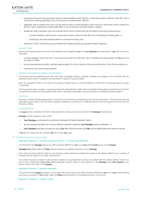### **EATON GATE**

- c) wicket gate doors are to be secured by either a mortise deadlock which has five or more levers and/or conforms to BS 3621 with a matching box striking plate fitted, or by a locking bar and close shackle padlock.
- d) single leaf, solid or paneled doors are to be secured by either a mortise deadlock which has five or more levers and/or conforms to BS 3621 with a matching box striking plate fitted, or by a locking bar and close shackle padlock.
- e) double leaf, solid or paneled, doors are to be secured by flush or barrel bolts top and bottom on the first closing leaf and:
	- i. a mortise deadlock which has five or more levers and/or conforms to BS 3621 and a matching box striking plate; or
	- ii. a locking bar and close shackle padlock on the second closing leaf.
- f) Aluminum or UPVC framed doors are to be fitted with integral cylinder key operated mortise deadlocks.

#### Internal Doors

Internal doors giving access to any part of the Building not occupied by You or for Your Business are to be fitted on Your side of the door with either:

- a) a mortise deadlock which has five or more levers and conforms to BS 3621 with a matching box striking plate and You are to be the sole key holder;
- b) two key operated security bolts, one fitted approximately 30 cm from the top of the door and the other 30 cm from the bottom; or
- a locking bar and close shackle padlock.

#### Windows Fanlights Rooflights and Skylights

All opening external basement ground floor and other accessible windows, fanlights, rooflights and skylights are to be fitted with key operated window locks or a padlock and locking bar or padlock, hasp and staple.

Note: An accessible window is one which can easily be reached such as a window adjacent to a flat roof or fire escape balcony canopy or downpipe.

This requirement does not apply to windows protected by solid steel bars, Weld mesh or expanded metal grilles securely fixed to brickwork surrounding the window or demountable Weld mesh or expanded metal grilles secured by means of a hardened shackle padlock.

#### Fire Exits

Any door or window officially designated as a fire exit by a fire authority is excluded from the above requirements. These are to be secured internally by panic bolts or fire exit bolts (capable of opening at all times) Any additional devices must be approved by the local Fire Prevention Officer.

#### Important Note:

No Cover will be in operation for theft or attempted theft involving entry into or exit from the Premises and malicious.

Damage and fire caused by arson unless:

- a) Your Premises are protected to the Minimum Standards of Security detailed above;
- b) security devices stipulated are in full and effective operation whenever Your Premises are left unattended; or
- c) Your Premises have been surveyed by one of Our Risk Control Surveyors and We have accepted alternative levels of security

If You do not comply with this condition We will not pay Your claim.

#### 10.15Other Insurances and Average

#### Applicable to Section 1 – Property Damage and Section 7 – All-Risks (Specified Items)

If at the time of any Damage there is any other insurance effected by You or on Your behalf Covering any of the Property.

Damaged Our liability under this Policy shall be limited to its rateable proportion of such Damage.

If any other insurance shall be subject to any Average (under-insurance) condition this section if not already subject to any condition of Average shall be subject to Average in like manner.

If any other insurance is subject to any provision whereby it is excluded from ranking concurrently with this section either in whole or in part or from contributing rateably Our liability hereunder shall be limited to that proportion of the Damage as the Sum Insured by this section bears to the value of the Property.

#### Applicable to Section 2 – Business Interruption

If at the time of any Incident resulting in a loss under this section there is any other insurance effected by You or on Your behalf covering such loss or any part of it Our liability under this Policy shall be limited to its rateable proportion of such loss.

#### Application to Section 3 – Goods in Transit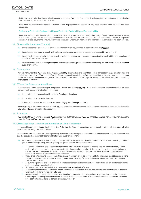**EATON GATE** 

#### COMMERCIAL

If at the time of a claim there is any other insurance arranged by You or on Your behalf Covering anything Insured under this section We shall be liable only for a proportionate share.

If the other insurance is more specific in relation to the **Property** then this section will only apply after the other insurance has been exhausted.

#### Applicable to Section 5 – Employers' Liability and Section 6 – Public Liability and Products Liability

If at the time of any claim there is or but for the existence of this Insurance would be any other Policy of indemnity or insurance in favour of or effected by You or on Your behalf applicable to such claim We shall not be liable under this Insurance to indemnify You in respect of such claim except beyond the amount which would be payable under such indemnity or insurance had this Insurance not been affected.

#### 10.16Reasonable Precautions You shall:

- a) take all reasonable precautions to prevent occurrences which may give rise to loss destruction or **Damage**;
- b) take all reasonable steps to comply with statutory requirements obligations and regulations imposed by any authority;
- c) take immediate steps to make good or remedy any defect or danger which becomes apparent or take such additional precautions as circumstances may require; and
- d) take reasonable care in selecting Employees and maintain security precautions when the Property Insured under Section 3 is in Your custody or control.

#### 10.17Subrogation

Any claimant under this Policy shall at the request and at Our expense take and permit to be taken all necessary steps for enforcing rights against any other party in Your name before or after any payment is made by Us, We shall be entitled to take over and conduct in Your name the defence or Settlement of any claim or to prosecute in Your name at its own expense and for its own benefit any claim for indemnity or Damages or otherwise.

#### 10.18Terms Not Relevant to Actual Loss

If payment of a claim is conditional upon compliance with any term of this Policy We will not pay for any claim where the term has not been complied with except where the term concerned:

- a) is operative only in connection with particular **Premises** or locations;
- b) is operative only at particular times; or
- c) is intended to reduce the risk of particular types of **Injury**, loss, **Damage** or liability

where We will pay for claims in respect of which You can prove that non-compliance with the term could not have increased the risk of the Injury, loss, Damage or liability which occurred.

#### 10.19Turnover

You must notify Us in writing as soon as You become aware that the Projected Turnover of the Business has increased by more than 50% since the Projected Turnover was last confirmed to Us

#### 10.20Heat Application Condition and Restriction of Limit of Indemnity

It is a condition precedent to Our liability under this Policy that the following precautions are be complied with in relation to any following work carried out away from Your premises.

No such work shall be carried out unless specifically authorised by the occupier of the premises at which the work is to be undertaken and that the occupier has specifically approved the following safety arrangements

- a) Work involving application of heat including, but not limited to the use of any blow lamp, blow torch, flame gun or hot air gun, electric gas or other welding cutting, portable grinding equipment or other form of naked flame
	- i. The area in which work is to be carried out (including adjoining shafts or openings and the area the other side of any wall or partition) is to be inspected and wherever practicable all combustible material is to be removed to a distance not less than 10 metres from the point of work. Where such material cannot be removed it must be covered by overlapping sheets of noncombustible material or afforded equivalent protection
	- ii. Suitable fire extinguishing appliances, not less than 2 in number, are to be kept available for immediate use at the point of work. Fire extinguishers should be full and in working order with a capacity of at least 20 litres and located no more than 2 metres from the area of work.
	- iii. All burning equipment is to be lit and used in strict accordance with the manufacturer's instructions not left unattended when lit and extinguished immediately after use
	- iv. Hot air guns are to be switched off when unattended and immediately after use
	- All portable grinders are to be switched on and used in strict accordance with the manufacturer's instructions and switched off when unattended and immediately after use
	- vi. A person who is competent in the use of fire extinguishing appliances is to be appointed to act as a firewatcher in conjunction with the operative using the equipment and to remain in attendance until use of all such equipment has ceased and all torches have been extinguished and all portable grinders switched off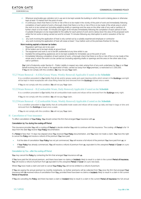- vii. Wherever practicable gas cylinders not in use are to be kept outside the building in which the work is taking place or otherwise kept at least 15 metres from the point of work
- viii. A continuous check that there is no fire or risk of fire is to be made in the vicinity of the point of work and immediately following completion of each period of work a thorough check that there is no fire or risk of fire is to be made of the whole area in which the work is to be carried out (including adjoining shafts or openings and the area on the other side of any wall or partition) A further check is to be made 30 minutes and again at 60 minutes immediately following the completion of each period of work. A suitable Employee is to be responsible for fire safety for each period of work and to damp down the area of the proposed work whilst the hot works is being carried out and for at least 15 minutes following any interruption to and/or cessation of the hot work.
- ix. any work involving the application of heat is only carried out by a suitably experienced employee or contractor
- x. any work involving the application of heat will cease at least 1 hour before work at the premises finishes for the day

#### Work involving asphalt or bitumen tar boilers

- i. Regulation spill trays are to be used
- ii. All tar boilers are to be kept wholly at ground level
- iii. The equipment and work is not to be left unattended at any time whilst in use
- iv. Suitable fire extinguishing appliances are to be kept available for immediate use at the point of work
- v. Immediately following completion of each period of work, a thorough check that there is no fire or risk of fire is to be made of the whole area in which the work is to be carried out (including adjoining shafts or openings and the area on the other side of any wall or partition)

Our Limit of Indemnity under Section 6 – Public Liability in respect any claim arising from of any work undertaken by You or on Your behalf involving the use of heat or the application of heat, carried out away from Your premises, is restricted to £1,000,000. If You do not comply with this condition, We may not pay Your claim.

#### 10.21Waste Removal – A (Oily/Greasy Waste, Weekly Removal) Applicable if noted on the **Schedule**

It is a condition precedent to Our liability that all oily and/or greasy waste and used cleaning cloths which remain in the Buildings overnight will be kept in metal receptacles with close fitting metal lids and removed from the **Buildings** at least once a week.

If You do not comply with this condition, We will not pay Your claim.

#### 10.22Waste Removal – B (Combustible Waste, Daily Removal) Applicable if noted on the **Schedule**

It is a condition precedent to Our liability that all combustible trade waste and refuse will be removed from the Buildings every night.

If You do not comply with this condition, We will not pay Your claim.

#### 10.23Waste Removal – C (Combustible Waste, Weekly Removal) Applicable if noted on the **Schedule**

It is a condition precedent to Our liability that all combustible trade waste and refuse will be swept up daily and kept in bags or bins and removed from the Buildings at least once a week.

If You do not comply with this condition, We will not pay Your claim.

#### H Cancellation of Your insurance

To effect cancellation of Your Policy, You should contact the firm that arranged Your insurance with us.

#### Cancellation by You during the cooling-off Period

This insurance provides You with a cooling-off Period to decide whether You wish to continue with this insurance. The cooling- off Period is for 14 days from the date You receive Your Policy documentation.

If a Period of less than 14 days has elapsed since You received Your Policy documentation, and You have not made a claim, You have the right to cancel the **Policy** and receive a refund of the premium **You** have paid:

- if at the date of cancellation Your Policy has not yet commenced, You will receive a full refund of the premium You have paid from us; or
- if Your Policy has already commenced, You will receive a refund of premium from us, equivalent to the unexpired Period of Cover on a pro rata basis.

#### Cancellation by You – after the cooling-off Period

You may cancel this Policy by contacting the firm that arranged Your insurance with us.

If You have paid the full annual premium, and there have been no claims or Incidents likely to result in a claim in the current Period of Insurance, You will receive a refund of premium from us equivalent to the unexpired Period of Cover on a pro rata basis.

Where You have made a claim and wish to cancel Your Policy You will not be entitled to a refund of premium.

If You are paying the annual premium by monthly instalments, no further premiums will be collected from You once the firm that arranged Your insurance with Us received notice of cancellation from You, provided there have been no claims or Incidents likely to result in a claim in the current Period of Insurance.

If You are cancelling the Policy and there has been a claim or Incident likely to result in a claim in the current Period of Insurance the full annual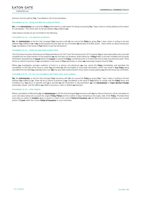premium must be paid by You. Cancellations will not be backdated.

#### Cancellation by Us – during and after the cooling off Period

We, or the Administrator can cancel this Policy where there is a valid reason for doing so by giving You 7 days' notice in writing setting out the reason for cancellation. This will be sent to the last address You notified to Us.

Valid reasons include but are not limited to the following:

#### Cancellation by Us – non-payment of premium

We, the Administrator or the firm that arranged Your insurance with Us can cancel this Policy by giving You 7 days' notice in writing to the last address You notified to Us. If we receive payment by the date set out in the letter we will take no further action. There will be no refund of premium if our cancellation is the result of Your failure to pay the full premium.

#### Cancellation by Us – where we reasonably suspect fraud

The Consumer Insurance (Disclosure and Representations) Act 2012 and The Insurance Act 2015 requires You to take reasonable care to provide complete and accurate answers to the questions we ask and sets out situations where failure by a Policyholder to provide complete and accurate information requested by an Insurer allows the Insurer to cancel the Policy, sometimes back to its start date and to keep any premiums paid. There will be no refund of premium if our cancellation is the result of Your dishonesty or where we reasonably suspect fraud by You.

Where our investigation provides evidence of fraud or a serious non-disclosure we may cancel the Policy immediately and backdate the cancellation to the date of the fraud or when You provided Us with incomplete or inaccurate information, which may result in Your Policy being cancelled from the date You originally took it out. We may also seek reimbursement of any claims monies paid by Us since the fraud was committed.

#### Cancellation by Us – for Your non-compliance with Policy terms and conditions

We, the Administrator or the firm that arranged Your insurance with Us can cancel this Policy by giving You 7 days' notice in writing to the last address You notified to Us. There will be no refund of premium if our cancellation is the result of Your failure to comply with the Policy terms and conditions e.g. You fail to co-operate with Us or provide Us with information or documentation we, the Administrator or Claim Service Provider reasonably require, and this affects our ability to process a claim or defend our interests.

#### Cancellation by Us – other reasons

Where cancellation is effected by Us, the Administrator or the firm that arranged Your insurance with Us any refund of premium will be calculated on a pro rata basis taking into account the original Policy Period and the number of days remaining to the expiry date of the Policy. Provided there have been no claims or Incidents likely to result in a claim in the current Period of Insurance, we will refund the premium relating to any unused portion of Cover within the current Period of Insurance on a pro-rata basis.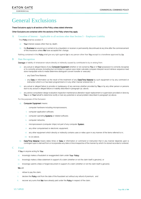# General Exclusions

#### These Exclusions apply to all sections of the Policy unless stated otherwise.

#### Other Exclusions are contained within the sections of the Policy where they apply.

A Cessation of Interest – Applicable to all sections other than Section 5 – Employers Liability

This Policy shall be avoided if:

- a) Your interest ceases other than by death;
- b) the Business be wound up or carried on by a liquidator or receiver or permanently discontinued at any time after the commencement of this insurance unless We have accepted the change.

Nothing contained in this Policy shall give any right against Us to any person other than You except to a transferee approved by Us.

#### **B** Date Recognition

Damage or liability of whatsoever nature directly or indirectly caused by contributed to by or arising from:

- any actual or alleged failure of any Computer Equipment whether or not owned by You or in Your possession to correctly recognise or to correctly process (including but not limited to capture save retain calculate compare interpret record retrieve sequence read store manipulate write to media determine distinguish convert transfer or execute):
	- i. any Date/Time Material;
	- ii. any Data or information as the result of the treatment of any Date/Time Material by such equipment or by any command or instruction which is or has been programmed or in any other manner entered into it.
- b) any actual or alleged failure to provide or inadequacy of any services whether provided by You or by any other person or persons due to any actual or alleged failure or inability described in paragraph (a) above;
- c) any advice consultation design evaluation inspection maintenance alteration repair replacement or supervision provided or done by You or on Your behalf to determine rectify or test any potential or actual problem described in paragraph (a) above.

For the purposes of this Exclusion:

- a) **Computer Equipment** means:
	- i. computer hardware including microprocessors;
	- ii. computer application software;
	- iii. computer operating Systems or related software;
	- iv. computer networks;
	- v. microprocessors (computer chips) not part of any computer System;
	- vi. any other computerised or electronic equipment;
	- vii. any other equipment which directly or indirectly contains uses or relies upon in any manner of the items referred to in;
	- viii. to (vi) above.
- b) Date/Time Material means dates times or Data or information or command or instruction that in any manner depends upon is contingent upon is derived from or incorporates any date or time irrespective of the manner by which it is stored recorded or entered.

#### C Fraud

If You or anyone acting for You:

- a) knowingly makes a fraudulent or exaggerated claim under Your Policy;
- b) knowingly makes a false statement in support of a claim (whether or not the claim itself is genuine); or
- c) knowingly submit a false or forged document in support of a claim (whether or not the claim itself is genuine).

#### We will:

- i. refuse to pay the claim;
- ii. declare the Policy void from the date of the fraudulent act without any refund of premium; and
- iii. recover any sums that We have already paid under the Policy in respect of the claim.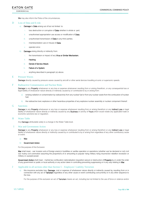We may also inform the Police of the circumstances.

#### D Loss of Data and E-risk

- a) Damage to Data arising out of but not limited to:
	- i. loss destruction or corruption of **Data** whether in whole or part;
	- ii. unauthorised appropriation use access or modification of Data;
	- iii. unauthorised transmission of Data to any third parties;
	- iv. misinterpretation use or misuse of Data;
	- v. operator error.
- b) **Damage** arising directly or indirectly from:
	- i. the transmission or impact of any Virus or Similar Mechanism;
	- ii. Hacking;
	- iii. Denial of Service Attack:
	- iv. Failure of a System;
	- v. anything described in paragraph (a) above.

#### E Pressure Waves

Damage directly caused by pressure waves caused by aircraft or other aerial devices travelling at sonic or supersonic speeds.

#### F Radioactive Contamination and Nuclear Risks

Damage to any Property whatsoever or any loss or expense whatsoever resulting from or arising therefrom, or any consequential loss or legal liability of whatsoever nature directly or indirectly caused by or contributed to by or arising from:

- a) ionising radiation or contamination by radioactivity from any nuclear fuel or from any nuclear waste from the combustion of nuclear fuel;
- b) the radioactive toxic explosive or other hazardous properties of any explosive nuclear assembly or nuclear component thereof.

#### G Sanctions

Damage to any Property whatsoever or any loss or expense whatsoever resulting from or arising therefrom or any Indirect Loss or legal liability of whatsoever nature directly or indirectly caused by any **Business** or activity of Yours which would violate any applicable trade or economic sanctions law or regulation.

#### H Water Table

Any Damage attributable solely to a change in the Water Table level.

#### I War and Government Action

Damage to any Property whatsoever or any loss or expense whatsoever resulting from or arising therefrom or any Indirect Loss or legal liability of whatsoever nature directly or indirectly caused by or contributed to by or arising from regardless of any other contributory cause or event:

#### a) War;

#### b) Government Action.

For the purpose of this Exclusion:

War shall mean - war invasion acts of foreign enemy's hostilities or warlike operation or operations (whether war be declared or not) civil war mutiny civil commotion assuming the proportions of or amounting to popular rising military rising insurrection rebellion revolution or military or usurped power.

Government Action shall mean - martial law confiscation nationalisation requisition seizure or destruction of Property by or under the order of any government or public or local authority or any action taken in controlling preventing suppressing or in any way relating to War.

#### J Applicable to all sections other than Section 5 – Employers' Liability Terrorism

a) this insurance excludes loss, Damage, cost or expense of whatsoever nature directly or indirectly caused by, resulting from or in connection with any act of Terrorism regardless of any other cause or event contributing concurrently or in any other sequence to the loss.

For the purpose of this exclusion an act of Terrorism means an act, including but not limited to the use of force or violence and/or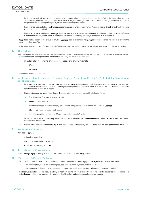the threat thereof, of any person or group(s) of persons, whether acting alone or on behalf of or in connection with any organisation(s) or government(s), committed for political, religious, ideological or similar purposes including the intention to influence any government and/or to put the public, or any section of the public in fear.

- b) this insurance also excludes loss, Damage, cost or expense of whatsoever nature in Northern Ireland directly or indirectly resulting from or in connection with civil commotion.
- c) this insurance also excludes loss, Damage, cost or expense of whatsoever nature directly or indirectly caused by, resulting from or in connection with any action taken in controlling preventing suppressing or in any way relating to a) or b) above.

If We allege that by reason of this exclusion any loss Damage, cost or expense is not Covered by this insurance the burden of proving the contrary shall be upon You.

In the event that any portion of this exclusion is found to be invalid or unenforceable the remainder shall remain in full force and effect.

#### K Other actions

**EATON GATE** COMMERCIAL

> Any consequence whatsoever which is the direct or indirect result of any of the following, or anything connected with any of the following, whether or not such consequence has been contributed to by any other cause or event:

- any action taken in controlling, preventing, suppressing or in any way relating to:
	- War; or

#### Terrorism<sup>;</sup>

As set out in items I and J above.

- L Applicable to all sections other than Section 5 Employers' Liability and Section 6 Public Liability Contamination or Pollution Clause
	- the insurance by this Policy does not Cover any loss or Damage due to contamination pollution soot deposition impairment with dust chemical precipitation adulteration poisoning impurity epidemic and disease or due to any limitation or prevention of the use of objects because of hazards to health.
	- b) this exclusion does not apply if such loss or **Damage** arises out of one or more of the following Perils:
		- Fire, Lightning, Explosion, Impact of Aircraft;
		- Vehicle Impact Sonic Boom;
		- Accidental Escape of Water from any tank apparatus or pipe Riot, Civil Commotion, Malicious Damage;
		- Storm, Hail Flood Inundation Earthquake:
		- Landslide Subsidence Pressure of Snow, Avalanche Volcanic Eruption;
	- c) if a Peril not excluded from this Policy arises directly from Pollution and/or Contamination any loss or Damage arising directly from that Peril shall be covered.
	- d) all other terms and conditions of this **Policy** shall be unaltered and especially the exclusions shall not be superseded by this clause.

#### M Deliberate or Criminal Acts

#### Any loss or **Damage:**

- deliberately caused by; or
- arising from a criminal act caused by;

You or any person living with You.

#### N Events before the Cover start date

Loss, Damage, Injury or liability which occurred before the Cover under this Policy started.

#### O Tobacco and E-Cigarette Exclusion

Section 6 Public Liability shall not apply to liability or indemnity related to **Bodily Injury** or **Damage** caused by or arising out of:

- 1. the consumption, inhalation of smoke produced by the burning of, exposure to or use of tobacco; or
- 2. the consumption, inhalation of or exposure to vapour produced by any electronic cigarette or personal vaporizer.

In addition, this section shall not apply to liability or indemnity arising directly or indirectly out of the sale of e-cigarettes or accessories sold by the Insured which do not conform with applicable health, safety and environmental protection standards.